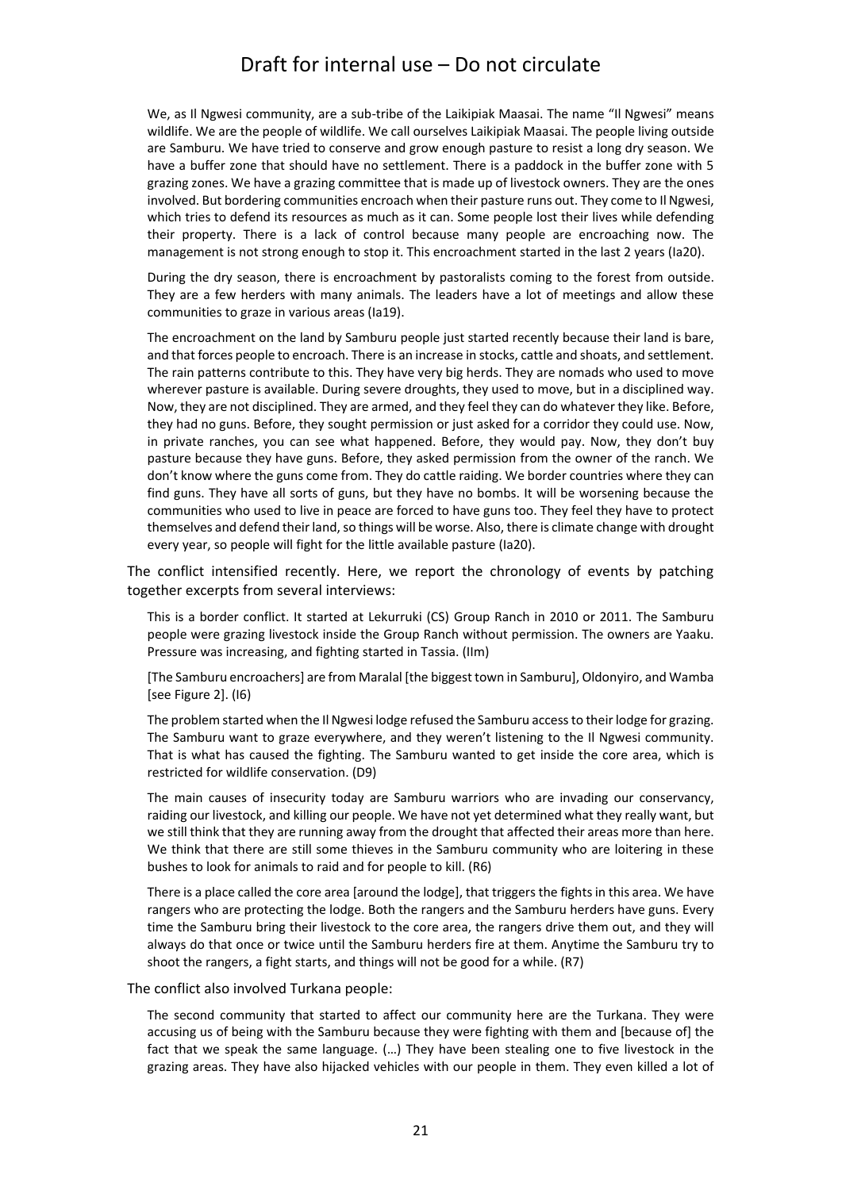The Institutional Canopy of Conservation: Governance and Environmentality in East Africa (I-CAN) McGill University – African Conservation Center



# Research Scoping Report #10: Natural Resource Conflict in Il Ngwesi Group Ranch, Laikipia County, Kenya

Jacques Pollini,<sup>¥</sup> David Barmes,<sup>¥</sup> Ramson Karmushu<sup>€</sup>

¥McGill University

€ Indigenous Movement for Peace Advancement and Conflict Transformation (IMPACT)



September 2017



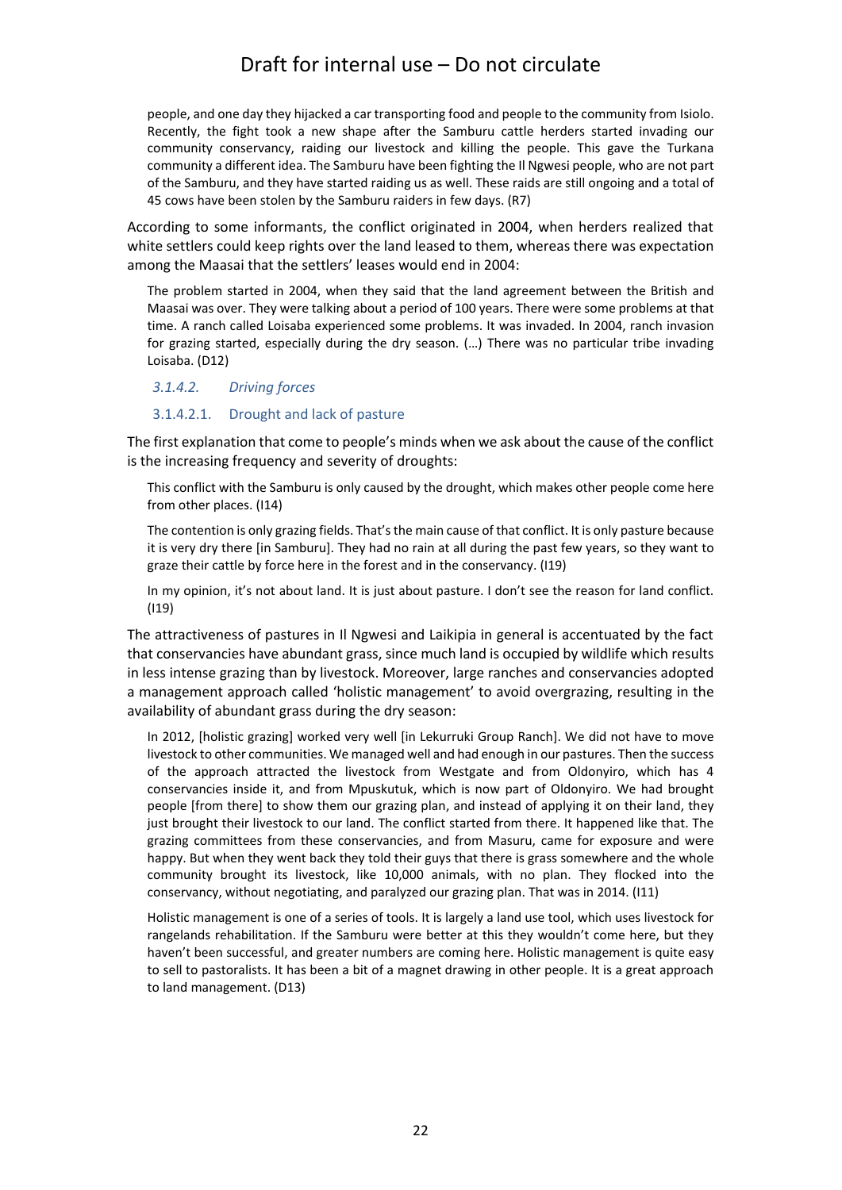**Cover Photograph: Lower Sang'A in Il Ngwesi Group Ranch.** This village is located in between the Mukogodo forest, not visible because located behind the photographer, and the Lewa conservancy, which occupies part of the plain in the background.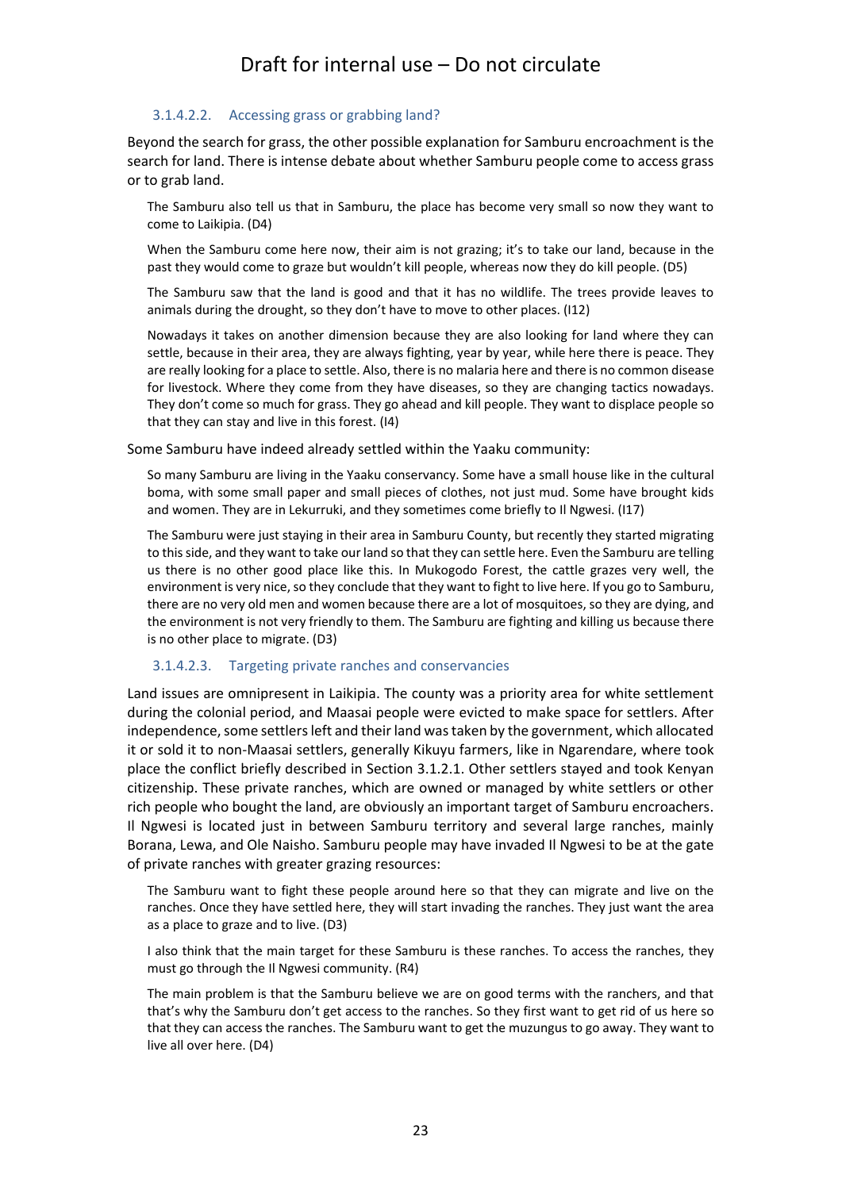# Table of contents

<span id="page-2-0"></span>

| 1.         |  |  |  |
|------------|--|--|--|
| 2.         |  |  |  |
| 3.         |  |  |  |
| 3.1.       |  |  |  |
| 3.1.1.     |  |  |  |
| 3.1.2.     |  |  |  |
| 3.1.2.1.   |  |  |  |
| 3.1.2.1.   |  |  |  |
| 3.1.2.2.   |  |  |  |
| 3.1.3.     |  |  |  |
| 3.1.3.1.   |  |  |  |
| 3.1.3.1.   |  |  |  |
| 3.1.3.2.   |  |  |  |
| 3.1.3.3.   |  |  |  |
| 3.1.4.     |  |  |  |
| 3.1.4.1.   |  |  |  |
| 3.1.4.2.   |  |  |  |
| 3.1.4.2.1. |  |  |  |
| 3.1.4.2.2. |  |  |  |
| 3.1.4.2.3. |  |  |  |
| 3.1.4.2.4. |  |  |  |
| 3.1.4.2.5. |  |  |  |
| 3.1.4.2.6. |  |  |  |
| 3.1.4.2.1. |  |  |  |
| 3.1.4.2.2. |  |  |  |
| 3.1.4.3.   |  |  |  |
| 3.1.4.3.1. |  |  |  |
| 3.1.4.3.2. |  |  |  |
| 3.1.4.3.3. |  |  |  |
| 3.1.4.3.4. |  |  |  |
| 3.1.4.4.   |  |  |  |
| 3.1.4.4.1. |  |  |  |
| 3.1.4.4.2. |  |  |  |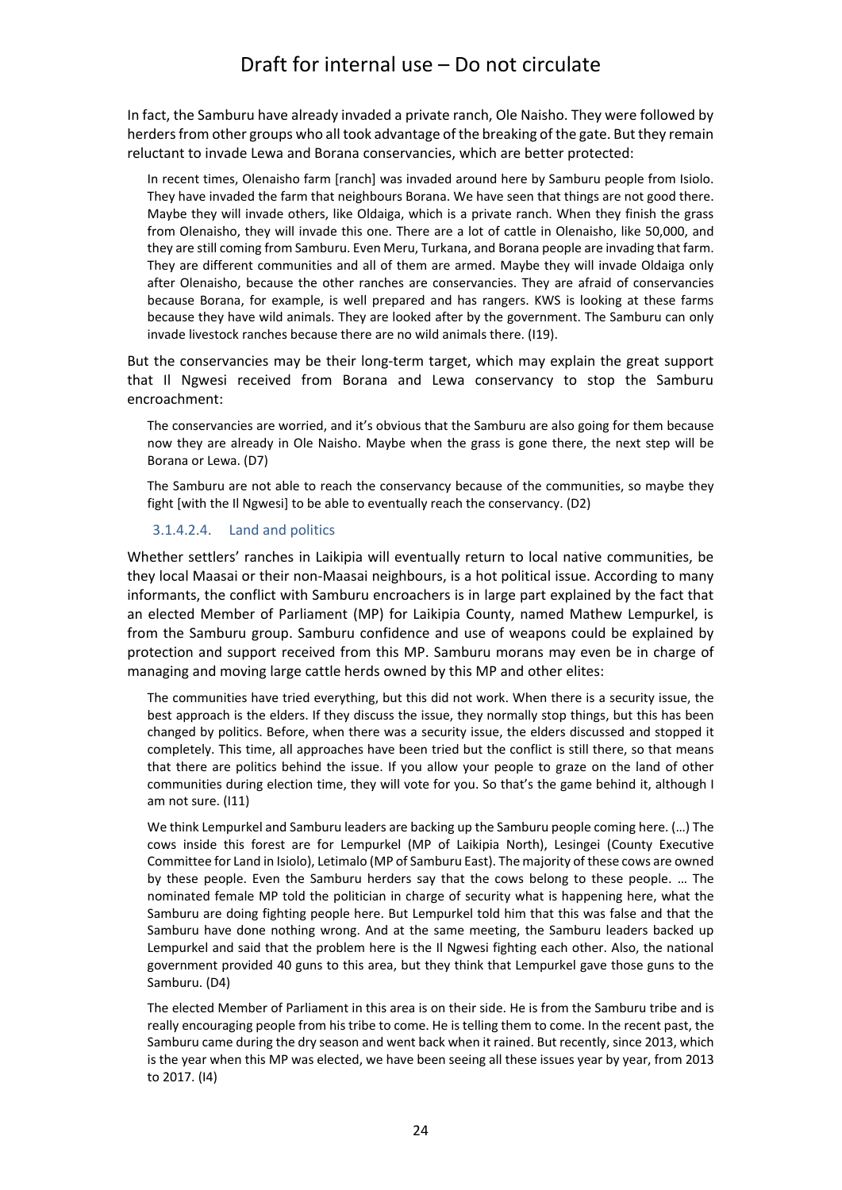|  |  | Appendix 4: Additional interviews conducted in Samburu communities and in Nanyuki45 |  |
|--|--|-------------------------------------------------------------------------------------|--|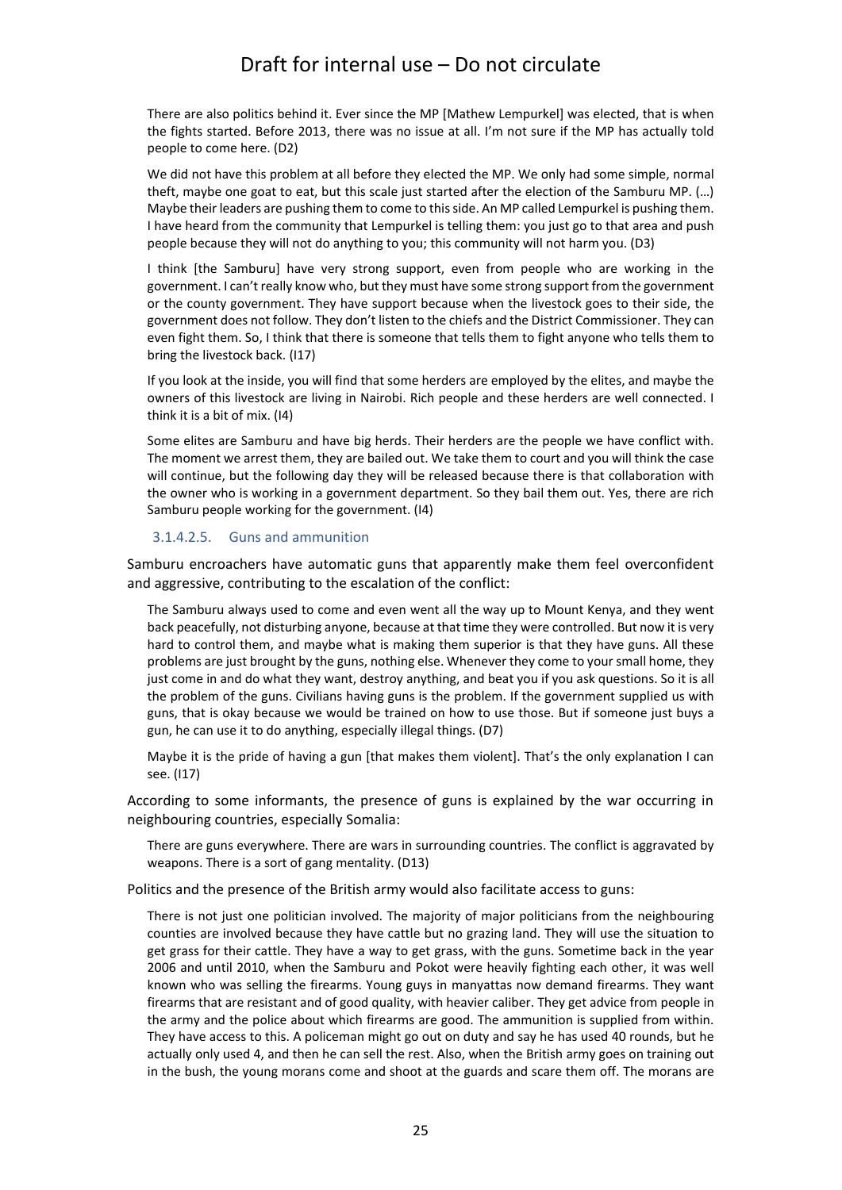# Acknowledgments

<span id="page-4-0"></span>Many thanks to our friends and colleagues from the Indigenous Movement for Peace Advancement and Conflict Transformation (IMPACT), especially Mali Ole Kaunga who always supported our scoping trips enthusiastically. Thanks also to all colleagues from McGill who supported the design of I-CAN's research scoping studies, especially Professor John Galaty. Thanks to the people of Il Ngwesi Group Ranch and Mukogodo forest, who welcomed us very well and were patients and friendly during long interviews.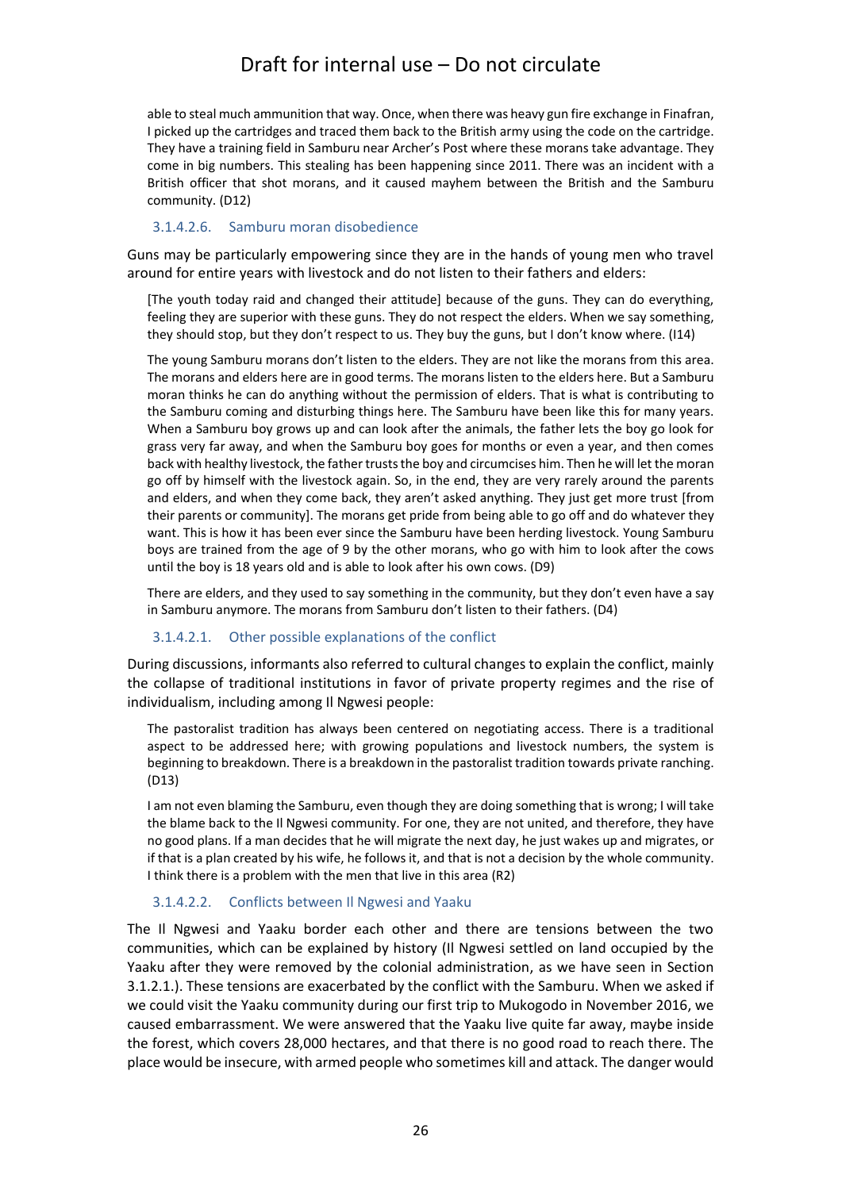### Summary

<span id="page-5-0"></span>We conducted a research scoping trip in Il Ngwesi Group Ranch, one of the four Group Ranches in charge of managing the Mukogodo forest in Laikipia County, Kenya, inhabited by the Il Ngwesi Maasai. We also conducted a few interviews in the neighbouring Lekurruki Group Ranch, inhabited by Yaaku people, also called the Mukogodo, and in Isiolo County where some members of Il Ngwesi Group Ranch have settled after the creation of the conservancy. During 6 days of field work, we interviewed various members of these communities to understand their livelihood strategies and challenges, with a particular focus on a deadly conflict that was taking place at that time with the neighbouring Samburu people coming from the North.

The II Ngwesi people, who in the past may have been a Dorobo group<sup>1</sup> but have now adopted the Maasai identity and way of life, were forced to migrate from their home in Meru county to the Mukogodo forest area, apparently because of white settlement during the colonial period. They have experienced various conflicts, with the Yaaku people who occupied part of the land where they settled, with Somali people during the "shifta" war after independence, with Kikuyu people who settled on land that was vacated by white settlers after independence, and with Samburu people. Today, they have secured rights on the Mukogodo forest and the land that surrounds it, through the creation of Il Ngwesi Group Ranch and community conservancy, and through their strong involvement in a Community Forest Association (CFA) that manages the Mukogodo forest. They raise livestock and practice farming, growing mainly maize and beans on a plateau surrounded by forest and located on the top of a mountain. Their community conservancy was created with support from the neighbouring Lewa Conservancy and various NGOs.

A significant number of Il Ngwesi Group Ranch members do not live in their Group Ranch. Many of them are educated and have jobs in neighbouring ranches or towns. Others have bought private land, in part with the royalties generated by their share in the conservancy. They farm this land like their Kikuyu neighbours.

Since about 2015, the Il Ngwesi have been involved in an intense conflict with their neighbours, the Samburu pastoralists coming from the North. These Samburu groups come from drier areas where pastures are said to be degraded and grass is severely lacking during the dry season. They first invaded Lekurruki Conservancy and some of them have settled there permanently, ending the activities of its lodge. The Yaaku people failed to resist and some of them are now collaborating with the Samburu, possibly with the hope of taking revenge on the Il Ngwesi who obtained part of the land that the Yaaku claim to be theirs, when the Group Ranches were created. Using the Yaaku communities as their base, Samburu people then invaded Il Ngwesi Group Ranch and conservancy, killing some people. The Il Ngwesi evacuated their home on the plateau, a mosaic of pastures and small cultivated fields surrounded by forests and located at the core of their Group Ranch. This area is now occupied by Samburu shepherds and their herds.

Policemen and rangers from the community conservancies as well as from the neighbouring Lewa and Borana conservancies were mobilized to resist the invasion. Several *moran* died on both sides and three policemen were also killed. Many meetings were held between elders and morans from all sides to find a solution to the conflict, with involvement of authorities and facilitation by NGOs such as the Northern Rangeland Trust, which supports conservancies in the area. All negotiation attempts failed. The Samburu moran involved in the conflicts are

**.** 

<sup>1</sup> Dorobo are hunting gathering groups, sometimes destitute Maasai with no livestock, that lived on the margin of Maasai land and were more or less assimilated to Maasai identity of culture. The term is often perceived as derogatory.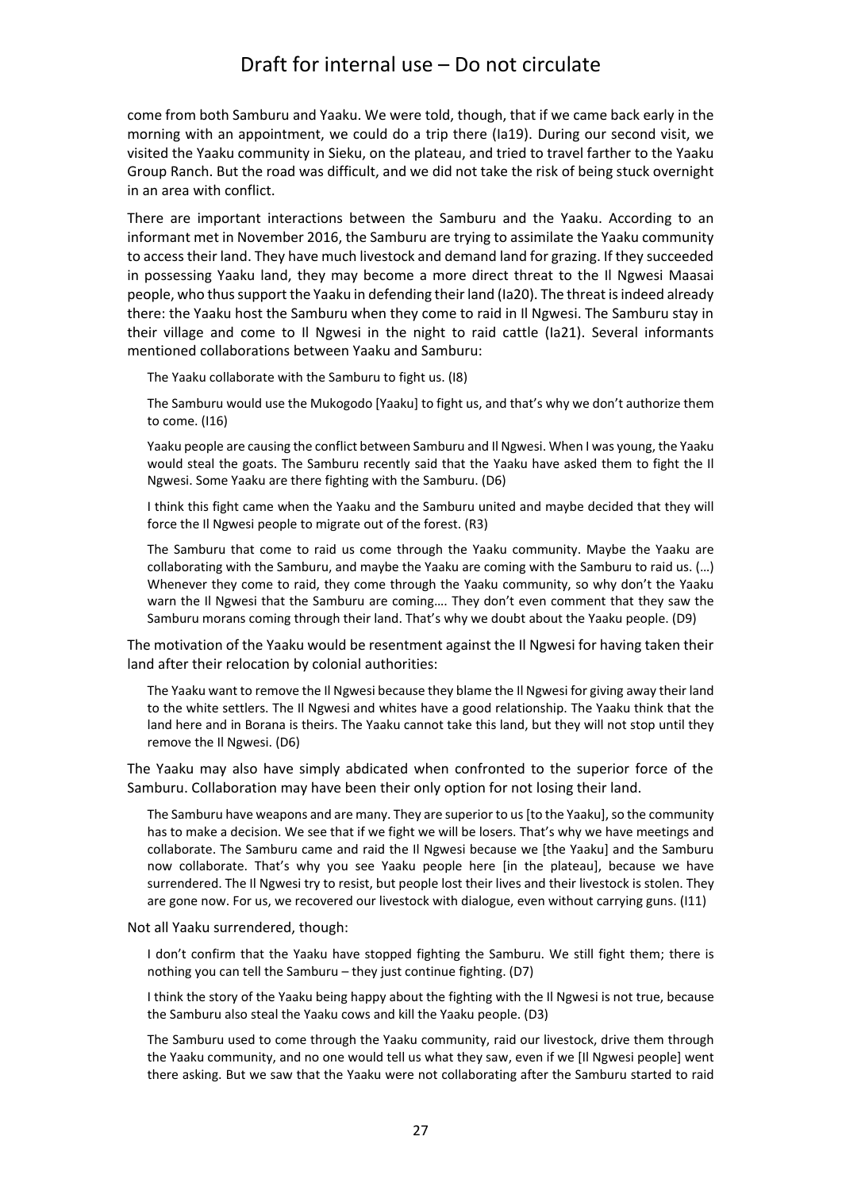said to have been absent from the negotiations. They are, allegedly, not under the control of the elders of their own community and instead follow instructions from political figures, mainly Member of Parliament Thomas Lampurkel.

Thomas Lempurkel and other Samburu elites are said to drive the conflict from behind, facilitating the purchase of automatic weapons and the freeing of arrested morans. These elites possess abundant livestock that constitute part of the herds that invade the conservancies and ranches. Their purpose may be the breaking of settler ranches and opening of their land to pastoralists, in order to access grazing resources for their livestock and obtaining the votes of pastoralist people.

The conflict in Mukogodo forest reflects the complexity of the environmental and social situation in Laikipia County. The land distribution inherited from the colonial period, with large property leased to rich settlers facing communities of smallholder farmers or extensive pastoralists, creates political and economic imbalances that complicate the resolution of conflicts. Like during our research scoping study in Rumuruti, where similar conflicts occur, we found that customary institutions have experience and capabilities in conflict resolution. But the implication of powerful figures negates their negotiation efforts by creating extreme power imbalances in favor of very small groups of people that are given protection and are armed with modern weapons. In that context, the alliance in place today, with Il Ngwesi pastoralists collaborating with white settlers on one side and Samburu pastoralists backed by politicians on the other side, result in an highly volatile situation, rendering the outcome of the conflict extremely uncertain.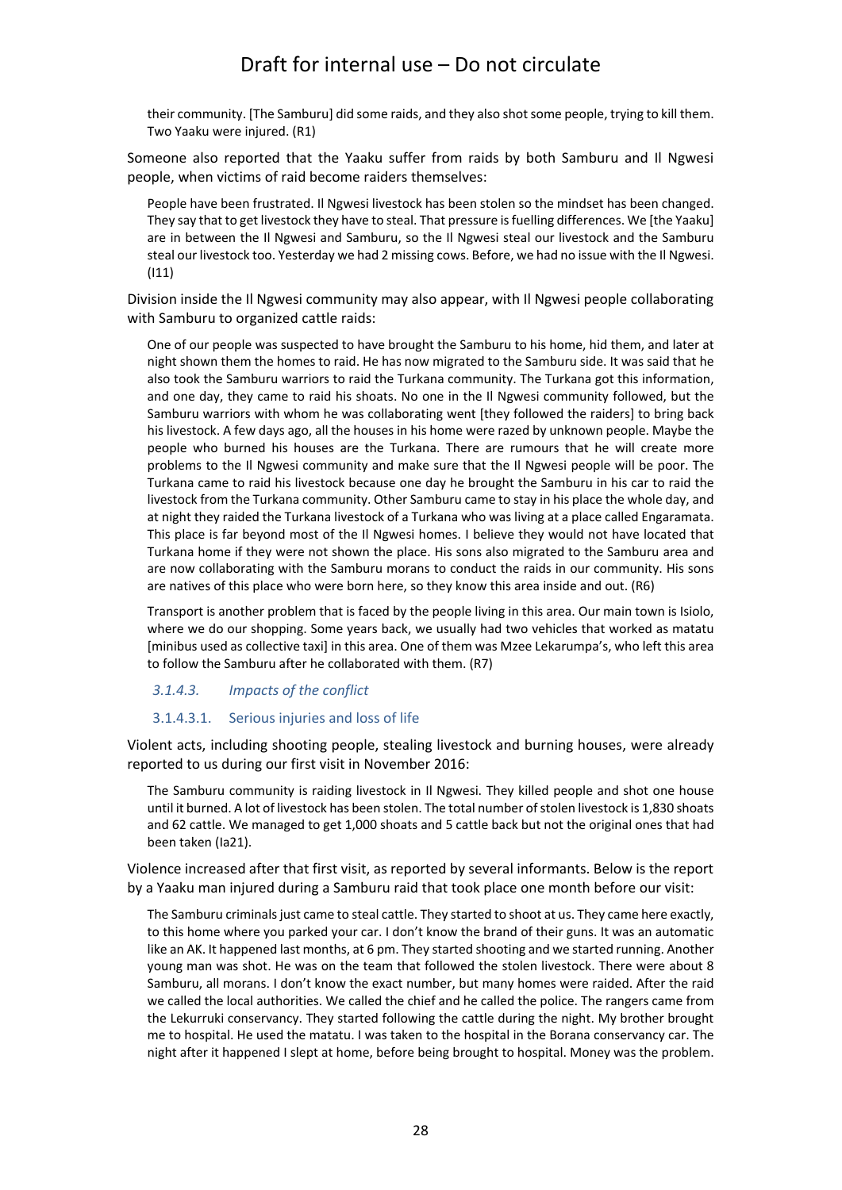### <span id="page-7-0"></span>1. Introduction

McGill University and the Indigenous Movement for Peace Advancement and Conflict Transformation (IMPACT), partners under the Institutional Canopy of Conservation (I-CAN)<sup>2</sup> research project, conducted a research scoping study<sup>3</sup> in Il Ngwesi Group Ranch in the Mukogodo Forest and its surrounding area on November 12, 2016 (preliminary study) and from June 26 to July 1, 2017 (complete research scoping study). The team included Jacques Pollini, Research Associate on the I-CAN project at McGill University; Ramson Karmushu, Felista Shamim Mpanei, and Christine Simia from IMPACT; and David Barmes, an undergraduate student at McGill University doing an internship at IMPACT. The purpose of the study istwofold: firstly, to provide baseline information to identify research questions and facilitate the selection of study sites for graduate students and other researchers working within I-CAN, and secondly, to report on the current conflict that is affecting this particular region of Laikipia County.

### <span id="page-7-1"></span>2. Methodology

**.** 

We used the same methodology as in other research scoping studies conducted by the I-CAN project. We do not use questionnaires; we conduct informal interviews using an analytical grid that owes much to the school of comparative agriculture (Cochet 2015), $4$  but is also influenced by the works of Scott  $(1976)^5$  on the moral economy of peasants, Chayanov (1984)  $[1922]$ <sup>6</sup> on peasant economics, Netting  $(1993)^7$  on smallholder farming, Lhoste et al  $(1993)^8$ on pastoralism, and Ribot (2007)<sup>9</sup> on representation in governance institutions. Typically, when visiting a community, we meet local leaders to explain the purpose of our work and ask a first set of general questions about local livelihood strategies and challenges faced by the community. We then recruit additional informants using a snowball sampling strategy to delve deeper into key issues. Given the short duration of the exercise (5 days of field work) and the broad range of topics to cover, we do not claim a high level of certainty for each single statement made in this report. We do not describe the situation in the study area as it is. We describe it as we are told it is by a limited number of informants. We derive conclusions that should not be considered as definitive. They are, rather, hypotheses to be tested by future research. However, by rarely asking the same question twice, we make it possible to address a much broader range of issues and collect a larger number of stories than what is typically found in baseline surveys that use closed questionnaires. We use triangulation, rather than replication, as a strategy to increase the level of certainty of our statements and conclusions.

[http://www.accafrica.org/our\\_work/explore\\_programs/conserving-biodiversity-in-east-africa/i-can](http://www.accafrica.org/our_work/explore_programs/conserving-biodiversity-in-east-africa/i-can-institutional-canopy-of-conservation/)[institutional-canopy-of-conservation/](http://www.accafrica.org/our_work/explore_programs/conserving-biodiversity-in-east-africa/i-can-institutional-canopy-of-conservation/) ; <https://www.idrc.ca/en/project/institutional-canopy-conservation> ; <http://cicada.world/research/programs/i-can/>

 $\frac{3}{3}$  The approach presents some similarities to Rapid Rural Appraisals (RRA), as it is similarly comprehensive in scope, the purpose being to understand how a landscape works and the main social and environmental challenges faced by people living on the landscape. However, as we use an approach quite different from what is typically done in RRA exercises, we prefer not to use that term.

<sup>4</sup> Cochet, H. 2015. *Comparative agriculture*. Versailles: Editions Quae.

<sup>5</sup> Scott, J. 1976. The moral economy of the peasants: Rebellion and subsistence in Southeast Asia. New Haven: Yale University Press.

<sup>6</sup> Chayanov, A. 1986 (1922) *The theory of peasant economy*. Madison, WI: University of Wisconsin Press.

 $<sup>7</sup>$  Netting, R. M. 1993. Smallholders, householders: Farm families and the ecology of intensive, sustainable</sup> agriculture. Stanford, California: Stanford University Press. 8 Lhoste P., Dollé V., Rousseau J., Soltner D., 1993. *Manuel de zootechnie des régions chaudes: Les systèmes* 

*d'élevage.* Paris : Ministère de la Coopération, coll. Manuels et précis d'élevage.

<sup>9</sup> Ribot, J. 2007. Dans L'Attente de la Démocratie: La politique des choix dans la décentralisation de la gestion des ressources naturelles. Washington, D.C.: World Resources Institute.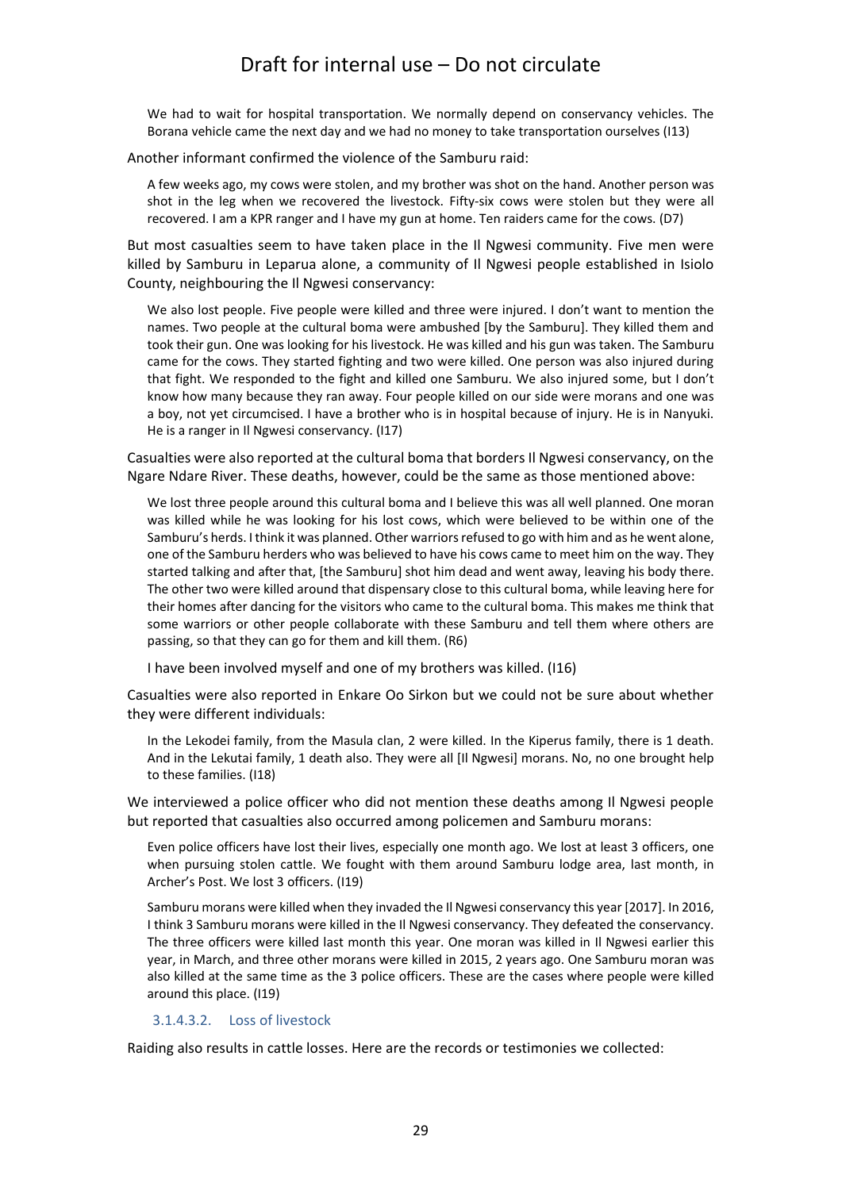All interview notes are available on request, and large chunks of these notes are inserted into the body of this report. These notes are not exact transcriptions of the informants' speech. They were taken as accurately as was technically feasible. However, most interviews were conducted in Maa language and translated, meaning we took notes of the translation, not of the original speeches. The "citations" in the report are thus citations of notes, edited and reorganized for clarity, and cited as "D#", "I#", or "R#", where "#" represents the interview number. "D" stands for interviews conducted by David Barmes, "R" for interviews conducted by Ramson Karmushu, and "I" for interviews conducted by Jacques Pollini.

There are very few bibliographic references in this report. The purpose of the exercise was to collect first-hand, up-to-date information, to make this information available in the short term to people interested in the study area, and to provide an independent view of the situation in that area to complement existing views available in the literature. Hence all information provided in this report comes from interviews conducted in the communities of Il Ngwesi Group Ranch, (including Il Ngwesi 1, Il Ngwesi 2, Lokusero B, Emurua, Upper Sanga, Lower Sanga, Sieku, and Siekoi, which is located in Isiolo County), except for a few interviews conducted in the neighbouring Lekurruki Group Ranch, and for the information in boxes or footnotes, which was extracted from the literature. A literature review will be done later, when the material presented in this report is used to prepare scientific publications.

### <span id="page-8-0"></span>3. Results

### <span id="page-8-1"></span>3.1. Mukogodo Forest

#### 3.1.1. Overview

<span id="page-8-2"></span>Mukogodo Forest is located in the northeast corner of Laikipia County, bordering Isiolo County (Figures 1 and 2). It is the largest forest in Laikipia, located on a beautiful plateau. It is a refuge for dry season grazing and attracts pastoralists from surrounding areas during the dry season:

Because of the issue of drought, Mukogodo is the only place where there is a buffer zone for grazing. So, you will find the Maasai from the 4 Group Ranches around the Mukogodo Forest. They all depend on its grass and water for livestock. (I4)

Today, the forest is mostly inhabited by Il Ngwesi and Mukogodo (Yaaku) people living in four Group Ranches (Il Ngwesi and Makurian for the Il Ngwesi people, and Kurikuri and Lekurruki for the Mukogodo people). The Il Ngwesi live in the eastern half, while the Mukogodo live in the western half. As the government owns the forest, the Group Ranches had to form a Community Forest Association (CFA), called ILMAAMUSI, which is the recognized body that manages the forest (Ia18).

Il Ngwesi Group Ranch has 16,000 hectares of land, including 8,000 hectares of buffer zone. The land is not subdivided. Some envisioned a division but there is fear that if that happened, many would sell their land and outsiders would buy it. Hence the management structure advocated for not dividing the land (Ia20). About 100 households live in Nadung'Oro, a place often referred to as "the forest," which is in fact a grassland plateau surrounded by the Mukogodo Forest. Other Group Ranch members live around the forest and around the Il Ngwesi conservancy, where the community operates a lodge.<sup>10</sup> A great proportion of the members live outside the Group Ranch, in Isiolo County near Il Ngwesi conservancy or on land in Laikipia County that they bought to practice farming.

The Il Ngwesi are considered one of the five Maasai groups living in Laikipia County. Laikipiak Maasai, who were defeated by other Maasai sections, are descended from ancestors of many

**.** 

<sup>10</sup> <http://ilngwesi.com/content/visit/>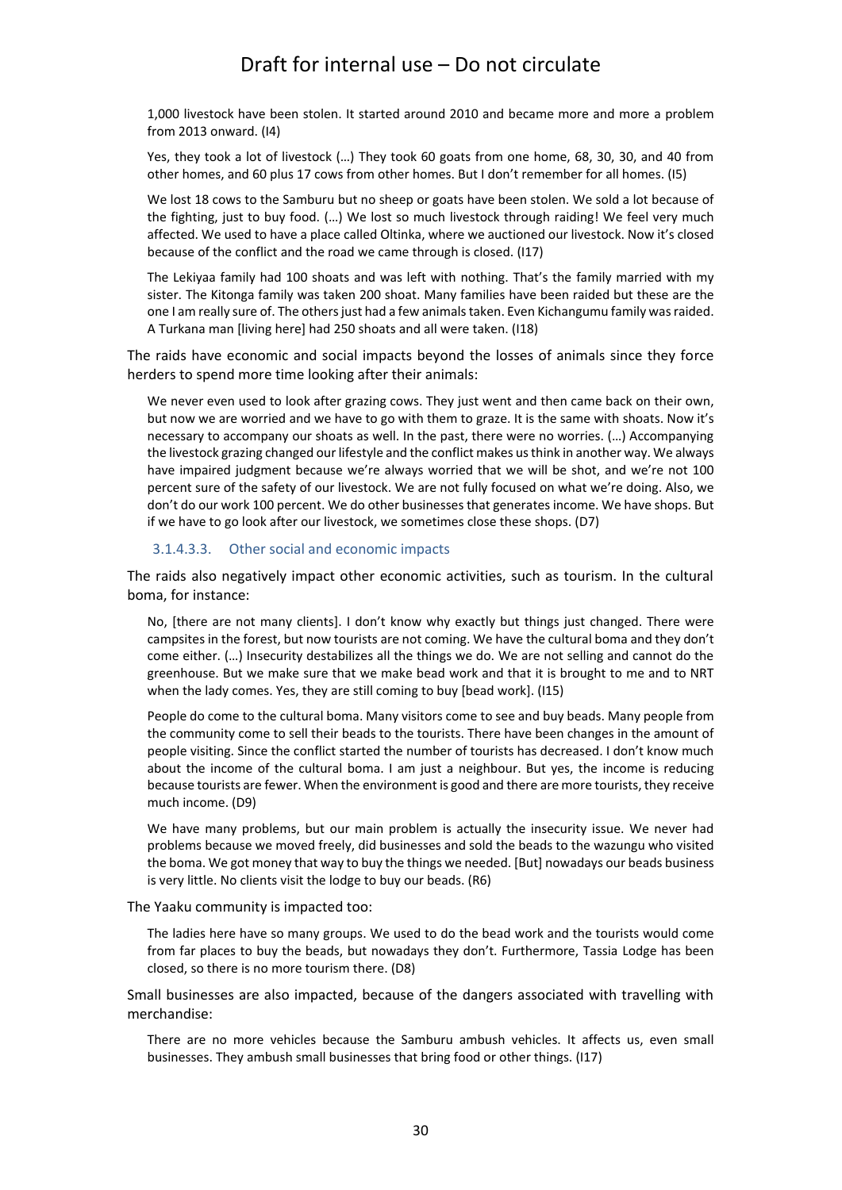lineages. The Mukogodo also have mixed ancestry and adopted Maasai culture and language, but the fact that they used to speak a Cushitic language (Yaaku) makes them a distinct group from the Maasai. Il Ngwesi and Mukogodo people both practiced hunting and gathering in the past and are often referred to as "dorobo," which is considered a derogative term among the Maasai. Today, they have adopted the Maasai pastoralist way of life and Maasai language and culture.

The Mukogodo (Yaaku) people are few in number and very poor compared to other communities, but have a large land area because the land was divided equally between the Il Ngwesi and Mukogodo communities when the Group Ranches were created (I20). Lekurruki Ranch is bigger than Il Ngwesi (I21). It borders Mpus Kutuk Group Ranch (in Isiolo County) in the north and Il Ngwesi conservancy in the south, and there is conflict at the boundaries. The Yaaku say they have been pushed away (I20).

#### <span id="page-9-0"></span>3.1.2. History

#### <span id="page-9-1"></span>*3.1.2.1. Settlement*

Several informants explained the history of their community, revealing the many displacements associated with the establishment of today's settlement. According to two informants (one Mukogodo and one Il Ngwesi), the place was first inhabited by Mukogodo (Yaaku) people, and the Il Ngwesi came more recently, pushed here by colonists who took their land:

Originally, we were the Laikipiak Maasai. Now we are the Mukogodo. We were taken from Narok by the Purko. We fought them spiritually through the Oloiboni Senteu. We fled and lived in stones caves. That's where our name, Mukogodo, came from. The Il Ngwesi are not the original people from this place. They come from Meru. Regarding the Samburu, they mixed with the Rendille in Marsabit and did not live in this place before. As Laikipiak, we were the original owners of the land, and the Il Ngwesi came to Laikipiak to take over our land. The Il Ngwesi were brought to this place from Poise by the white settlers. The people from Poise went to a place called Mudur Oloiragai. The white settlers put a fence at the place that is now called Poise, and the Il Ngwesi people were asked to join the Mukogodo people here. The white settlers asked the Mukogodo people to accept that they would live together with the Il Ngwesi. When we agreed to live together, we gave them a portion of land in Sang'a, in Rigigo, which is down there, and in Sepeyo. We gave them those three places. (I12, a Mukogodo elder)

Initially, we lived on Maasai land, in Narok and Kajiado. The tribes called Laikipiak and Ilpurko started fighting against each other. The cause of the fight was cattle raiding. The Laikipiak migrated from Narok and came to settle around Mount Kenya forest. They were forcefully moved by the colonial government and then settled at Nadung'oro. In the place where we came and settled, we found the Yaaku community, who were hunters and gatherers. They don't have specific homes. They only live in caves and their main food was honey from the forest and blood and meat from wild animals. They use the skin of the killed animals for bedding and clothing. The Laikipiak Maasai were affected by the white settlers. They came and settled where the Yaaku community initially was, so the Yaaku ran away and hid themselves or lived in a hill called Kiapei. The Laikipiak Maasai settled at Nadung'oro, and they continued rearing their livestock, that is, shoats [sheep and goats] and cattle. Fifteen different families had shoats, and 153 families had cattle (Ia21, an Il Ngwesi elder).

Both Il Ngwesi and Mukogodo seem to have absorbed the Laikipiak Maasai that survived their defeat, as expressed by the statements below:

In the past, there were Laikipiak, and they disturbed all their neighbours. In the end they were all killed by the surrounding communities, and the few remaining assimilated into other communities. (D7)

From Ngarendare up to Makurian, you find the Il Ngwesi people. All people living here are Il Ngwesi and were born and raised in that place. A long time ago, there were people known as Laikipiak. They came over and killed people who were living here and took over the land from the Makurian and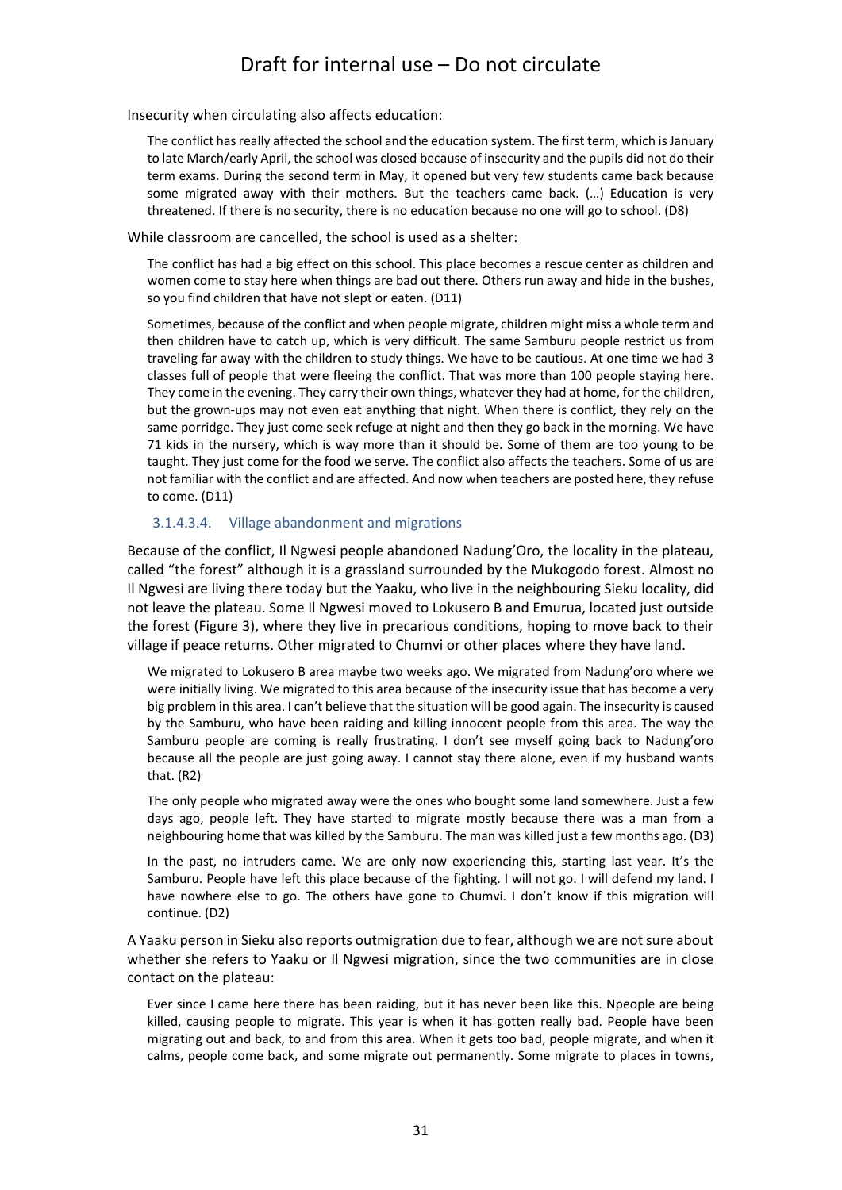the Ngarendare and took this place. When the government heard that the Laikipiak killed people, they came and killed them, so the Il Ngwesi came back and took the land after the Laikipiak were eradicated. The Laikipiak were here even before the colonial rule, and in 1952 they were all gone. The Il Ngwesi were here before the Laikipiak defeated them, and then the Laikipiak were defeated and the Il Ngwesi came back. The Il Ngwesi always practiced pastoralism and used that place. There are Il Ngwesi 1 and Il Ngwesi 2. The Il Ngwesi 1 live in Doldol and Makurian. (I8)

Before coming back to Mukogodo, Il Ngwesi people were apparently mostly living around Meru and had important social relationships with Meru people:

At first, we were living on the lower side of Mount Kenya (Meru). My father lived there and then migrated to this place. They migrated because of pasture. There was lots of pasture inside this forest. I don't know what year – maybe 1960s to 1970s. They overgrazed pasture in Meru. Originally, they were from around Narok, but left Narok because of population increase and lack of pasture. (D1)

We don't know where the Il Ngwesi came from. Maybe they came from Mount Kenya or from Meru. The Mukogodo were living in Borana and were moved to this place here. (I12)

The installation of white settlers who still own large ranches today probably contributed to the movement of Il Ngwesi people, who were pushed out by settlers on one side, and blocked on the other side by the gazetting of the Mukogodo Forest:

As I grew up, I found out that the Craig family owned the land [Lewa conservancy]. Ian Craig was the owner. Even Borana [conservancy] was there already. (I9)

The Maasai [Il Ngwesi] people who have settled here were initially living in the Mount Kenya forest, and when the colonial government came, it pushed them slowly until they settled here. The colonial government then marked the land to give them reserves where they could live. It also marked the forest which became a reserve, a government forest, but the community uses it (Ia19).

In the recent past, Il Ngwesi expanded their territory by buying land. It seems that early access to education played an important role in empowering the community and enabling its prosperity and expansion:

Chumvi is also for Il Ngwesi people, like Doldol and Makurian. Yes, some people moved to town and bought land, but they still own the land here. They started to do that around 1968 and continued up to today. This is because of education. They have been enlightened and started to go to other areas. They went around the country, also to Nanyuki. It depends on how one has been enlightened. (I8)

#### <span id="page-10-0"></span>*3.1.2.1. An history of conflicts with neighbour communities*

The Il Ngwesi people have experienced many conflicts in the past. Some of their ancestors are Laikipiak Maasai that survived wars with other neighbour groups, as we have seen. More recently, the Il Ngwesi fought with Somali in Ngarendare, a place where they practice farming today and that they consider to be among the best land they have access to:

In 1960, the Il Ngwesi fought with the Somalis in Ngarendare. At first, the Il Ngwesi raided the Somali, and they were helpless, but then they got weapons in 1960 and fought for revenge. After the Somalis fought with the Maasai, the government started fighting the Somalis and moved them away when the country got independence. (I8)

The fight with the Somali people was partly motivated by cattle raids and poaching:

The Il Ngwesi fought once with the Somalis, but they were on the wrong side. They went to raid the Somali animals. (I16)

Yes, we used to fight with the Somalis. The fighting was caused by the raids. The Maasai warriors used to raid a lot, and they raided cattle from the Somali community. When the Somalis revenged, they killed a lot of warriors and grown up boys. During that time, Rkishili were the warriors. They killed a lot of them, almost a hundred and even more. They were using guns, which we did not have.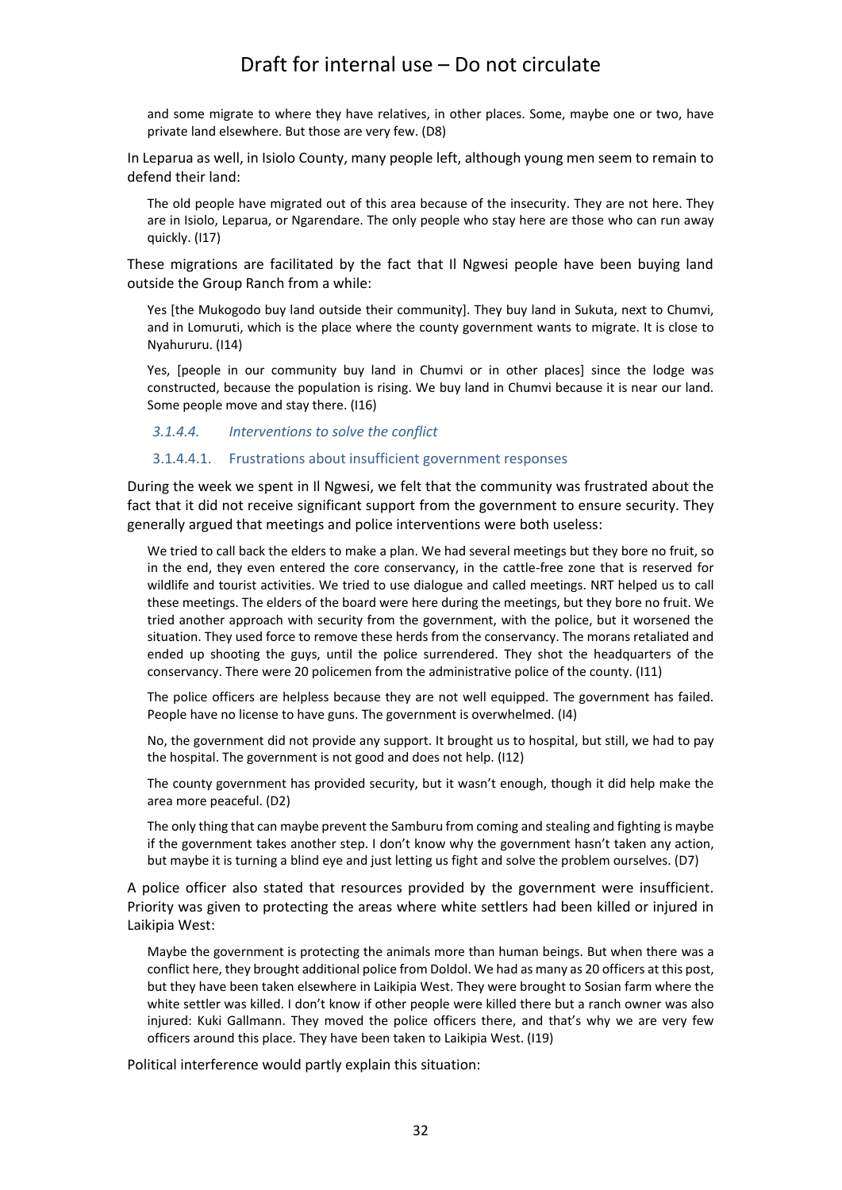We did not know where they got the rifles that they were using. They also came in large numbers. We also fought with the Turkana, which was also caused by the raids by the Maasai warriors in our community. Samburu came to fight with the Somalis, and they all migrated towards Isiolo town. The Samburu then migrated to occupy the land in Isiolo that used to be occupied by the Somalis. (R3)

One informant also mentioned Somali or Borana people named "shifters," who used to stay around where the Maasai community lives to do poaching and raiding, which resulted in deadly conflicts. In fact, the conflict with Somali people our informants referred to may be the "shifta war," well documented in the literature: $11$ 

There was conflict between the Somalis and the Maasai where the Somalis started killing the Maasai. They didn't want to take livestock and property. They were only killing people. The Somali community was armed with guns, while the Maasai had only spears and arrows. Many Maasai lost their lives. In the process of fighting, the Maasai managed to kill 2 armed Somalis and got 2 guns (Ia21).

We could not clarify the cause of the conflict with the Kikuyu, but the fact that people from Il Ngwesi buy land outside the ranch for agriculture may result in competition with Kikuyu people to obtain this agricultural land:

In 1963, the Kikuyu moved to Ngarendare and started to buy plots. They had title deeds, and 4 years ago, the Kikuyu and Il Ngwesi fought. The Kikuyus looked down on them, so the Maasai started fighting. The fight took one day, and they killed 100 Kikuyu. After the fight there was peace, and todate they have never fought again. (I8)

On the road from the Group Ranch to Nanyuki, there are Kikuyu people. They applied for government land from settlers who left the land. Now they do business farming and rear livestock. They have big herds like the Maasai. They also do business like selling crops to Maasai people and other communities (Ia).

The conflict with Kikuyu people has been extremely violent recently:

Ngarendare is a community where the Kikuyu, Meru, and Maasai were living for so many years. They also applied to the government for that land. It was settler land before. Then, in 1999, there was a conflict between the Maasai and the Kikuyu. The cause of the conflict was that Maasai warriors raided against the Kikuyu. They stole the small number of livestock they had. As the Kikuyu were tracking the livestock to recover it, they met with a moran who was walking from Ethi to Ngarendare. They treated him as if he had stolen the livestock and cut him with a machete, without killing him, without asking any questions. Two old Maasai men saw that and alerted the community, who ran aggressively to the Kikuyu community, killing many, burning the houses, destroying the businesses, and stealing. The fight took just one day, and close to 100 Kikuyu were killed. The police came and stopped the fight, and the 2 communities never fought again. They live in peace so far, but so many left, while some stayed and others left and came back. The fight happened on a stretch of land that goes from Ngarendare to Ethi and Chumvi. It affected all areas where Kikuyu and Maasai live together. The Maasai never tried to attack any other person, but many Kikuyu left the area. No, this is not documented. Maasai people don't fight easily but when they do, they can be dangerous, when they are forced by the situation. They mostly killed men and had no guns. They used spears, rungus [clubs], bows, poisonous arrows, and knifes (Ia).

The conflict with the Samburu, which occurs today and will be treated in Section 3.1.4, is recent. But Il Ngwesi and Samburu also fought in the past, possibly during the fight with the Somalis as already suggested but also in a more ancient past:

They [the Samburu] always create conflict when they come. They always came. When I was a young man, they came to graze but did not fight. They went back to their place. But during the time of Ilterito, they fought with spears, and now they use guns. Ilterito was a very long time ago. They

**.** 11

[https://books.google.ca/books?id=VAwSBQAAQBAJ&printsec=frontcover&dq=shifta+war+kenya&hl=en&sa=X&v](https://books.google.ca/books?id=VAwSBQAAQBAJ&printsec=frontcover&dq=shifta+war+kenya&hl=en&sa=X&ved=0ahUKEwib7P76gcraAhUBT98KHToXAhQQ6AEIKzAB#v=onepage&q=shifta%20war%20kenya&f=false) [ed=0ahUKEwib7P76gcraAhUBT98KHToXAhQQ6AEIKzAB#v=onepage&q=shifta%20war%20kenya&f=false](https://books.google.ca/books?id=VAwSBQAAQBAJ&printsec=frontcover&dq=shifta+war+kenya&hl=en&sa=X&ved=0ahUKEwib7P76gcraAhUBT98KHToXAhQQ6AEIKzAB#v=onepage&q=shifta%20war%20kenya&f=false)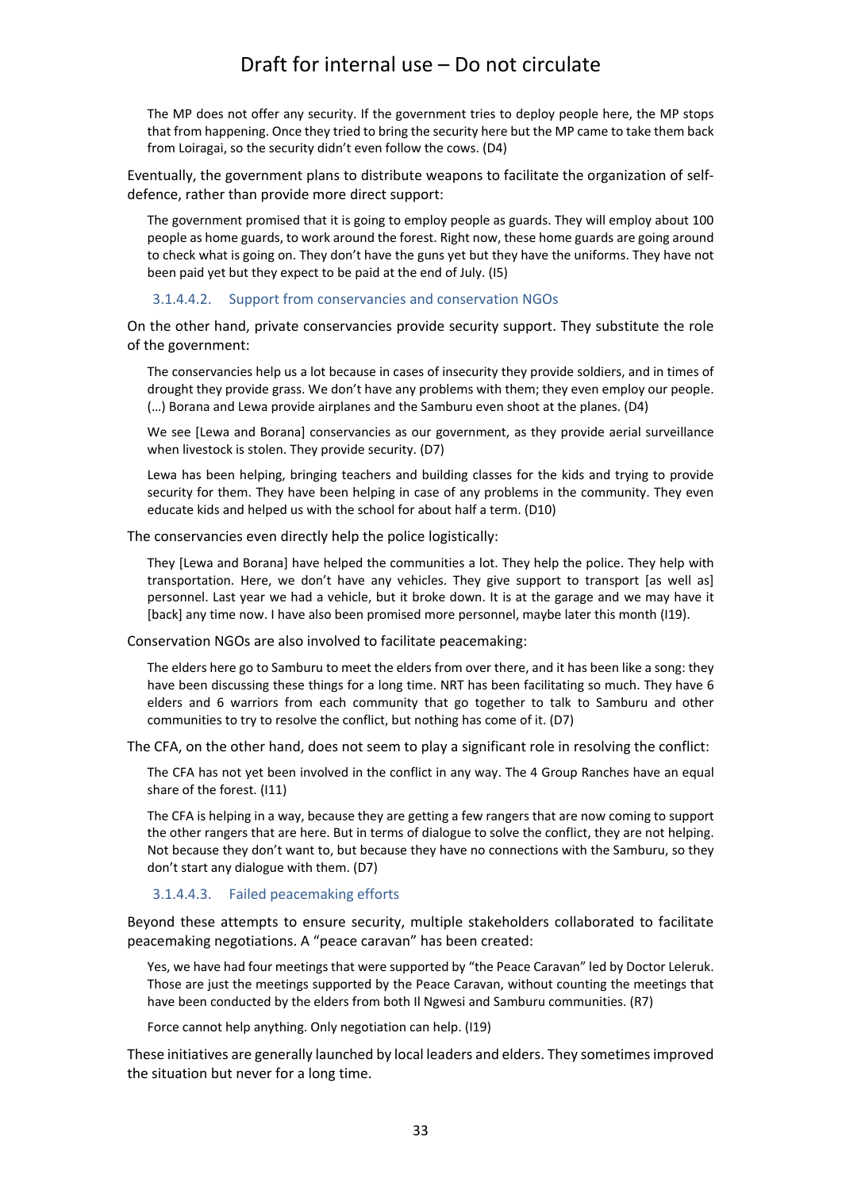would find small children in the forest, but just a few Samburu were criminals. They killed the kids because of taboos. They had the belief that a boy should be circumcised after killing a person. Yes, it happened in this forest. We grew up knowing that this happened in the past. (I14)

This frequent contact with Samburu people has also resulted in the assimilation of some Samburu among Mukogodo and Il Ngwesi people:

People living here are Maasai. There is also community called Yaaku whose origin is from the Cushitic community. They were hunters and gatherers and used to hunt wildlife and harvest bees. They kept on moving to hunt until they settled here. They were from the north, from Rendille land. And there are also a few Samburu assimilated in either the Il Ngwesi or the Yaaku. There is no boundary in this area. These Samburu migrated to look for fresh pastures and clean water. After migrating here, they found an area that was good for livestock, so they stopped migrating and stayed. Although some are living here, they are not members of the Group Ranch, except for those assimilated in the Yaaku or Maasai community (Ia19).

#### <span id="page-12-0"></span>*3.1.2.2. Environmental changes*

Like elsewhere in Maasai land, pastoralists in Mukogodo experience an increasing frequency and severity of droughts and observe the impacts of these changes on the vegetation and on their livelihood:

We are fine grazing here. We don't need to go to the forest. A long time ago the environment was really good, with many trees and much grass, but because of population growth and the Samburu finishing the vegetation, the grass will not grow again. The rainy season has changed. (D5)

The climate has changed: there used to be many trees and there was a rainy season, but now there is drought and the pasture has degraded. When there is drought, we move our livestock to another place, whereas before we just grazed around this place. Now we have to go to Mount Kenya. (D2)

I was born here and raised here. This place has changed. There was vegetation and now there is none. (I16)

#### <span id="page-12-1"></span>3.1.3. Livelihood strategies

After gaining access to education, and given the limited land available to sustain livelihood, squeezed in between private ranches, conservancies, and the forest reserve, many Il Ngwesi diversified their livelihood strategies. They have jobs in town or practice farming on land they bought outside the ranch, mainly in Ngarendare, Chumvi, and Ethi (Figure 2):

Seventy percent of the people who own the Group Ranch in fact live outside the Group Ranch because they received education, like Ramson, our colleague from IMPACT. They live in town to have access to health facilities. The ranch is communal land, but outside, they can buy private land (Ia20).

For those living in the ranch, pastoralism is the main activity, complemented with small scale farming for those living on the plateau:

For those still living in the Group Ranch, livelihood is based on livestock, small scale agriculture, external jobs, and tourism, although it generates very limited income. A family would need 100 shoats, 30 to 40 cows, and 1 acre of farmed land to sustain itself. Maybe half of all families would have this economic level, while the other half would have less. Some families suffer from hunger, but they are very few. The families with much livestock are not interested in agriculture and do not do it (Ia19).

#### <span id="page-12-2"></span>*3.1.3.1. Pastoralism*

Like elsewhere in Maasai land, pastoralism is at the core of the local economy in Il Ngwesi, even for those who have moved away to take a job:

Here we have cattle, sheep, goats, and donkeys. We have no herd limits. When a Maasai child is born, he or she is given shoats and cows. As the child grows, his herd grows in size. After circumcision, friends and relatives will give you more. You must have some livestock to marry, so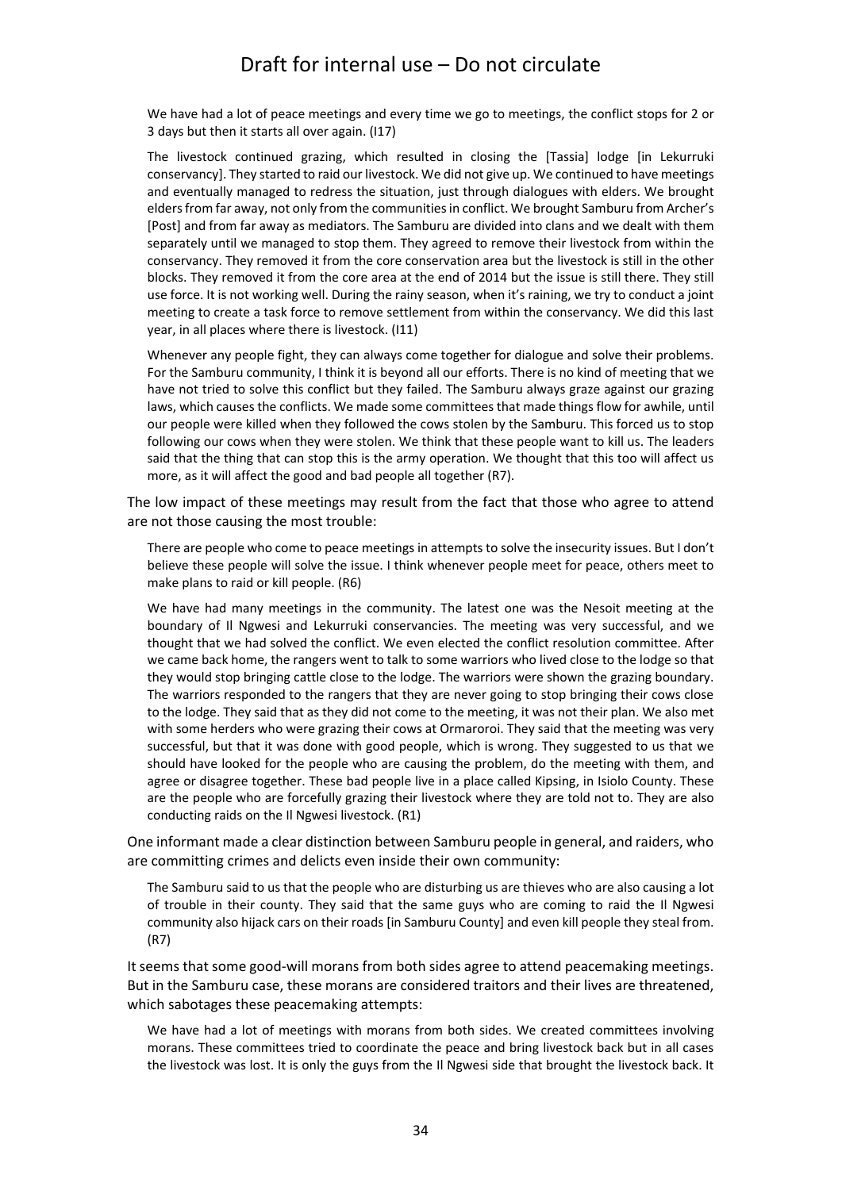that you can pay the dowry. Your father gives you animals first, and then your sisters and brothers. Pastoralism provides enough income for us, although some of us are employed. Some are employed by the government, others by the ranches, and by private companies. But they still keep herds. (D1)

Ia21 explains the purposes of raising livestock:

We sell livestock to pay school fees and have education. The schools are far away, in Nanyuki town and Nakuru town. Nowadays, we also keep chickens, and we sell the eggs for 20 KSh per egg. Two families manage to have 200 eggs sold per day, which amounts to 2,000 KSh per day (Ia21).

Pastoralism faces the usual challenges, including lack of grazing resources following droughts, which leads to pressure on ranches:

The climate impacts the pastoralist communities. Also, the best conservancies are encroached on by pastoralists from the neighbouring counties of Isiolo and Samburu. The natural resource is limited compared to the demand of the people (Ia20).

Because of the drought, 80 shoats have died. Two years ago, they started dying. We had 4 cattle, but they all died starting 4 years ago. (D2)

Pastoralists also faced livestock diseases and locust invasion:

Initially, it rained a lot. One of the main challenges was livestock illnesses due to prolonged rain. After a while, there was an invasion of locusts that consumed the grass, and the cattle started migrating, searching for pasture and water. They migrated to the Sieku River, where they got enough pasture and water (Ia21).

Livestock also suffers from the lack of water:

Due to the increasing population of people who mainly rear livestock, there was more drought and famine, but mainly water was insufficient. We migrated to Isiolo district, to a place called Ilboo Oibor [the border between Isiolo and Laikipia County], where we get enough water for our livestock (Ia21).

There is also the problem of interaction with wildlife:

Cattle have been attacked by elephants and buffaloes inside the forest where they were grazing. The leopards and hyenas kill shoats, and the lions kill cattle. We reported this to the chief area, to KWS [Kenya Wildlife Service], but no compensation was provided (Ia21).

During the dry season, livestock moves to areas reserved for dry season grazing, while during the rainy season, it stays around settlements:

When we have enough rain, we bring our livestock to our homes. And when there is drought, we bring them to the place in the Group Ranch that we saved for dry season grazing. (I3)

Livestock mobility is essential if pastoralism is to sustain people's lives. Grazing management includes agreements with neighbouring ranches to facilitate herd mobility, in spite of tensions with encroachers coming from other areas:

Relations with private ranches are good. We lease and borrow pasture. We give freely. We have a good relationship with them and lend pasture to them for free during every draught, but the pressure comes from around. People are accessing resources by force, so we don't know what will happen to the community (Ia20).

We go to Ardiju, and Borana and Lewa [private ranches and conservancies] give us opportunities to graze. We have strong relations with them because they are our friends, so we act together with them. For example, they were the ones who first came up with the idea of building Group Ranch lodges, and our people are working for them. (D1)

During severe droughts, long distance migration to the Aberdare range and Mount Kenya occurs, or livestock is brought to neighbouring private ranches: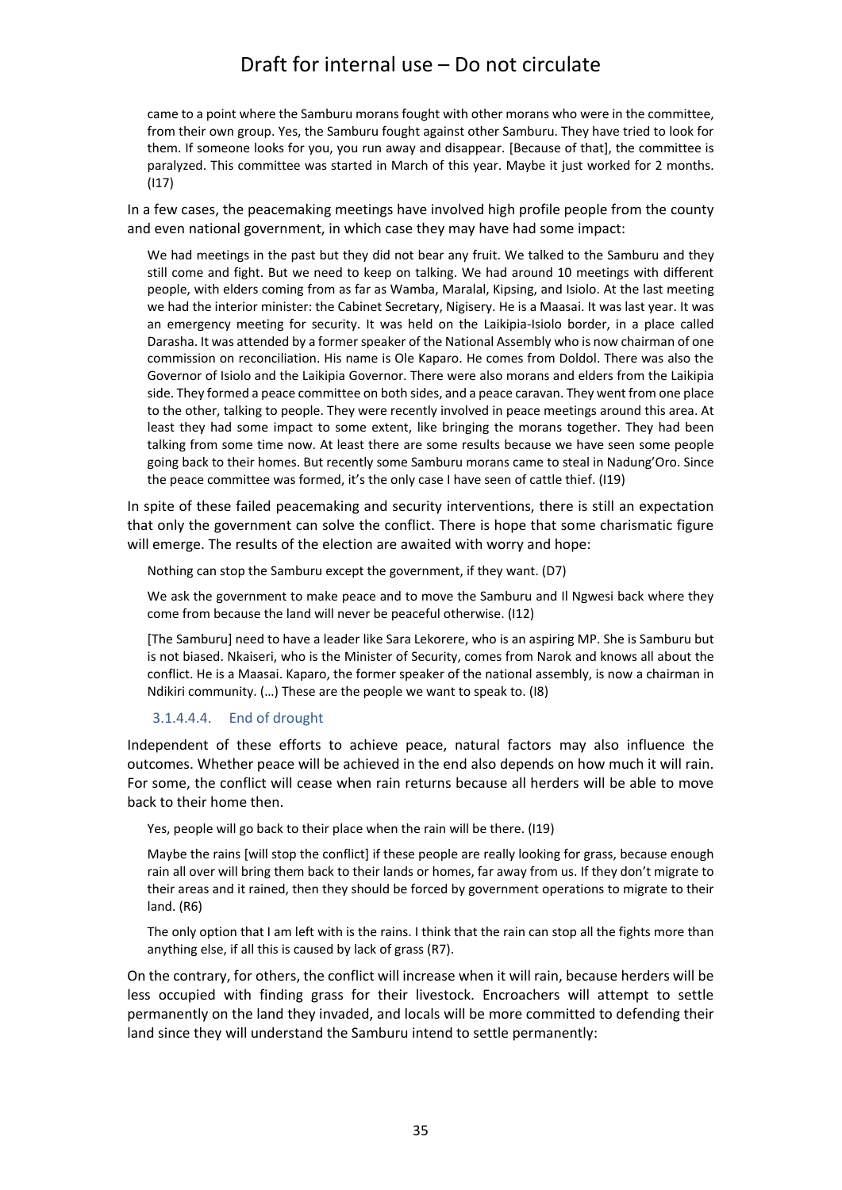We have a lot of droughts. Once we finish the grass in the forest, we all go to Mount Kenya or to the Aberdare. Those are the directions that we take. Even right now, that is where our livestock is. The rest are in the ranches around, like Borana, Olenaisho, and Loldaiga. (I4)

Facing a shortage of grazing resources, the community is developing hay production with external support from NGOs. A local leader involved in the hay project explains the approach to us:

We started the hay business 20 years ago. We started because a company gave us the idea. It was an NGO. After the NGO enlightened us, they left, and the government came in and gave us the money to plow and plant the grass. The government project is called NDMA.<sup>12</sup> Yes, they are still there. They give money to plow the land, pay the workers that plant the hay, and harvest. They do that for free. The whole Il Ngwesi community benefits. (I2)

Grazing management is evolving with the adoption of "holistic management"<sup>13</sup> through partnerships with NGOs like Northern Rangelands Trust (NRT)<sup>14</sup>:

I am the rangeland coordinator. I work with the community to decide how to graze, how to use the available grass, and how to ration the pasture during the dry season. We have partner organizations like NRT, and then we have experts, consultants who bring the idea of "holistic management." We hire consultants who have these skills. NRT used to support us in empowering pastoralism with holistic management. The conservancies are the entry points. Population is increasing, so elders are overwhelmed by such tasks as managing grazing. They use other hands like experts to handle grazing. People see how the climate is changing. Ownership will be an issue. People say we have to manage from here to here and ration. People see what causes degradation. They think about other tools to manage the land (Ia20).

The neighbouring Mukogodo community adopted a similar management model, also with support from NRT. It tried, unsuccessfully, to adopt the "holistic management" model proposed by this NGO:

As a rangeland coordinator, I work with the community on grazing planning. We have livestock and our livelihood depends on the grass, on the pasture. It is my role to work with the community to make a plan for the conservancy. It is a community conservancy. The grazing area has been divided into blocks. We have 3 zones. Each has its grazing block and we have a small section in the conservancy that is common to all three zones. I work with the community to come up with a plan for each village. My role is to mobilize the community on issues of grazing. I meet the elders and contact partners to search for help. When there is a conflict, I try to solve it through dialogue. The three zones are Nadung'oro, Sieku, and Naimaral. Here, we are in Nadung'oro. Sieku is down the hill, north and west along the Sieku River. Naimaral is down, to the north-northeast. No, these places are not sub-locations. We call them villages. In each of these places, we have a settlement area, and the bush is divided into dry and rainy season grazing areas (I11).

I am paid by NRT and I am coordinator for the conservancy. I report to the conservancy manager. The conservancy has a rangeland department where I am the head. It also has a water department and a security department. We all report to the manager. We all work together. I have a grazing committee with 4 members per zone. If we discuss issues, I mostly use these committee members. They are elected by the community through a general meeting. They have a 3-year term. Yes, in every village, there is a wet and dry season grazing area (I11).

The conservancy is for the whole community but is divided into 2 zones: a buffer zone for grazing and a core area for wildlife. The conservancy is 6,000 acres. The buffer zone is the big area, with maybe 5,000 acres, but it is subdivided into 4 zones. We do bunching livestock. We do collaborative assessments and request livestock for each zone. This is the holistic grazing approach of NRT. We

**.** 

<sup>&</sup>lt;sup>12</sup> The National Drought Management Authority [\(http://www.ndma.go.ke/\)](http://www.ndma.go.ke/)

<sup>13</sup><http://laikipia.org/holistic-management-a-rangelands-solution-for-laikipia-or-a-hole-for-donor-money/>

<sup>14</sup> <https://kwcakenya.com/regional-associations/northern-rangelands-trust/>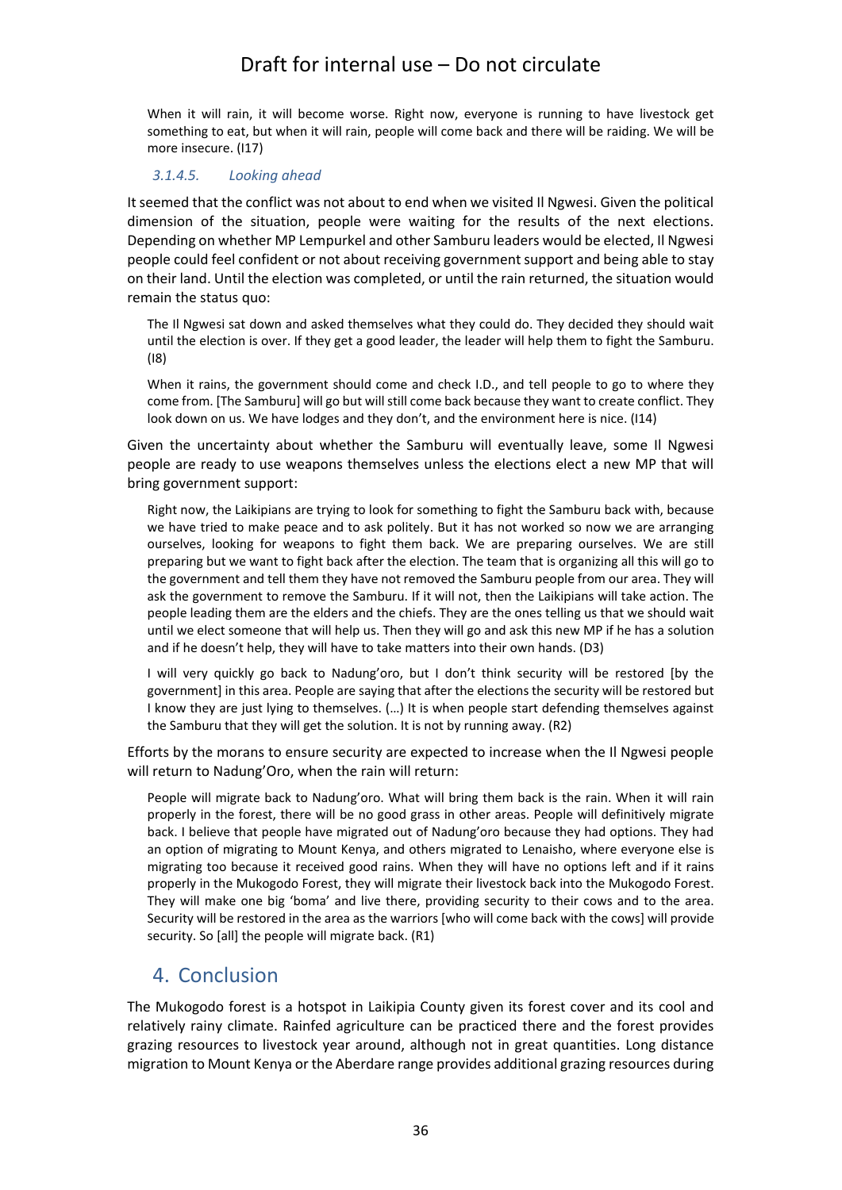divided the land into 4 blocks to avoid overgrazing. We bunch all livestock in one block and move it. We rotate. All communities put their livestock together in these blocks. (I11)

#### <span id="page-15-0"></span>*3.1.3.1. Farming*

Farming is mostly practiced on the "plateau," in Nadung'Oro. According to Ia20, it was adopted following an increased interest in education and changes in diet:

Fifteen years ago, people started to cultivate. Before that, you would never see any person doing farming here. Before they started farming, the Maasai people consumed meat, blood, and milk. Later on, they started to consume flour and maize and started to cultivate to have food from their shamba [field]. Up to now, people have been selling livestock and buying food. Livestock rearing does not allow for much farming because during the dry season, we have to migrate and leave the shamba. But now people remain here. They used to migrate to Mount Kenya during the dry season but stopped because of schooling (Ia19).

Farming is also practiced in a few localities outside the plateau, where it is riskier because of the lack of rain, especially following climate change:

Last year I grew beans and maize. I was only able to harvest the beans, as the maize could not grow. I plant on 1 acre of land. I started growing crops a long time ago, but due to climate change, I stop at times. I used to grow many different crops. I even used to plant potatoes in the past, and the harvest was good. (D2)

At least in this area, you can see that people are planting crops. In the past, we only kept livestock, and no one did any other thing for their livelihood such as farming. We don't plant crops down at Sang'a but here at Emurua, at least, many people have got farms to plant crops. (R3)

Farming is also practiced at a larger scale outside the Group Ranch, on land bought in Chumvi and along rivers:

Yes, we do farming in Chumvi. We grow maize and beans. When we go there, we find people who know farming better, the Kikuyu, and we pay them to cultivate the shamba. (I16)

People who are living ahead are a little bit better off because they do farming. They have food from farming. They do farming along the Leparua River. (I17)

Returning to farming on the plateau, Ia21 details farming activities:

We only grow maize and beans. We get the capital by selling cattle and shoats. One cow is sold for 10,000 and one shoat for 800 KSh. That's how we managed to get the capital. Then we went to the market and got the seedlings and started cultivating. No one is allowed to exceed one acre of cultivated land. We are only allowed to cultivate a small piece of land around our home. The rule is decided by the community forest association. The production is for consumption only. We also get honey from the forest and sell it for 250 KSh per kilogram. We sell it to white settlers. We also get fruits in the forest that provide lunch to those who graze their cattle (Ia21).

Agriculture is constrained by human-wildlife conflicts and restricted by KWS's concerns about these conflicts:

We grow maize, beans and potatoes. Any food you grow here does well. Farming activities are not allowed much in this area by KFS because they say that when you plant a lot of crops it will cause human-wildlife conflict, because there are a lot of animals and they will destroy crops, so there will be many complaints. Yes, they can say that because the forest belongs to the government. We are not allowed to plant crops because the animals live in the forest (I20). According to the Kenya Forest Act, you cannot plant in a community forest because that would attract interest in destroying the forest (IaIm).

Around the settlements, we can plant but if we plant much, we will have no place for livestock. There are places where the canopy does not allow grass to grow in the forest, so we have to keep that pasture around. So we set up our rules. You can plant a small farm where you are living, like 1 acre. The CBO [Community Based Organization]ensures that this is applied. The CFA also has the same mandate.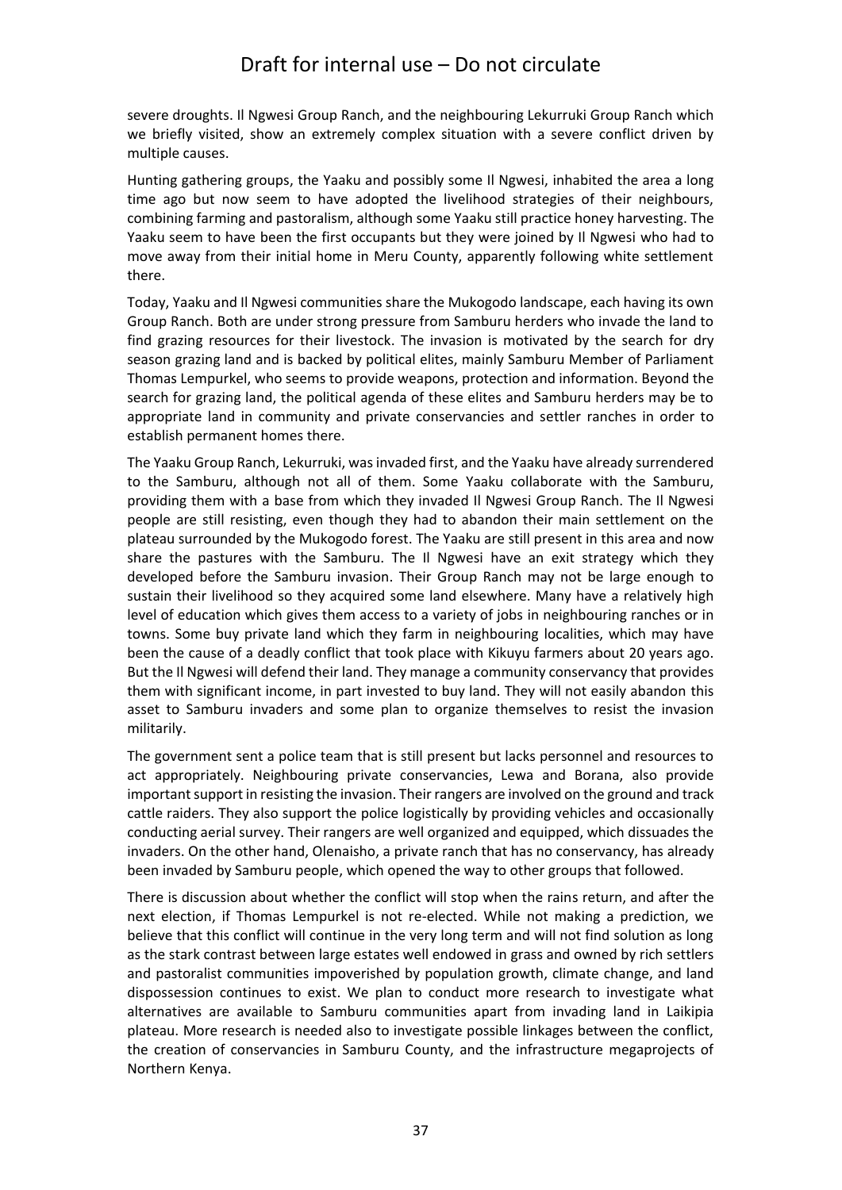It is not clear whether agriculture is also constrained by the commitment not to clear the forest. We did not stay long enough to detect whether people avoid practicing agriculture in the forest on their own will, or because of the fear of government reprisal:

People had been living in this forest since our ancestors. The government tries to orientate people to do agriculture there and plant trees here. In other places, the government has given the forest away in plots. We don't have water here [in the forest], so I don't think people will do agriculture (Ia20).

Maasai abide by the law. They would think about clearing the forest unless others come here to clear, like the Kikuyu and Meru, who like burning trees to make charcoal. No, we never had them coming here, except for those who came to get some logs and were punished by community members. They were fined and sent away. They saw the big forest and saw that Maasai people did not know how to use the forest, so they came back with a tractor and power saw and felled 3 African cedars to make timber. The community came and brought them to the police and told them to plant trees (Ia21).

Given these restrictions, the potential to develop agriculture inside the ranch or the "forest" may be limited, as reflected by the fact that people invest in buying farm land outside the ranch. Agricultural expansion is, in fact, externalized:

People are buying private land to do small scale farming where you can do irrigation. They do small scale agriculture here [in the ranch] during the rainy season, especially maize and beans, and then move to do irrigation agriculture in Ngarendare or Munyangalo, outside the Group Ranch and around Mount Kenya. The land is expensive, but they can afford to buy it. They sell livestock or are employed or borrow money from a bank. Now pastoralism is not supporting life, so people are seeking other ways to support their livelihood (Ia20).

#### *3.1.3.2. Conservation and tourism*

<span id="page-16-0"></span>Il Ngwesi Group Ranch has a community conservancy with a lodge<sup>15</sup> that is managed by the community itself. The initiative was pushed forward by external people but seems to be well accepted now:

We used to hunt some of the wild animals for food. We mostly killed giraffes because we loved their meat and the bone marrow. These settlers who neighboured us, mostly Ian Craig, educated us on the importance of wildlife until we decided to do the tourism business by building the Il Ngwesi Lodge. People were very reluctant. They said that he wanted to grab the land. But after they took people to Narok and Kajiado to see what the other Maasai were doing, those who were reluctant accepted starting the tourism business. (R3)

A specialist told us how we can benefit from this Group Ranch. They advised us that we could not keep a lot of livestock and that we should attract tourists. That's why we started the lodges. (…) Before the lodge, a muzungu used to do a camel tour. He is called Makin. He said we should do tourism and we looked for people to help us. That was in 1974 to 76 and in 1980. We built the lodges. No, it was in 1998 in fact. We prefer the tourism work to livestock keeping. We benefit a lot from tourism. (I3)

Two important players for conservation initiatives are NRT, an NGO created by Ian Craig, from the family who owns the Lewa Conservancy, and the Laikipia Wildlife Forum (LWF), a forum on landowners also created at the initiative of white settlers. The manager of the rangeland has his salary paid by NRT, which trains him, but he also collaborates with LWF. We asked him to compare these two organizations and explain how they work. His answer focuses on NRT:

The approaches are the same, but their funding is different. NRT tries to empower the conservancies. LWF empowers the consultants who work on the ground. NRT helps the communities to own the model. We have a rangeland coordinator, a conservancy manager, and 17

 $\overline{a}$ 

<sup>15</sup> <http://ilngwesi.com/content/visit/>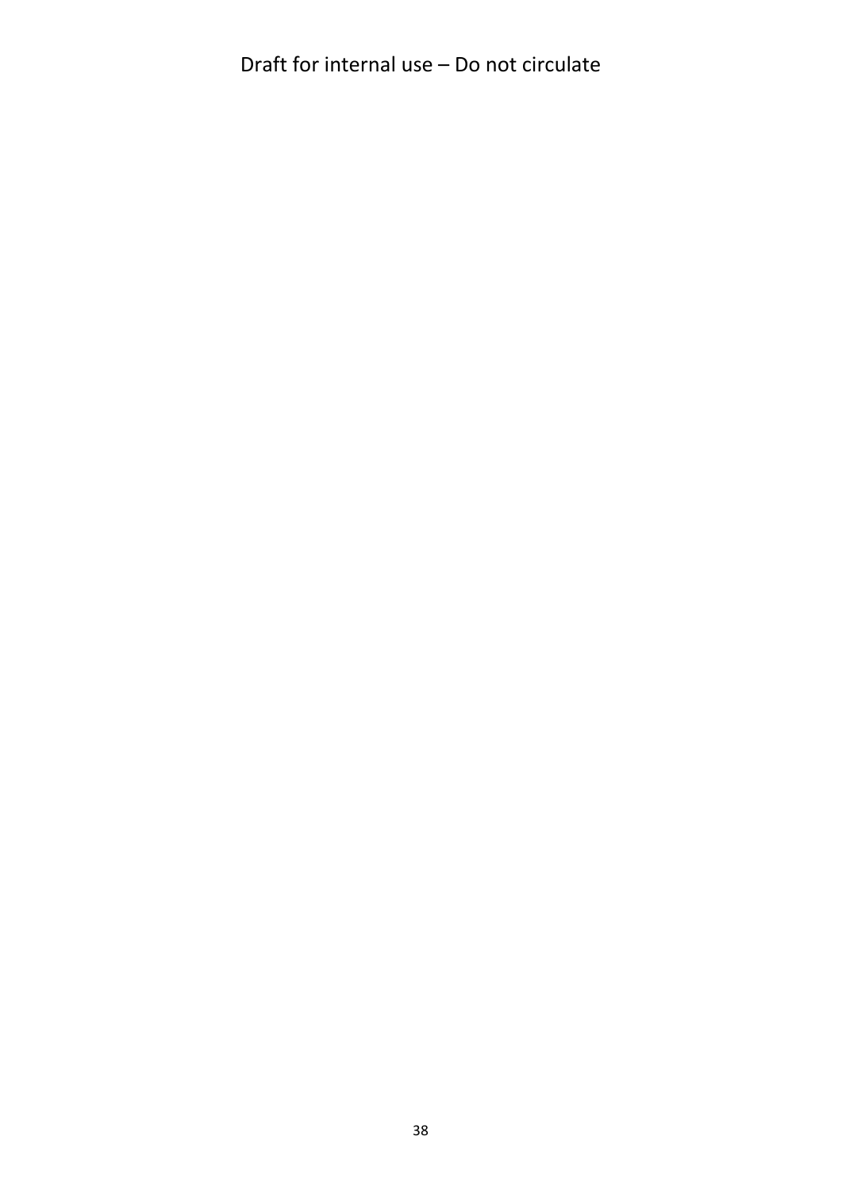securities wardens paid by NRT. NRT supports the management structure, facilitates meetings, and also provides mobility. They paid for my bike and for the manager and the security team (Ia20).

In Il Ngwesi, we have the Group Ranch Committee, the Trust Committee, and the Board of Directors. Other Group Ranches also have their chairman, and all chairmen make decisions together. They are the Council of Elders. That's the top structure of NRT. NRT supports 37 community conservancies, so we have 37 people in the Council of Elders at NRT (Ia20).

NRT has working structures for rangeland, for security, for livelihood (microfinance, etc.), education and tourism. They also have a monitoring and evaluation unit. If the rangelands have problems, there is a department at NRT where we can report them, but the final report goes to the NRT Council of Elders. Ian Craig is a consultant at NRT. Mike Harrison is the director. And Thomas Lalampaa is the program manager (Ia20).

Communities think that I am employed by NRT. But I am employed for the community. NRT says the community owns NRT. But people feel NRT is an outside thing. It takes time to make them understand [what NRT is], but eventually it will happen. You can see that the Council of Elders is made up of people from the communities, and they are the top people at NRT (Ia20).

Il Ngwesi Group Ranch, together with 3 other Group Ranches, is also involved in the conservation of Mukogodo Forest. The forest does not attract many tourists, and no lodge has been built in or around it. The main motivation for its conservation is a desire to stop encroachment by neighbouring communities and a fear of losing control over its resources if the government decided to manage it itself. Local leaders tell us how the community became involved in its conservation:

I was born in 1962, and I can remember that when I was a boy, there were forest scouts around. No one ever planted trees in this forest. It is a natural forest. The forest scouts stayed here a long time. There was a forest scout headquarters here in the plateau close to the forest, and there were others around the forest. Then the government saw that the community was managing the forest well and so the scouts had nothing to do. The government stopped employing rangers. After the last scout left 10 years ago, the government started moving out the people who were living inside the forest. That rule came to the community. Then the government came to assess the forest. We were the first forest to be protected by the people themselves (Ia19).

The forest was recognized as the best community-maintained/managed forest and given a certificate by Kenya Forest Service (Ia21).

After that the Kenya Forest Service came to the community to make some arrangements and show how long people could stay and under what circumstances. They said we would not be removed from the forest unless we destroyed it. They signed a 10-year agreement with us and if we don't destroy the forest during those 10 years, they will renew the contract. Then the community and those living in the forest created a movement, a forum, called ILMAAMUSI [the CFA], to lead the initiative of protecting the forest.<sup>16,17</sup> Four Group Ranches are represented in ILMAAMUSI: Il Ngwesi, where we are, Makurian, Kuri Kuri in a Mukogodo location, and Lekurruki in a Sieku location. We obtain grass, water, firewood, and building materials from the forest. We are born here, live here, do farming here, and rear livestock here. Everything we depend on is here. Nothing is outside this "forest".<sup>18</sup> Many people from outside try to destroy it but we make sure they don't. We graze our livestock in the forest and do some subsistence crop farming. We also do some tourism activity, because the area is a tourism attraction site. We also conserve some areas as a grass bank because

<sup>17</sup> Se[e http://www.laikipia.org/mukogodo-forest-news/](http://www.laikipia.org/mukogodo-forest-news/)

 $\overline{a}$ 

<sup>&</sup>lt;sup>16</sup> The same informant said that "people were not asked to move away from this forest. Nobody was living in that forest, so nobody was removed." This contradiction could be explained by what is meant by "the forest". It could be the forest itself, or it could be the whole land managed by the forest association, which includes the area with settlement. The contradiction could also be explained by hesitation to reveal the displacement of minority groups like the Yaaku. There seems, in fact, to be a conflictual situation between the Maasai and the Yaaku.

<sup>&</sup>lt;sup>18</sup> When people say, "the forest", they in fact refer to the land they manage, which includes the actual forest and the plain, covered with grass, where their settlements are established.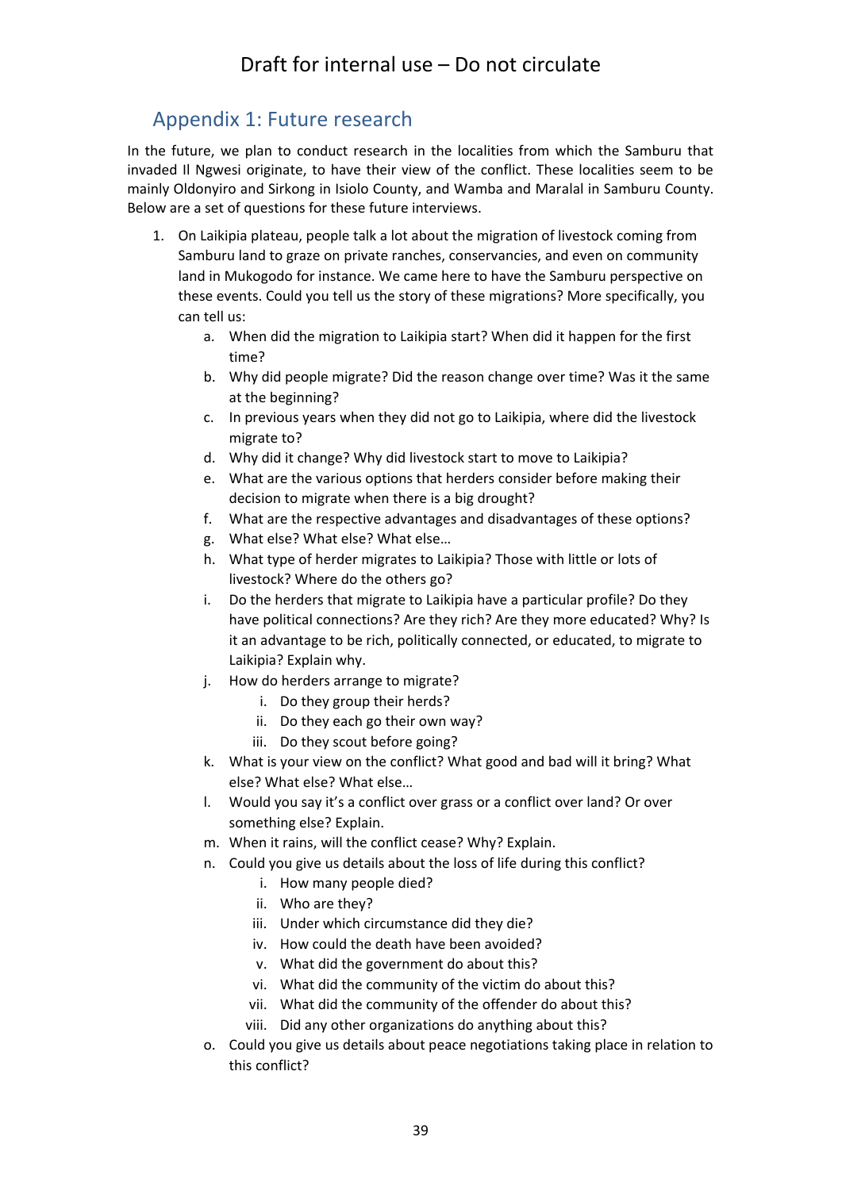the members of the Group Ranches use the forest as a grass bank during the dry season. That makes it a very important forest to preserve. Even those from outside take initiative to protect it (Ia19).

One of the directors of the CFA gives additional details about the organizations that manage the forest:

We are 4 Group Ranches trying to manage that forest. We pick the chairmen of all these 4 Group Ranches to constitute the board. Now they want to combine the Group Ranches into one (I20).

The CFA was formed after the Forests Act of 2005 or 2008. It involves the 4 Group Ranches. It has a board whose members come from the 4 Group Ranches. It is responsible for meeting with KFS to discuss issues related to the forest. It has an office, a manager, and its own rangers. It has paid staff, who work here and are recruited here. They patrol the area and they guide the tourists. They also make roads inside the forest that the community and the tourists will use (Ia20).

The CBOs were formed in 2013. There are 4 CBOs, one in each Group Ranch. At first, they were not very active. It takes time. They hired their manager a week ago. They have funding from NRT and possibly others. They also pay a coordinator and a security team. They are responsible for the protection of the forest in a specific Group Ranch. They also feed the CFA with information about the forest and elect members to go to the CFA Board of Directors (2 members per CBO). They represent the people who are living in and close to the forest. Their committee is elected by these people. There are 13 members in each CBO committee: a chairman, vice chairman, secretary, vice secretary, treasurers, and members. And we have board members, men and women, and co-opted board members from outside, like those assisting with financial aspects. They are people from Borana Conservancy, NRT, LWF, Lewa Wildlife Conservancy, Kenya Forest Service, and KWS. No, there are no disagreements between co-opted members and community members. No, there is no paid staff in the CBOs (Ia20).

The CFA includes representatives from the Yaaku community; however, they do not seem to recognize this institution:

The CFA is a new thing. For the CFA, the forest is divided into 4 sections, one for each Group Ranch. Each Group Ranch manages its part. Now that the CFA has been introduced, the CFA and the conservancy divide their roles (I11).

There is no area where we cooperate. When this forest started, we were inside, and we are still here, and we don't work with this CFA. This has been brought to us, and we don't recognize it. We are the ones who managed the forest even before the CFA. No, we don't have members of the community in the CFA. (I14)

External stakeholders may significantly influence decisions. We did not stay long enough to investigate whether this is the case. However, the community organization had an opportunity to show that it could resist external suggestions regarding the management of the forest:

A nominated MP [Member of Parliament] explained to the community that they were losing their lives to the wildlife and proposed to fence the forests. The community said the fence would not help because both people and animals live inside the forest. It would be a big problem to have a fence while people live inside, so this would not improve anything. The nominated MP saw that she had made a mistake and she apologized to the community. The community told the committee and the National Government to drop this project (Ia19).

Conservation stakeholders, especially the neighbour private conservancies, are generally quite well perceived because of the supports they provide to the community. They provide security in case of conflicts (see Section 3.1.4.4.2) and help with building infrastructure and accessing education. They substitute the government in many respects:

Lewa is very helpful. Lewa does more for us than the government. In terms of infrastructure, it is completely Lewa. The government chips in by subsidizing primary school, but that is all. Most students here will attend secondary school, but few of them come out of form 4. Many drop out during secondary school. Fees are not the main reason they drop out, because Lewa assists some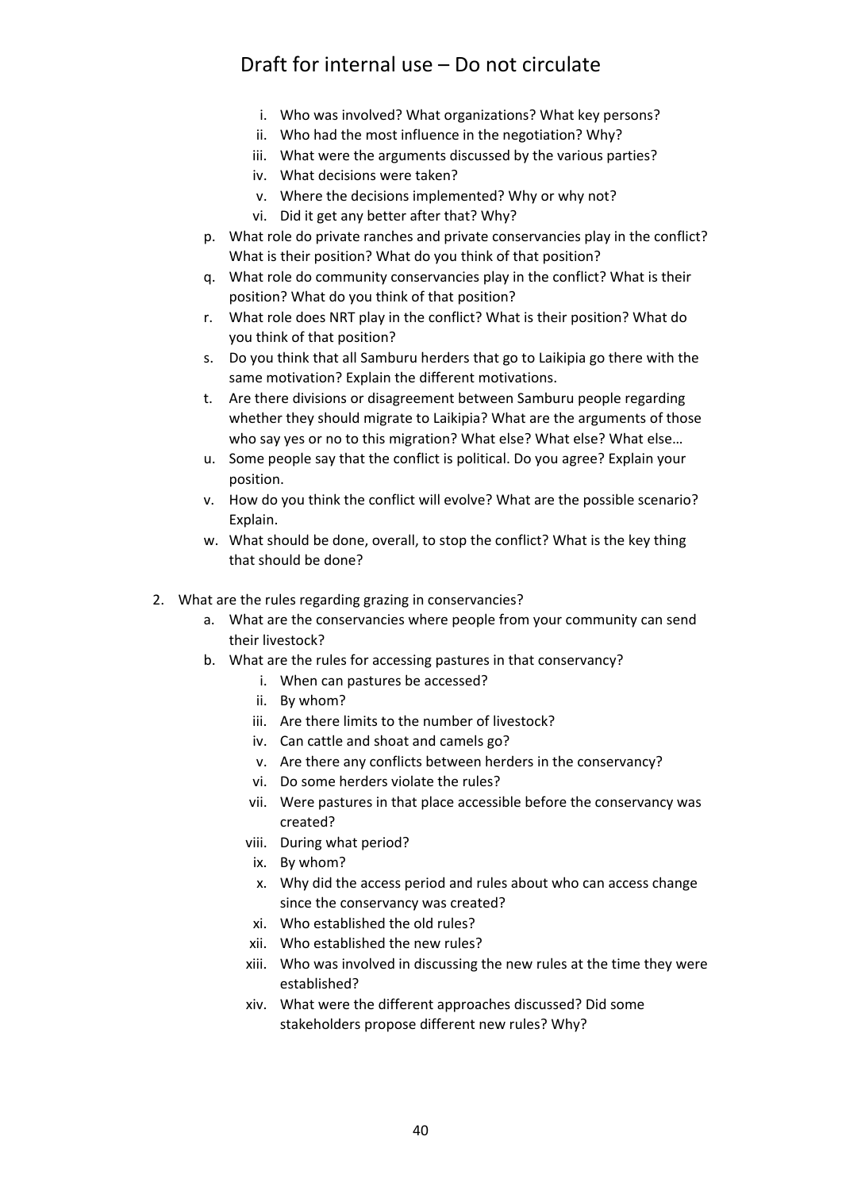of them. One year, Lewa sponsored all of them to go to secondary school, but only 2 finished. Maybe they drop out because they find that urban life is tough. Some even believe that they cannot be taught by a lady. Lewa sponsors the top 2 pupils (one boy, one girl) every year. Also, some other donors come through Lewa to sponsor the students, but I don't know who those donors are. (D11)

#### <span id="page-19-0"></span>*3.1.3.3. Salaried jobs*

Il Ngwesi people seem to have benefited from access to education for quite a long time. Many are not living in the countryside and have jobs in town or at the farms, ranches and conservancies nearby. Today, they still invest a lot in education, probably because they are aware of the finitude of the natural resources they depend on. They also engage in various businesses to diversify their livelihood strategies, as reflected by the life stories below:

Some people benefit from employment opportunities at ranches: Borana ranch, Il Ngwesi [wildlife] conservancy], Lewa Wildlife Conservancy, and Oreteti Conservancy (Ia21).

My son dropped out of secondary school in year 3. He works in Ethi now. (…) My husband goes away to find jobs. He goes to town and buys food to bring home. My husband is the supervisor at a farm called Cox in Ethi. (D2)

My father migrated to a place called Sepeyo (in Makurian Group Ranch), where I was married. We stayed there with my husband until when he went to work in the private ranches. (R5)

Women also do bead work that they sell to other people in the community or to tourists. A few women may obtain significant benefits, but the activity seems to be constrained by a limited market:

[Displaying her beads] It takes maybe one day to make a small bead work item. VSO came to show us how to make the bead items. They came 5 years ago. Now I spend most of my time making these, but the problem is I don't have a market; no one is buying them. I used to take them to Borana, but now they don't take them anymore, starting 5 months ago, because they have too much, they have enough. I invested 4,000 KSh for the beads. I would sell at approximately 200 KSh for each item at Borana. If this bead work doesn't work, I don't know what to do next. Maybe we can do something if the women's group develops. (D2)

We are still doing bead work and we sell it to NRT. NRT used to come pick up the bead work, but now we send it to them when there are orders. (D8)

We do a lot of bead work, and all the money to educate the kids comes from that. (I15)

#### 3.1.4. The conflict with Samburu herders

<span id="page-19-1"></span>The purpose of this field work was to assess the conflict between Il Ngwesi and Samburu people that remains ongoing at the time of writing. This conflict is part of the broader conflict in Laikipia County, where armed Samburu herders have been bringing their herds to private ranches and conservancies since about June 2015. We gave a brief overview of that conflict in Research Scoping Report #5, which focused on Laikipia West, where two white settlers were recently shot (one died) after we completed that field work. In this section, we describe the ramifications of this conflict in Il Ngwesi Group Ranch and neighbouring Lekurruki Group Ranch, based on information collected in Il Ngwesi and Lekurruki Group Ranches. After completion of this report, we collected additional information regarding the causes of the conflict from the perspective of Samburu people, whom we interviewed in their home communities north of Mukogodo Forest. The results of these interviews are presented in Appendix 4.

#### *3.1.4.1. Overview*

<span id="page-19-2"></span>The conflict with Samburu people was already present when we first visited, in November 2016: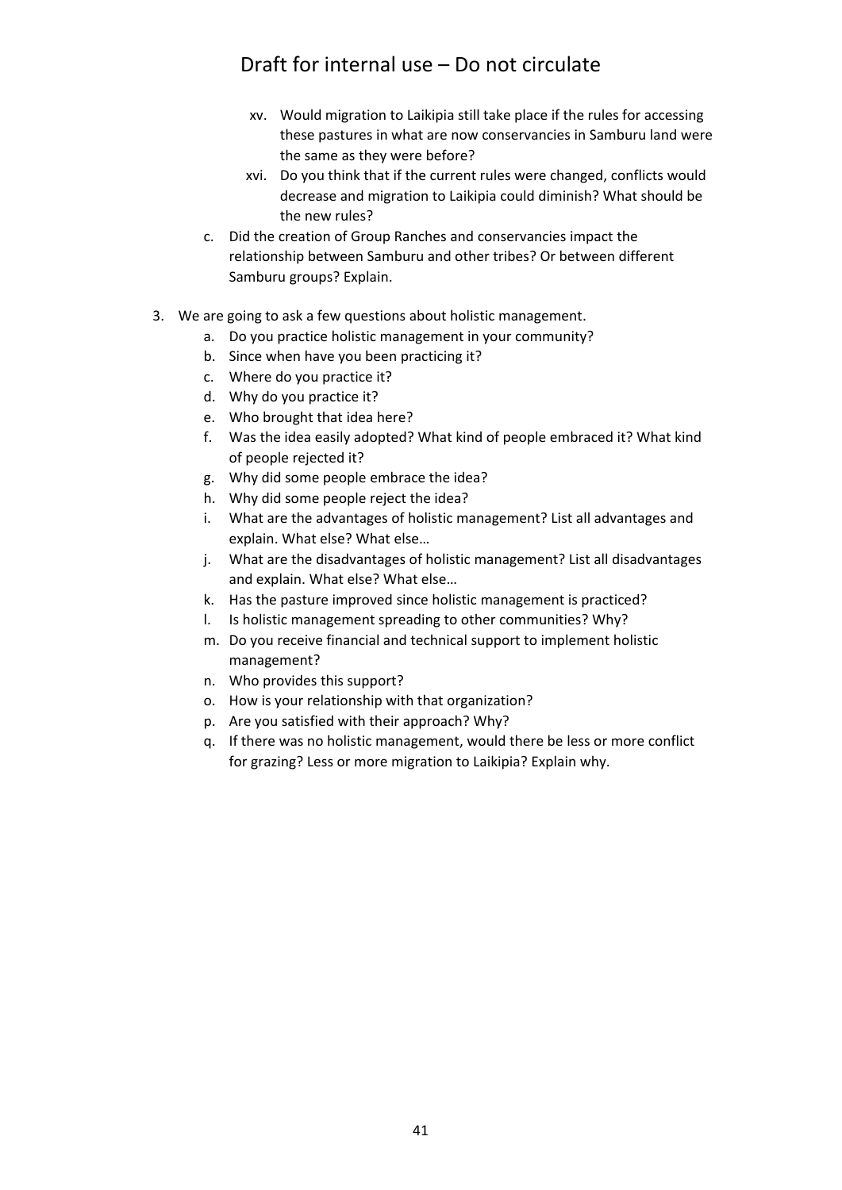We, as Il Ngwesi community, are a sub-tribe of the Laikipiak Maasai. The name "Il Ngwesi" means wildlife. We are the people of wildlife. We call ourselves Laikipiak Maasai. The people living outside are Samburu. We have tried to conserve and grow enough pasture to resist a long dry season. We have a buffer zone that should have no settlement. There is a paddock in the buffer zone with 5 grazing zones. We have a grazing committee that is made up of livestock owners. They are the ones involved. But bordering communities encroach when their pasture runs out. They come to Il Ngwesi, which tries to defend its resources as much as it can. Some people lost their lives while defending their property. There is a lack of control because many people are encroaching now. The management is not strong enough to stop it. This encroachment started in the last 2 years (Ia20).

During the dry season, there is encroachment by pastoralists coming to the forest from outside. They are a few herders with many animals. The leaders have a lot of meetings and allow these communities to graze in various areas (Ia19).

The encroachment on the land by Samburu people just started recently because their land is bare, and that forces people to encroach. There is an increase in stocks, cattle and shoats, and settlement. The rain patterns contribute to this. They have very big herds. They are nomads who used to move wherever pasture is available. During severe droughts, they used to move, but in a disciplined way. Now, they are not disciplined. They are armed, and they feel they can do whatever they like. Before, they had no guns. Before, they sought permission or just asked for a corridor they could use. Now, in private ranches, you can see what happened. Before, they would pay. Now, they don't buy pasture because they have guns. Before, they asked permission from the owner of the ranch. We don't know where the guns come from. They do cattle raiding. We border countries where they can find guns. They have all sorts of guns, but they have no bombs. It will be worsening because the communities who used to live in peace are forced to have guns too. They feel they have to protect themselves and defend their land, so things will be worse. Also, there is climate change with drought every year, so people will fight for the little available pasture (Ia20).

The conflict intensified recently. Here, we report the chronology of events by patching together excerpts from several interviews:

This is a border conflict. It started at Lekurruki (CS) Group Ranch in 2010 or 2011. The Samburu people were grazing livestock inside the Group Ranch without permission. The owners are Yaaku. Pressure was increasing, and fighting started in Tassia. (IIm)

[The Samburu encroachers] are from Maralal [the biggest town in Samburu], Oldonyiro, and Wamba [see Figure 2]. (I6)

The problem started when the Il Ngwesi lodge refused the Samburu access to their lodge for grazing. The Samburu want to graze everywhere, and they weren't listening to the Il Ngwesi community. That is what has caused the fighting. The Samburu wanted to get inside the core area, which is restricted for wildlife conservation. (D9)

The main causes of insecurity today are Samburu warriors who are invading our conservancy, raiding our livestock, and killing our people. We have not yet determined what they really want, but we still think that they are running away from the drought that affected their areas more than here. We think that there are still some thieves in the Samburu community who are loitering in these bushes to look for animals to raid and for people to kill. (R6)

There is a place called the core area [around the lodge], that triggers the fights in this area. We have rangers who are protecting the lodge. Both the rangers and the Samburu herders have guns. Every time the Samburu bring their livestock to the core area, the rangers drive them out, and they will always do that once or twice until the Samburu herders fire at them. Anytime the Samburu try to shoot the rangers, a fight starts, and things will not be good for a while. (R7)

The conflict also involved Turkana people:

The second community that started to affect our community here are the Turkana. They were accusing us of being with the Samburu because they were fighting with them and [because of] the fact that we speak the same language. (…) They have been stealing one to five livestock in the grazing areas. They have also hijacked vehicles with our people in them. They even killed a lot of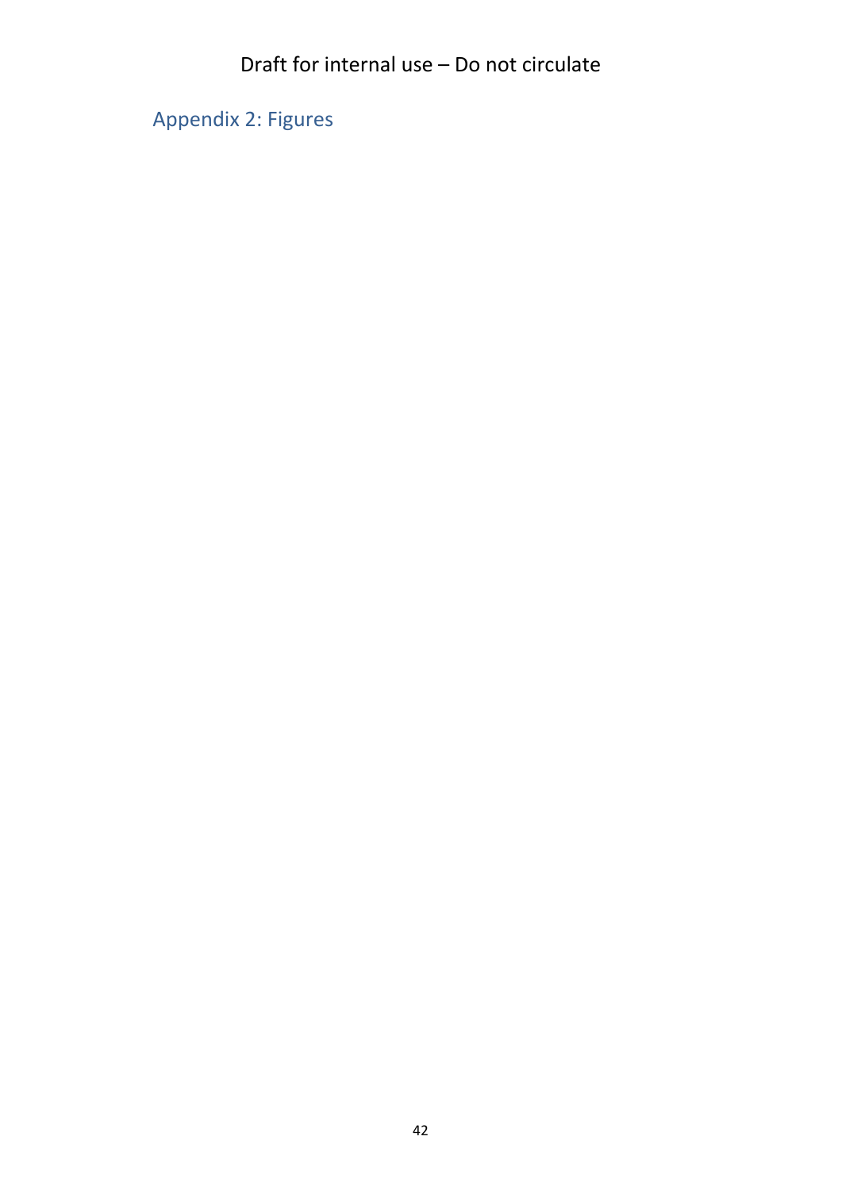people, and one day they hijacked a car transporting food and people to the community from Isiolo. Recently, the fight took a new shape after the Samburu cattle herders started invading our community conservancy, raiding our livestock and killing the people. This gave the Turkana community a different idea. The Samburu have been fighting the Il Ngwesi people, who are not part of the Samburu, and they have started raiding us as well. These raids are still ongoing and a total of 45 cows have been stolen by the Samburu raiders in few days. (R7)

According to some informants, the conflict originated in 2004, when herders realized that white settlers could keep rights over the land leased to them, whereas there was expectation among the Maasai that the settlers' leases would end in 2004:

The problem started in 2004, when they said that the land agreement between the British and Maasai was over. They were talking about a period of 100 years. There were some problems at that time. A ranch called Loisaba experienced some problems. It was invaded. In 2004, ranch invasion for grazing started, especially during the dry season. (…) There was no particular tribe invading Loisaba. (D12)

#### <span id="page-21-0"></span>*3.1.4.2. Driving forces*

#### <span id="page-21-1"></span>3.1.4.2.1. Drought and lack of pasture

The first explanation that come to people's minds when we ask about the cause of the conflict is the increasing frequency and severity of droughts:

This conflict with the Samburu is only caused by the drought, which makes other people come here from other places. (I14)

The contention is only grazing fields. That's the main cause of that conflict. It is only pasture because it is very dry there [in Samburu]. They had no rain at all during the past few years, so they want to graze their cattle by force here in the forest and in the conservancy. (I19)

In my opinion, it's not about land. It is just about pasture. I don't see the reason for land conflict. (I19)

The attractiveness of pastures in Il Ngwesi and Laikipia in general is accentuated by the fact that conservancies have abundant grass, since much land is occupied by wildlife which results in less intense grazing than by livestock. Moreover, large ranches and conservancies adopted a management approach called 'holistic management' to avoid overgrazing, resulting in the availability of abundant grass during the dry season:

In 2012, [holistic grazing] worked very well [in Lekurruki Group Ranch]. We did not have to move livestock to other communities. We managed well and had enough in our pastures. Then the success of the approach attracted the livestock from Westgate and from Oldonyiro, which has 4 conservancies inside it, and from Mpuskutuk, which is now part of Oldonyiro. We had brought people [from there] to show them our grazing plan, and instead of applying it on their land, they just brought their livestock to our land. The conflict started from there. It happened like that. The grazing committees from these conservancies, and from Masuru, came for exposure and were happy. But when they went back they told their guys that there is grass somewhere and the whole community brought its livestock, like 10,000 animals, with no plan. They flocked into the conservancy, without negotiating, and paralyzed our grazing plan. That was in 2014. (I11)

Holistic management is one of a series of tools. It is largely a land use tool, which uses livestock for rangelands rehabilitation. If the Samburu were better at this they wouldn't come here, but they haven't been successful, and greater numbers are coming here. Holistic management is quite easy to sell to pastoralists. It has been a bit of a magnet drawing in other people. It is a great approach to land management. (D13)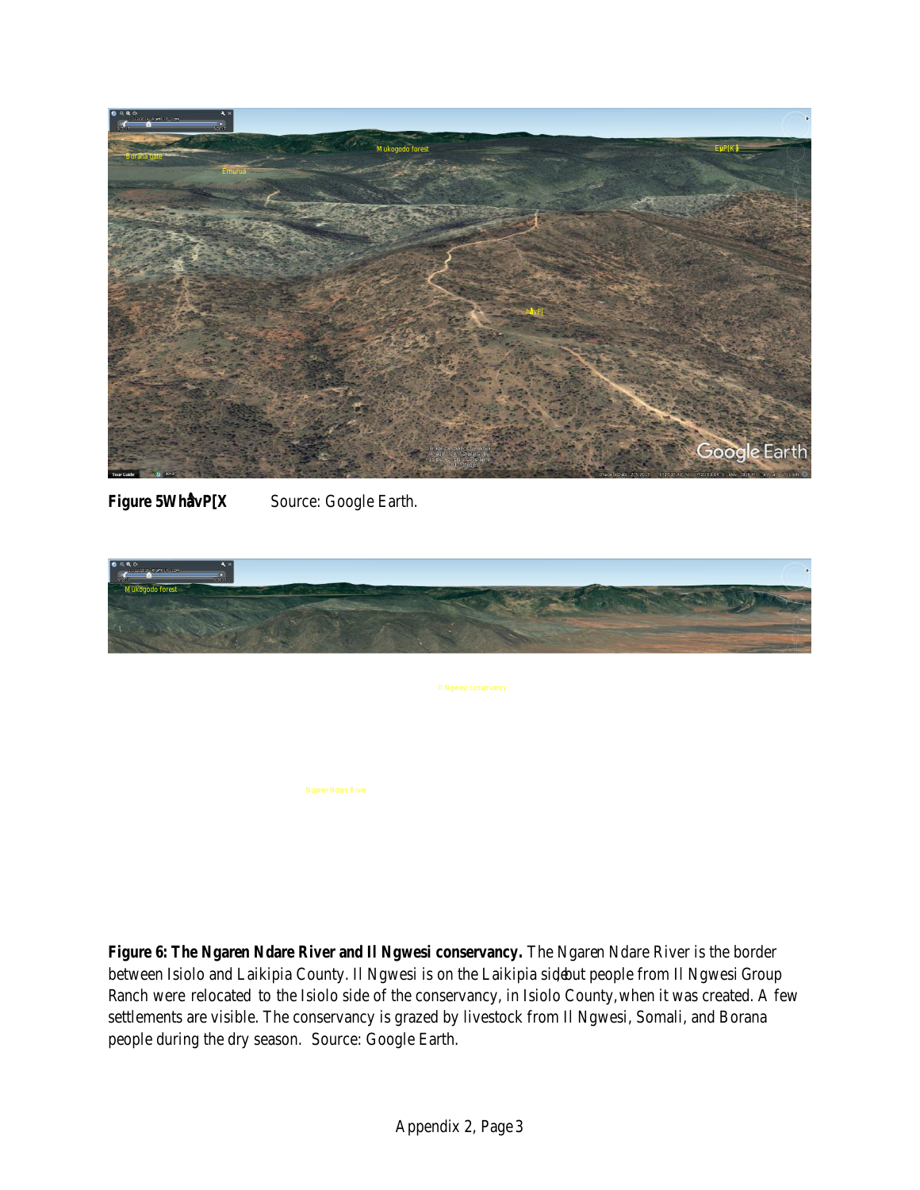#### 3.1.4.2.2. Accessing grass or grabbing land?

<span id="page-22-0"></span>Beyond the search for grass, the other possible explanation for Samburu encroachment is the search for land. There is intense debate about whether Samburu people come to access grass or to grab land.

The Samburu also tell us that in Samburu, the place has become very small so now they want to come to Laikipia. (D4)

When the Samburu come here now, their aim is not grazing; it's to take our land, because in the past they would come to graze but wouldn't kill people, whereas now they do kill people. (D5)

The Samburu saw that the land is good and that it has no wildlife. The trees provide leaves to animals during the drought, so they don't have to move to other places. (I12)

Nowadays it takes on another dimension because they are also looking for land where they can settle, because in their area, they are always fighting, year by year, while here there is peace. They are really looking for a place to settle. Also, there is no malaria here and there is no common disease for livestock. Where they come from they have diseases, so they are changing tactics nowadays. They don't come so much for grass. They go ahead and kill people. They want to displace people so that they can stay and live in this forest. (I4)

Some Samburu have indeed already settled within the Yaaku community:

So many Samburu are living in the Yaaku conservancy. Some have a small house like in the cultural boma, with some small paper and small pieces of clothes, not just mud. Some have brought kids and women. They are in Lekurruki, and they sometimes come briefly to Il Ngwesi. (I17)

The Samburu were just staying in their area in Samburu County, but recently they started migrating to this side, and they want to take our land so that they can settle here. Even the Samburu are telling us there is no other good place like this. In Mukogodo Forest, the cattle grazes very well, the environment is very nice, so they conclude that they want to fight to live here. If you go to Samburu, there are no very old men and women because there are a lot of mosquitoes, so they are dying, and the environment is not very friendly to them. The Samburu are fighting and killing us because there is no other place to migrate. (D3)

#### <span id="page-22-1"></span>3.1.4.2.3. Targeting private ranches and conservancies

Land issues are omnipresent in Laikipia. The county was a priority area for white settlement during the colonial period, and Maasai people were evicted to make space for settlers. After independence, some settlers left and their land was taken by the government, which allocated it or sold it to non-Maasai settlers, generally Kikuyu farmers, like in Ngarendare, where took place the conflict briefly described in Section 3.1.2.1. Other settlers stayed and took Kenyan citizenship. These private ranches, which are owned or managed by white settlers or other rich people who bought the land, are obviously an important target of Samburu encroachers. Il Ngwesi is located just in between Samburu territory and several large ranches, mainly Borana, Lewa, and Ole Naisho. Samburu people may have invaded Il Ngwesi to be at the gate of private ranches with greater grazing resources:

The Samburu want to fight these people around here so that they can migrate and live on the ranches. Once they have settled here, they will start invading the ranches. They just want the area as a place to graze and to live. (D3)

I also think that the main target for these Samburu is these ranches. To access the ranches, they must go through the Il Ngwesi community. (R4)

The main problem is that the Samburu believe we are on good terms with the ranchers, and that that's why the Samburu don't get access to the ranches. So they first want to get rid of us here so that they can access the ranches. The Samburu want to get the muzungus to go away. They want to live all over here. (D4)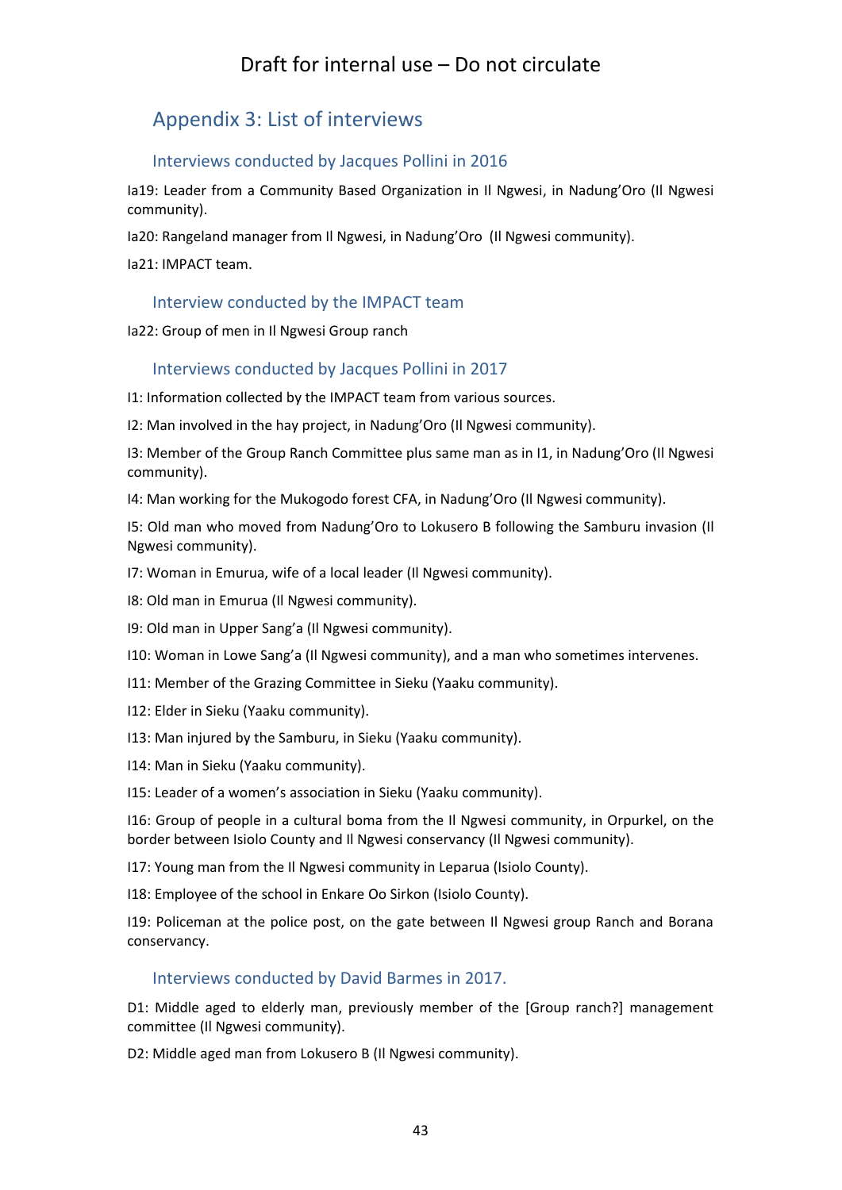In fact, the Samburu have already invaded a private ranch, Ole Naisho. They were followed by herders from other groups who all took advantage of the breaking of the gate. But they remain reluctant to invade Lewa and Borana conservancies, which are better protected:

In recent times, Olenaisho farm [ranch] was invaded around here by Samburu people from Isiolo. They have invaded the farm that neighbours Borana. We have seen that things are not good there. Maybe they will invade others, like Oldaiga, which is a private ranch. When they finish the grass from Olenaisho, they will invade this one. There are a lot of cattle in Olenaisho, like 50,000, and they are still coming from Samburu. Even Meru, Turkana, and Borana people are invading that farm. They are different communities and all of them are armed. Maybe they will invade Oldaiga only after Olenaisho, because the other ranches are conservancies. They are afraid of conservancies because Borana, for example, is well prepared and has rangers. KWS is looking at these farms because they have wild animals. They are looked after by the government. The Samburu can only invade livestock ranches because there are no wild animals there. (I19).

But the conservancies may be their long-term target, which may explain the great support that Il Ngwesi received from Borana and Lewa conservancy to stop the Samburu encroachment:

The conservancies are worried, and it's obvious that the Samburu are also going for them because now they are already in Ole Naisho. Maybe when the grass is gone there, the next step will be Borana or Lewa. (D7)

The Samburu are not able to reach the conservancy because of the communities, so maybe they fight [with the Il Ngwesi] to be able to eventually reach the conservancy. (D2)

#### <span id="page-23-0"></span>3.1.4.2.4. Land and politics

Whether settlers' ranches in Laikipia will eventually return to local native communities, be they local Maasai or their non-Maasai neighbours, is a hot political issue. According to many informants, the conflict with Samburu encroachers is in large part explained by the fact that an elected Member of Parliament (MP) for Laikipia County, named Mathew Lempurkel, is from the Samburu group. Samburu confidence and use of weapons could be explained by protection and support received from this MP. Samburu morans may even be in charge of managing and moving large cattle herds owned by this MP and other elites:

The communities have tried everything, but this did not work. When there is a security issue, the best approach is the elders. If they discuss the issue, they normally stop things, but this has been changed by politics. Before, when there was a security issue, the elders discussed and stopped it completely. This time, all approaches have been tried but the conflict is still there, so that means that there are politics behind the issue. If you allow your people to graze on the land of other communities during election time, they will vote for you. So that's the game behind it, although I am not sure. (I11)

We think Lempurkel and Samburu leaders are backing up the Samburu people coming here. (…) The cows inside this forest are for Lempurkel (MP of Laikipia North), Lesingei (County Executive Committee for Land in Isiolo), Letimalo (MP of Samburu East). The majority of these cows are owned by these people. Even the Samburu herders say that the cows belong to these people. … The nominated female MP told the politician in charge of security what is happening here, what the Samburu are doing fighting people here. But Lempurkel told him that this was false and that the Samburu have done nothing wrong. And at the same meeting, the Samburu leaders backed up Lempurkel and said that the problem here is the Il Ngwesi fighting each other. Also, the national government provided 40 guns to this area, but they think that Lempurkel gave those guns to the Samburu. (D4)

The elected Member of Parliament in this area is on their side. He is from the Samburu tribe and is really encouraging people from his tribe to come. He is telling them to come. In the recent past, the Samburu came during the dry season and went back when it rained. But recently, since 2013, which is the year when this MP was elected, we have been seeing all these issues year by year, from 2013 to 2017. (I4)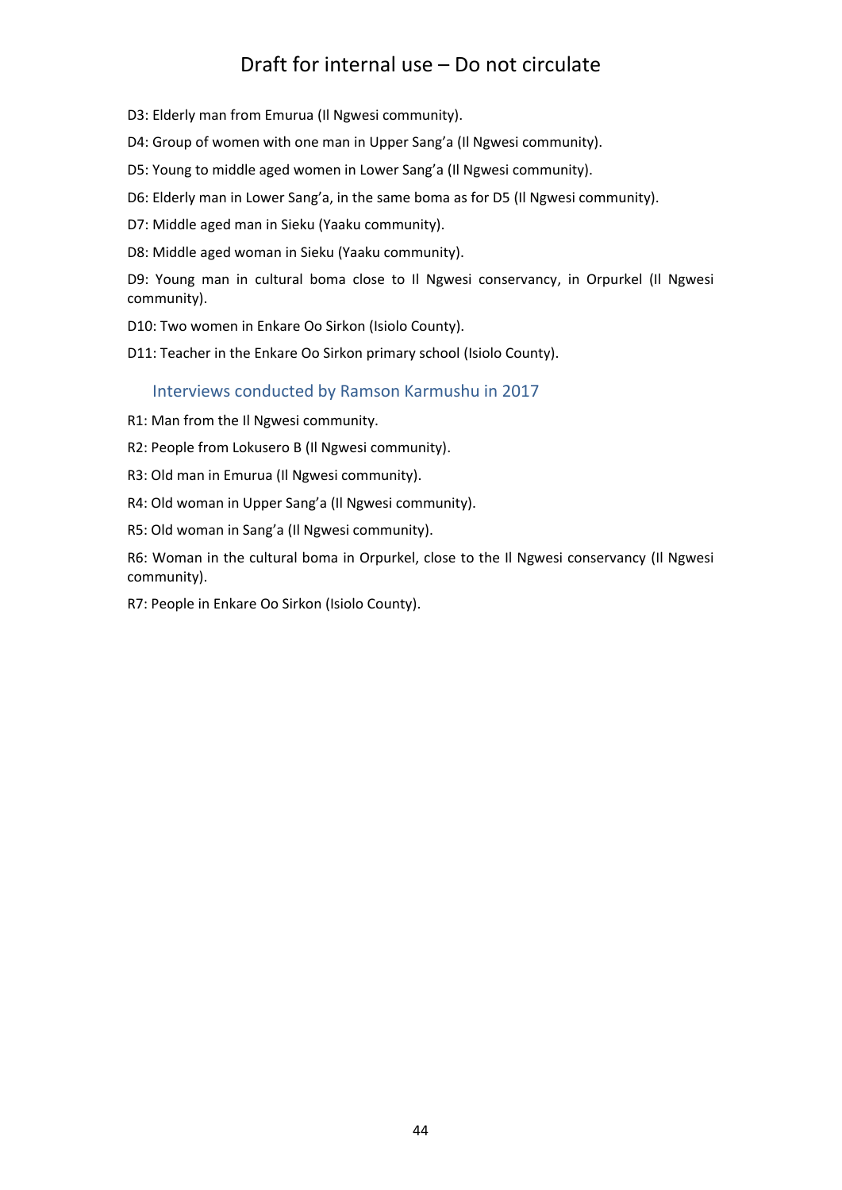There are also politics behind it. Ever since the MP [Mathew Lempurkel] was elected, that is when the fights started. Before 2013, there was no issue at all. I'm not sure if the MP has actually told people to come here. (D2)

We did not have this problem at all before they elected the MP. We only had some simple, normal theft, maybe one goat to eat, but this scale just started after the election of the Samburu MP. (…) Maybe their leaders are pushing them to come to this side. An MP called Lempurkel is pushing them. I have heard from the community that Lempurkel is telling them: you just go to that area and push people because they will not do anything to you; this community will not harm you. (D3)

I think [the Samburu] have very strong support, even from people who are working in the government. I can't really know who, but they must have some strong support from the government or the county government. They have support because when the livestock goes to their side, the government does not follow. They don't listen to the chiefs and the District Commissioner. They can even fight them. So, I think that there is someone that tells them to fight anyone who tells them to bring the livestock back. (I17)

If you look at the inside, you will find that some herders are employed by the elites, and maybe the owners of this livestock are living in Nairobi. Rich people and these herders are well connected. I think it is a bit of mix. (I4)

Some elites are Samburu and have big herds. Their herders are the people we have conflict with. The moment we arrest them, they are bailed out. We take them to court and you will think the case will continue, but the following day they will be released because there is that collaboration with the owner who is working in a government department. So they bail them out. Yes, there are rich Samburu people working for the government. (I4)

#### <span id="page-24-0"></span>3.1.4.2.5. Guns and ammunition

Samburu encroachers have automatic guns that apparently make them feel overconfident and aggressive, contributing to the escalation of the conflict:

The Samburu always used to come and even went all the way up to Mount Kenya, and they went back peacefully, not disturbing anyone, because at that time they were controlled. But now it is very hard to control them, and maybe what is making them superior is that they have guns. All these problems are just brought by the guns, nothing else. Whenever they come to your small home, they just come in and do what they want, destroy anything, and beat you if you ask questions. So it is all the problem of the guns. Civilians having guns is the problem. If the government supplied us with guns, that is okay because we would be trained on how to use those. But if someone just buys a gun, he can use it to do anything, especially illegal things. (D7)

Maybe it is the pride of having a gun [that makes them violent]. That's the only explanation I can see. (I17)

According to some informants, the presence of guns is explained by the war occurring in neighbouring countries, especially Somalia:

There are guns everywhere. There are wars in surrounding countries. The conflict is aggravated by weapons. There is a sort of gang mentality. (D13)

Politics and the presence of the British army would also facilitate access to guns:

There is not just one politician involved. The majority of major politicians from the neighbouring counties are involved because they have cattle but no grazing land. They will use the situation to get grass for their cattle. They have a way to get grass, with the guns. Sometime back in the year 2006 and until 2010, when the Samburu and Pokot were heavily fighting each other, it was well known who was selling the firearms. Young guys in manyattas now demand firearms. They want firearms that are resistant and of good quality, with heavier caliber. They get advice from people in the army and the police about which firearms are good. The ammunition is supplied from within. They have access to this. A policeman might go out on duty and say he has used 40 rounds, but he actually only used 4, and then he can sell the rest. Also, when the British army goes on training out in the bush, the young morans come and shoot at the guards and scare them off. The morans are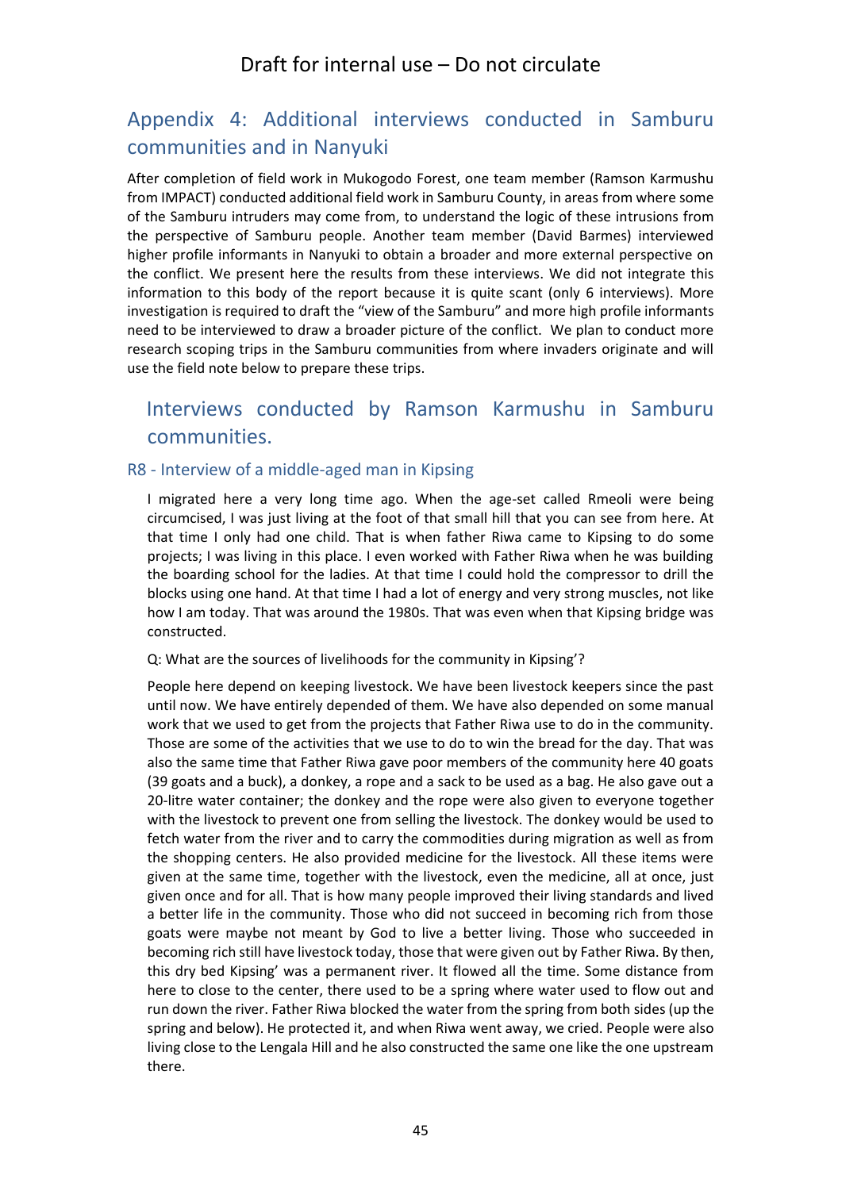able to steal much ammunition that way. Once, when there was heavy gun fire exchange in Finafran, I picked up the cartridges and traced them back to the British army using the code on the cartridge. They have a training field in Samburu near Archer's Post where these morans take advantage. They come in big numbers. This stealing has been happening since 2011. There was an incident with a British officer that shot morans, and it caused mayhem between the British and the Samburu community. (D12)

#### <span id="page-25-0"></span>3.1.4.2.6. Samburu moran disobedience

Guns may be particularly empowering since they are in the hands of young men who travel around for entire years with livestock and do not listen to their fathers and elders:

[The youth today raid and changed their attitude] because of the guns. They can do everything, feeling they are superior with these guns. They do not respect the elders. When we say something, they should stop, but they don't respect to us. They buy the guns, but I don't know where. (I14)

The young Samburu morans don't listen to the elders. They are not like the morans from this area. The morans and elders here are in good terms. The morans listen to the elders here. But a Samburu moran thinks he can do anything without the permission of elders. That is what is contributing to the Samburu coming and disturbing things here. The Samburu have been like this for many years. When a Samburu boy grows up and can look after the animals, the father lets the boy go look for grass very far away, and when the Samburu boy goes for months or even a year, and then comes back with healthy livestock, the father trusts the boy and circumcises him. Then he will let the moran go off by himself with the livestock again. So, in the end, they are very rarely around the parents and elders, and when they come back, they aren't asked anything. They just get more trust [from their parents or community]. The morans get pride from being able to go off and do whatever they want. This is how it has been ever since the Samburu have been herding livestock. Young Samburu boys are trained from the age of 9 by the other morans, who go with him to look after the cows until the boy is 18 years old and is able to look after his own cows. (D9)

There are elders, and they used to say something in the community, but they don't even have a say in Samburu anymore. The morans from Samburu don't listen to their fathers. (D4)

#### <span id="page-25-1"></span>3.1.4.2.1. Other possible explanations of the conflict

During discussions, informants also referred to cultural changes to explain the conflict, mainly the collapse of traditional institutions in favor of private property regimes and the rise of individualism, including among Il Ngwesi people:

The pastoralist tradition has always been centered on negotiating access. There is a traditional aspect to be addressed here; with growing populations and livestock numbers, the system is beginning to breakdown. There is a breakdown in the pastoralist tradition towards private ranching. (D13)

I am not even blaming the Samburu, even though they are doing something that is wrong; I will take the blame back to the Il Ngwesi community. For one, they are not united, and therefore, they have no good plans. If a man decides that he will migrate the next day, he just wakes up and migrates, or if that is a plan created by his wife, he follows it, and that is not a decision by the whole community. I think there is a problem with the men that live in this area (R2)

#### <span id="page-25-2"></span>3.1.4.2.2. Conflicts between Il Ngwesi and Yaaku

The Il Ngwesi and Yaaku border each other and there are tensions between the two communities, which can be explained by history (Il Ngwesi settled on land occupied by the Yaaku after they were removed by the colonial administration, as we have seen in Section 3.1.2.1.). These tensions are exacerbated by the conflict with the Samburu. When we asked if we could visit the Yaaku community during our first trip to Mukogodo in November 2016, we caused embarrassment. We were answered that the Yaaku live quite far away, maybe inside the forest, which covers 28,000 hectares, and that there is no good road to reach there. The place would be insecure, with armed people who sometimes kill and attack. The danger would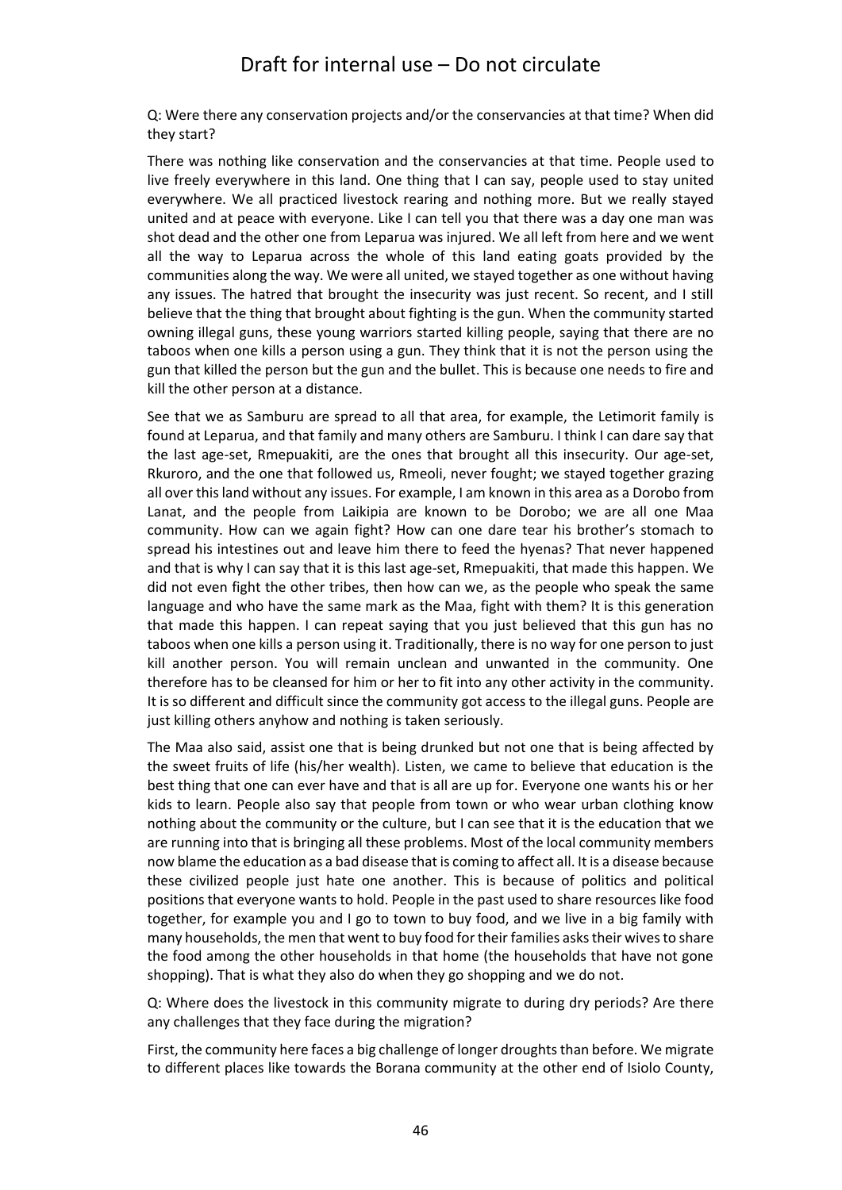come from both Samburu and Yaaku. We were told, though, that if we came back early in the morning with an appointment, we could do a trip there (Ia19). During our second visit, we visited the Yaaku community in Sieku, on the plateau, and tried to travel farther to the Yaaku Group Ranch. But the road was difficult, and we did not take the risk of being stuck overnight in an area with conflict.

There are important interactions between the Samburu and the Yaaku. According to an informant met in November 2016, the Samburu are trying to assimilate the Yaaku community to access their land. They have much livestock and demand land for grazing. If they succeeded in possessing Yaaku land, they may become a more direct threat to the Il Ngwesi Maasai people, who thus support the Yaaku in defending their land (Ia20). The threat is indeed already there: the Yaaku host the Samburu when they come to raid in Il Ngwesi. The Samburu stay in their village and come to Il Ngwesi in the night to raid cattle (Ia21). Several informants mentioned collaborations between Yaaku and Samburu:

The Yaaku collaborate with the Samburu to fight us. (I8)

The Samburu would use the Mukogodo [Yaaku] to fight us, and that's why we don't authorize them to come. (I16)

Yaaku people are causing the conflict between Samburu and Il Ngwesi. When I was young, the Yaaku would steal the goats. The Samburu recently said that the Yaaku have asked them to fight the Il Ngwesi. Some Yaaku are there fighting with the Samburu. (D6)

I think this fight came when the Yaaku and the Samburu united and maybe decided that they will force the Il Ngwesi people to migrate out of the forest. (R3)

The Samburu that come to raid us come through the Yaaku community. Maybe the Yaaku are collaborating with the Samburu, and maybe the Yaaku are coming with the Samburu to raid us. (…) Whenever they come to raid, they come through the Yaaku community, so why don't the Yaaku warn the Il Ngwesi that the Samburu are coming…. They don't even comment that they saw the Samburu morans coming through their land. That's why we doubt about the Yaaku people. (D9)

The motivation of the Yaaku would be resentment against the Il Ngwesi for having taken their land after their relocation by colonial authorities:

The Yaaku want to remove the Il Ngwesi because they blame the Il Ngwesi for giving away their land to the white settlers. The Il Ngwesi and whites have a good relationship. The Yaaku think that the land here and in Borana is theirs. The Yaaku cannot take this land, but they will not stop until they remove the Il Ngwesi. (D6)

The Yaaku may also have simply abdicated when confronted to the superior force of the Samburu. Collaboration may have been their only option for not losing their land.

The Samburu have weapons and are many. They are superior to us [to the Yaaku], so the community has to make a decision. We see that if we fight we will be losers. That's why we have meetings and collaborate. The Samburu came and raid the Il Ngwesi because we [the Yaaku] and the Samburu now collaborate. That's why you see Yaaku people here [in the plateau], because we have surrendered. The Il Ngwesi try to resist, but people lost their lives and their livestock is stolen. They are gone now. For us, we recovered our livestock with dialogue, even without carrying guns. (I11)

Not all Yaaku surrendered, though:

I don't confirm that the Yaaku have stopped fighting the Samburu. We still fight them; there is nothing you can tell the Samburu – they just continue fighting. (D7)

I think the story of the Yaaku being happy about the fighting with the Il Ngwesi is not true, because the Samburu also steal the Yaaku cows and kill the Yaaku people. (D3)

The Samburu used to come through the Yaaku community, raid our livestock, drive them through the Yaaku community, and no one would tell us what they saw, even if we [Il Ngwesi people] went there asking. But we saw that the Yaaku were not collaborating after the Samburu started to raid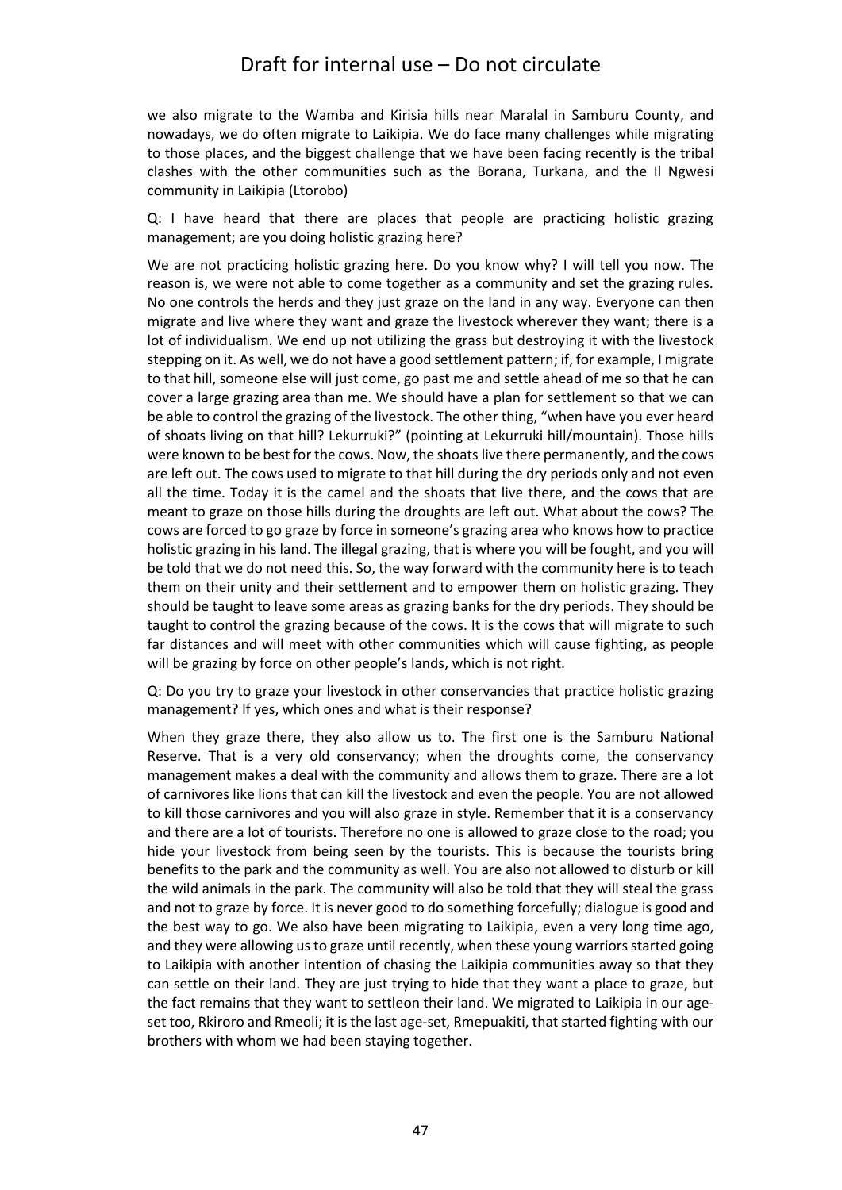their community. [The Samburu] did some raids, and they also shot some people, trying to kill them. Two Yaaku were injured. (R1)

Someone also reported that the Yaaku suffer from raids by both Samburu and Il Ngwesi people, when victims of raid become raiders themselves:

People have been frustrated. Il Ngwesi livestock has been stolen so the mindset has been changed. They say that to get livestock they have to steal. That pressure is fuelling differences. We [the Yaaku] are in between the Il Ngwesi and Samburu, so the Il Ngwesi steal our livestock and the Samburu steal our livestock too. Yesterday we had 2 missing cows. Before, we had no issue with the Il Ngwesi.  $(111)$ 

Division inside the Il Ngwesi community may also appear, with Il Ngwesi people collaborating with Samburu to organized cattle raids:

One of our people was suspected to have brought the Samburu to his home, hid them, and later at night shown them the homes to raid. He has now migrated to the Samburu side. It was said that he also took the Samburu warriors to raid the Turkana community. The Turkana got this information, and one day, they came to raid his shoats. No one in the Il Ngwesi community followed, but the Samburu warriors with whom he was collaborating went [they followed the raiders] to bring back his livestock. A few days ago, all the houses in his home were razed by unknown people. Maybe the people who burned his houses are the Turkana. There are rumours that he will create more problems to the Il Ngwesi community and make sure that the Il Ngwesi people will be poor. The Turkana came to raid his livestock because one day he brought the Samburu in his car to raid the livestock from the Turkana community. Other Samburu came to stay in his place the whole day, and at night they raided the Turkana livestock of a Turkana who was living at a place called Engaramata. This place is far beyond most of the Il Ngwesi homes. I believe they would not have located that Turkana home if they were not shown the place. His sons also migrated to the Samburu area and are now collaborating with the Samburu morans to conduct the raids in our community. His sons are natives of this place who were born here, so they know this area inside and out. (R6)

Transport is another problem that is faced by the people living in this area. Our main town is Isiolo, where we do our shopping. Some years back, we usually had two vehicles that worked as matatu [minibus used as collective taxi] in this area. One of them was Mzee Lekarumpa's, who left this area to follow the Samburu after he collaborated with them. (R7)

#### <span id="page-27-0"></span>*3.1.4.3. Impacts of the conflict*

#### <span id="page-27-1"></span>3.1.4.3.1. Serious injuries and loss of life

Violent acts, including shooting people, stealing livestock and burning houses, were already reported to us during our first visit in November 2016:

The Samburu community is raiding livestock in Il Ngwesi. They killed people and shot one house until it burned. A lot of livestock has been stolen. The total number of stolen livestock is 1,830 shoats and 62 cattle. We managed to get 1,000 shoats and 5 cattle back but not the original ones that had been taken (Ia21).

Violence increased after that first visit, as reported by several informants. Below is the report by a Yaaku man injured during a Samburu raid that took place one month before our visit:

The Samburu criminals just came to steal cattle. They started to shoot at us. They came here exactly, to this home where you parked your car. I don't know the brand of their guns. It was an automatic like an AK. It happened last months, at 6 pm. They started shooting and we started running. Another young man was shot. He was on the team that followed the stolen livestock. There were about 8 Samburu, all morans. I don't know the exact number, but many homes were raided. After the raid we called the local authorities. We called the chief and he called the police. The rangers came from the Lekurruki conservancy. They started following the cattle during the night. My brother brought me to hospital. He used the matatu. I was taken to the hospital in the Borana conservancy car. The night after it happened I slept at home, before being brought to hospital. Money was the problem.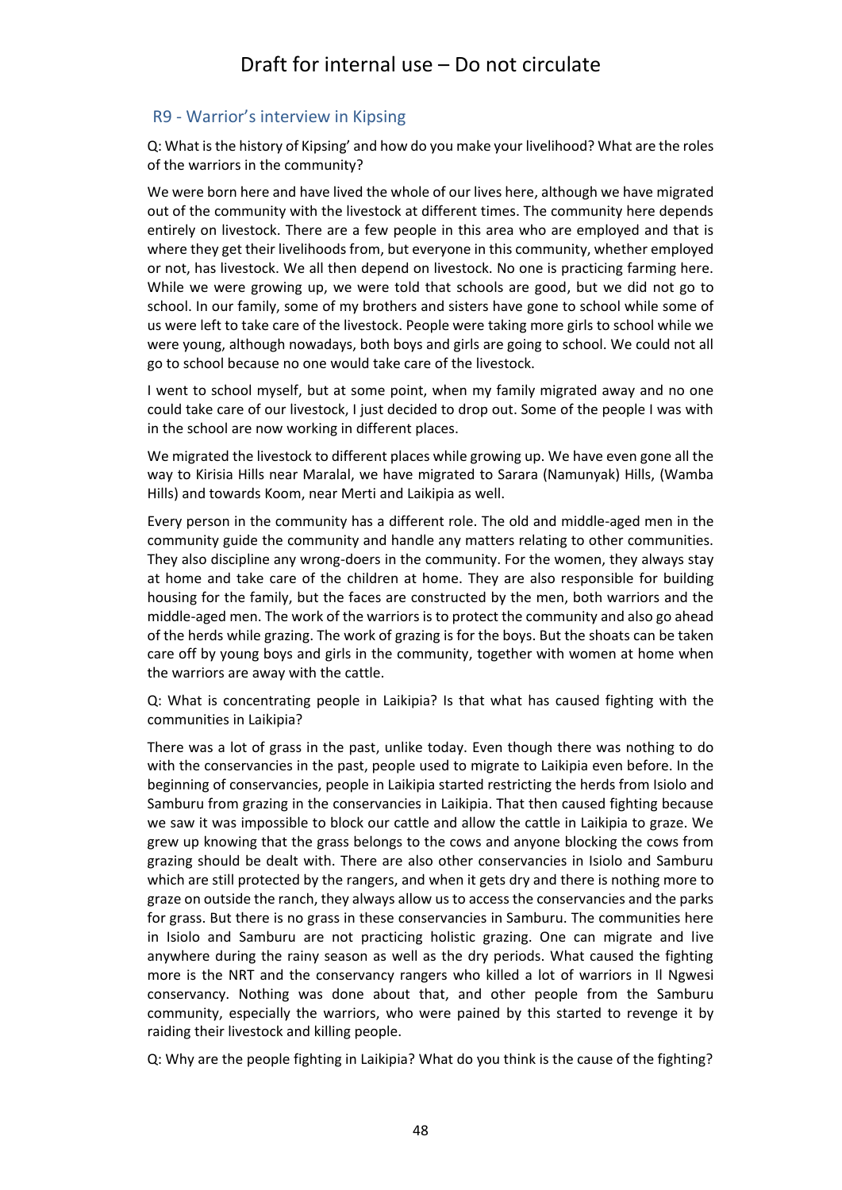We had to wait for hospital transportation. We normally depend on conservancy vehicles. The Borana vehicle came the next day and we had no money to take transportation ourselves (I13)

Another informant confirmed the violence of the Samburu raid:

A few weeks ago, my cows were stolen, and my brother was shot on the hand. Another person was shot in the leg when we recovered the livestock. Fifty-six cows were stolen but they were all recovered. I am a KPR ranger and I have my gun at home. Ten raiders came for the cows. (D7)

But most casualties seem to have taken place in the Il Ngwesi community. Five men were killed by Samburu in Leparua alone, a community of Il Ngwesi people established in Isiolo County, neighbouring the Il Ngwesi conservancy:

We also lost people. Five people were killed and three were injured. I don't want to mention the names. Two people at the cultural boma were ambushed [by the Samburu]. They killed them and took their gun. One was looking for his livestock. He was killed and his gun was taken. The Samburu came for the cows. They started fighting and two were killed. One person was also injured during that fight. We responded to the fight and killed one Samburu. We also injured some, but I don't know how many because they ran away. Four people killed on our side were morans and one was a boy, not yet circumcised. I have a brother who is in hospital because of injury. He is in Nanyuki. He is a ranger in Il Ngwesi conservancy. (I17)

Casualties were also reported at the cultural boma that borders Il Ngwesi conservancy, on the Ngare Ndare River. These deaths, however, could be the same as those mentioned above:

We lost three people around this cultural boma and I believe this was all well planned. One moran was killed while he was looking for his lost cows, which were believed to be within one of the Samburu's herds. I think it was planned. Other warriors refused to go with him and as he went alone, one of the Samburu herders who was believed to have his cows came to meet him on the way. They started talking and after that, [the Samburu] shot him dead and went away, leaving his body there. The other two were killed around that dispensary close to this cultural boma, while leaving here for their homes after dancing for the visitors who came to the cultural boma. This makes me think that some warriors or other people collaborate with these Samburu and tell them where others are passing, so that they can go for them and kill them. (R6)

I have been involved myself and one of my brothers was killed. (I16)

Casualties were also reported in Enkare Oo Sirkon but we could not be sure about whether they were different individuals:

In the Lekodei family, from the Masula clan, 2 were killed. In the Kiperus family, there is 1 death. And in the Lekutai family, 1 death also. They were all [Il Ngwesi] morans. No, no one brought help to these families. (I18)

We interviewed a police officer who did not mention these deaths among Il Ngwesi people but reported that casualties also occurred among policemen and Samburu morans:

Even police officers have lost their lives, especially one month ago. We lost at least 3 officers, one when pursuing stolen cattle. We fought with them around Samburu lodge area, last month, in Archer's Post. We lost 3 officers. (I19)

Samburu morans were killed when they invaded the Il Ngwesi conservancy this year [2017]. In 2016, I think 3 Samburu morans were killed in the Il Ngwesi conservancy. They defeated the conservancy. The three officers were killed last month this year. One moran was killed in Il Ngwesi earlier this year, in March, and three other morans were killed in 2015, 2 years ago. One Samburu moran was also killed at the same time as the 3 police officers. These are the cases where people were killed around this place. (I19)

#### <span id="page-28-0"></span>3.1.4.3.2. Loss of livestock

Raiding also results in cattle losses. Here are the records or testimonies we collected: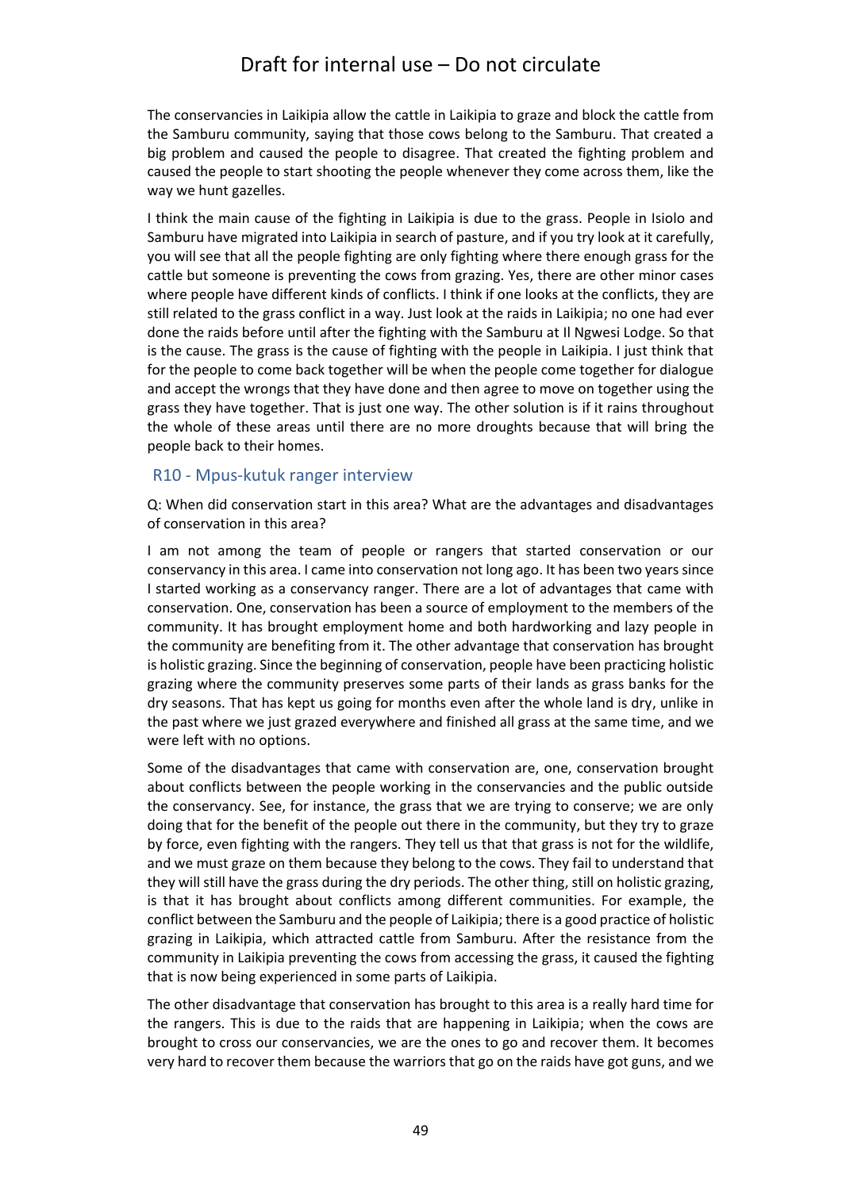1,000 livestock have been stolen. It started around 2010 and became more and more a problem from 2013 onward. (I4)

Yes, they took a lot of livestock (…) They took 60 goats from one home, 68, 30, 30, and 40 from other homes, and 60 plus 17 cows from other homes. But I don't remember for all homes. (I5)

We lost 18 cows to the Samburu but no sheep or goats have been stolen. We sold a lot because of the fighting, just to buy food. (…) We lost so much livestock through raiding! We feel very much affected. We used to have a place called Oltinka, where we auctioned our livestock. Now it's closed because of the conflict and the road we came through is closed. (I17)

The Lekiyaa family had 100 shoats and was left with nothing. That's the family married with my sister. The Kitonga family was taken 200 shoat. Many families have been raided but these are the one I am really sure of. The others just had a few animalstaken. Even Kichangumu family was raided. A Turkana man [living here] had 250 shoats and all were taken. (I18)

The raids have economic and social impacts beyond the losses of animals since they force herders to spend more time looking after their animals:

We never even used to look after grazing cows. They just went and then came back on their own, but now we are worried and we have to go with them to graze. It is the same with shoats. Now it's necessary to accompany our shoats as well. In the past, there were no worries. (…) Accompanying the livestock grazing changed our lifestyle and the conflict makes us think in another way. We always have impaired judgment because we're always worried that we will be shot, and we're not 100 percent sure of the safety of our livestock. We are not fully focused on what we're doing. Also, we don't do our work 100 percent. We do other businesses that generates income. We have shops. But if we have to go look after our livestock, we sometimes close these shops. (D7)

#### <span id="page-29-0"></span>3.1.4.3.3. Other social and economic impacts

The raids also negatively impact other economic activities, such as tourism. In the cultural boma, for instance:

No, [there are not many clients]. I don't know why exactly but things just changed. There were campsites in the forest, but now tourists are not coming. We have the cultural boma and they don't come either. (…) Insecurity destabilizes all the things we do. We are not selling and cannot do the greenhouse. But we make sure that we make bead work and that it is brought to me and to NRT when the lady comes. Yes, they are still coming to buy [bead work]. (I15)

People do come to the cultural boma. Many visitors come to see and buy beads. Many people from the community come to sell their beads to the tourists. There have been changes in the amount of people visiting. Since the conflict started the number of tourists has decreased. I don't know much about the income of the cultural boma. I am just a neighbour. But yes, the income is reducing because tourists are fewer. When the environment is good and there are more tourists, they receive much income. (D9)

We have many problems, but our main problem is actually the insecurity issue. We never had problems because we moved freely, did businesses and sold the beads to the wazungu who visited the boma. We got money that way to buy the things we needed. [But] nowadays our beads business is very little. No clients visit the lodge to buy our beads. (R6)

The Yaaku community is impacted too:

The ladies here have so many groups. We used to do the bead work and the tourists would come from far places to buy the beads, but nowadays they don't. Furthermore, Tassia Lodge has been closed, so there is no more tourism there. (D8)

Small businesses are also impacted, because of the dangers associated with travelling with merchandise:

There are no more vehicles because the Samburu ambush vehicles. It affects us, even small businesses. They ambush small businesses that bring food or other things. (I17)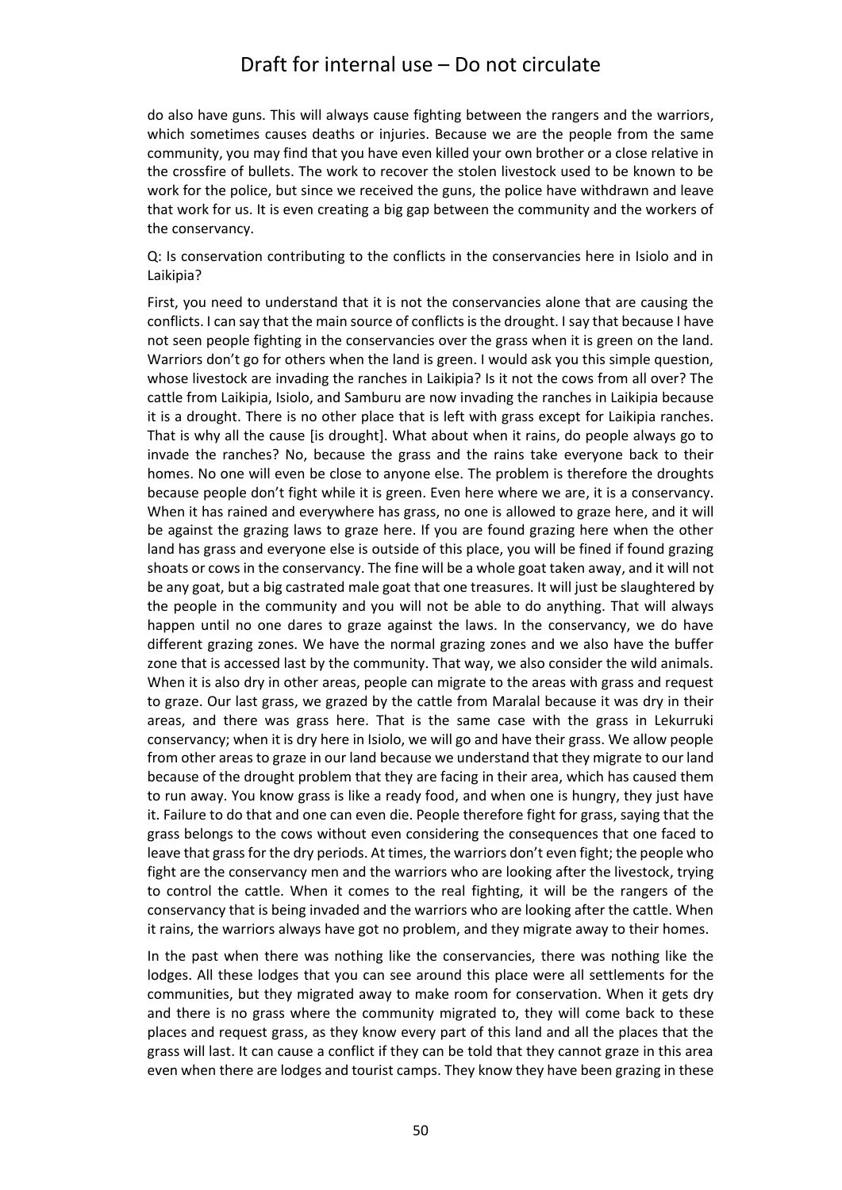Insecurity when circulating also affects education:

The conflict has really affected the school and the education system. The first term, which is January to late March/early April, the school was closed because of insecurity and the pupils did not do their term exams. During the second term in May, it opened but very few students came back because some migrated away with their mothers. But the teachers came back. (…) Education is very threatened. If there is no security, there is no education because no one will go to school. (D8)

While classroom are cancelled, the school is used as a shelter:

The conflict has had a big effect on this school. This place becomes a rescue center as children and women come to stay here when things are bad out there. Others run away and hide in the bushes, so you find children that have not slept or eaten. (D11)

Sometimes, because of the conflict and when people migrate, children might miss a whole term and then children have to catch up, which is very difficult. The same Samburu people restrict us from traveling far away with the children to study things. We have to be cautious. At one time we had 3 classes full of people that were fleeing the conflict. That was more than 100 people staying here. They come in the evening. They carry their own things, whatever they had at home, for the children, but the grown-ups may not even eat anything that night. When there is conflict, they rely on the same porridge. They just come seek refuge at night and then they go back in the morning. We have 71 kids in the nursery, which is way more than it should be. Some of them are too young to be taught. They just come for the food we serve. The conflict also affects the teachers. Some of us are not familiar with the conflict and are affected. And now when teachers are posted here, they refuse to come. (D11)

#### <span id="page-30-0"></span>3.1.4.3.4. Village abandonment and migrations

Because of the conflict, Il Ngwesi people abandoned Nadung'Oro, the locality in the plateau, called "the forest" although it is a grassland surrounded by the Mukogodo forest. Almost no Il Ngwesi are living there today but the Yaaku, who live in the neighbouring Sieku locality, did not leave the plateau. Some Il Ngwesi moved to Lokusero B and Emurua, located just outside the forest (Figure 3), where they live in precarious conditions, hoping to move back to their village if peace returns. Other migrated to Chumvi or other places where they have land.

We migrated to Lokusero B area maybe two weeks ago. We migrated from Nadung'oro where we were initially living. We migrated to this area because of the insecurity issue that has become a very big problem in this area. I can't believe that the situation will be good again. The insecurity is caused by the Samburu, who have been raiding and killing innocent people from this area. The way the Samburu people are coming is really frustrating. I don't see myself going back to Nadung'oro because all the people are just going away. I cannot stay there alone, even if my husband wants that. (R2)

The only people who migrated away were the ones who bought some land somewhere. Just a few days ago, people left. They have started to migrate mostly because there was a man from a neighbouring home that was killed by the Samburu. The man was killed just a few months ago. (D3)

In the past, no intruders came. We are only now experiencing this, starting last year. It's the Samburu. People have left this place because of the fighting. I will not go. I will defend my land. I have nowhere else to go. The others have gone to Chumvi. I don't know if this migration will continue. (D2)

A Yaaku person in Sieku also reports outmigration due to fear, although we are not sure about whether she refers to Yaaku or Il Ngwesi migration, since the two communities are in close contact on the plateau:

Ever since I came here there has been raiding, but it has never been like this. Npeople are being killed, causing people to migrate. This year is when it has gotten really bad. People have been migrating out and back, to and from this area. When it gets too bad, people migrate, and when it calms, people come back, and some migrate out permanently. Some migrate to places in towns,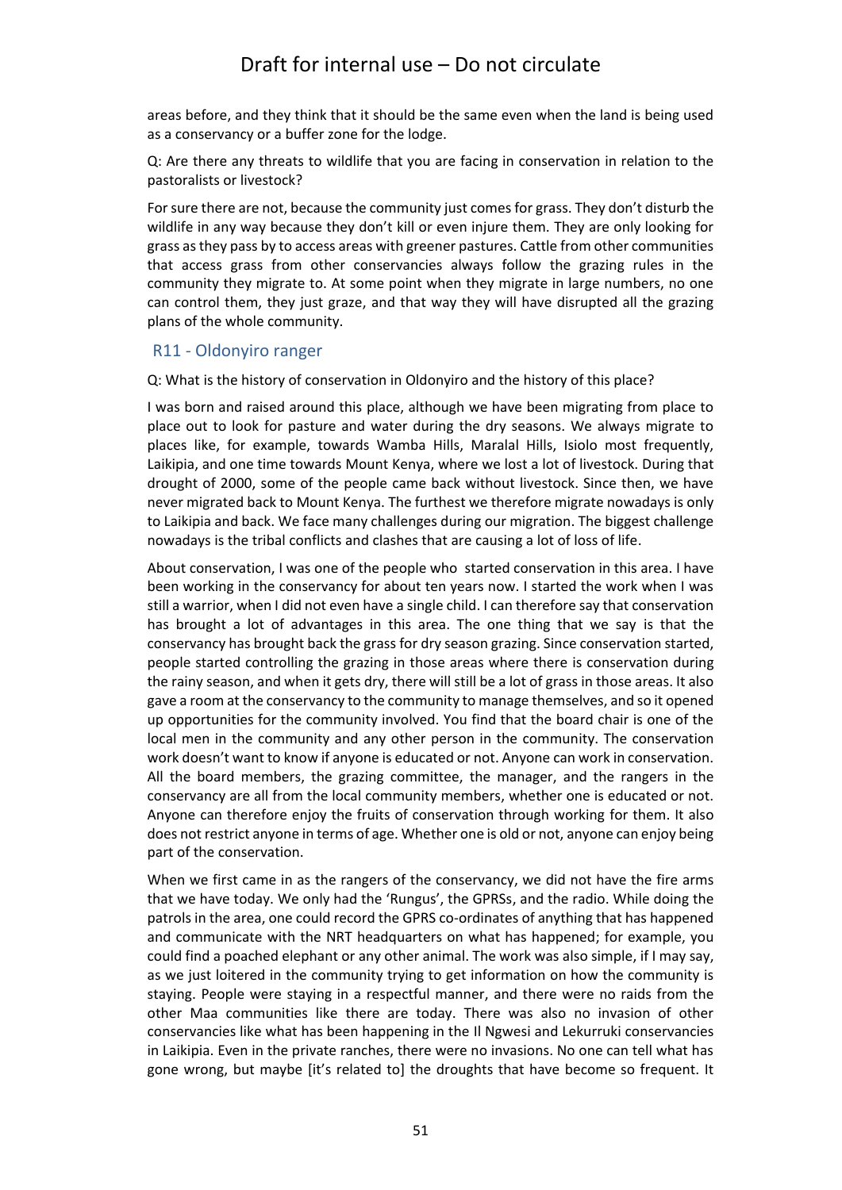and some migrate to where they have relatives, in other places. Some, maybe one or two, have private land elsewhere. But those are very few. (D8)

In Leparua as well, in Isiolo County, many people left, although young men seem to remain to defend their land:

The old people have migrated out of this area because of the insecurity. They are not here. They are in Isiolo, Leparua, or Ngarendare. The only people who stay here are those who can run away quickly. (I17)

These migrations are facilitated by the fact that Il Ngwesi people have been buying land outside the Group Ranch from a while:

Yes [the Mukogodo buy land outside their community]. They buy land in Sukuta, next to Chumvi, and in Lomuruti, which is the place where the county government wants to migrate. It is close to Nyahururu. (I14)

Yes, [people in our community buy land in Chumvi or in other places] since the lodge was constructed, because the population is rising. We buy land in Chumvi because it is near our land. Some people move and stay there. (I16)

#### <span id="page-31-0"></span>*3.1.4.4. Interventions to solve the conflict*

#### <span id="page-31-1"></span>3.1.4.4.1. Frustrations about insufficient government responses

During the week we spent in Il Ngwesi, we felt that the community was frustrated about the fact that it did not receive significant support from the government to ensure security. They generally argued that meetings and police interventions were both useless:

We tried to call back the elders to make a plan. We had several meetings but they bore no fruit, so in the end, they even entered the core conservancy, in the cattle-free zone that is reserved for wildlife and tourist activities. We tried to use dialogue and called meetings. NRT helped us to call these meetings. The elders of the board were here during the meetings, but they bore no fruit. We tried another approach with security from the government, with the police, but it worsened the situation. They used force to remove these herds from the conservancy. The morans retaliated and ended up shooting the guys, until the police surrendered. They shot the headquarters of the conservancy. There were 20 policemen from the administrative police of the county. (I11)

The police officers are helpless because they are not well equipped. The government has failed. People have no license to have guns. The government is overwhelmed. (I4)

No, the government did not provide any support. It brought us to hospital, but still, we had to pay the hospital. The government is not good and does not help. (I12)

The county government has provided security, but it wasn't enough, though it did help make the area more peaceful. (D2)

The only thing that can maybe prevent the Samburu from coming and stealing and fighting is maybe if the government takes another step. I don't know why the government hasn't taken any action, but maybe it is turning a blind eye and just letting us fight and solve the problem ourselves. (D7)

A police officer also stated that resources provided by the government were insufficient. Priority was given to protecting the areas where white settlers had been killed or injured in Laikipia West:

Maybe the government is protecting the animals more than human beings. But when there was a conflict here, they brought additional police from Doldol. We had as many as 20 officers at this post, but they have been taken elsewhere in Laikipia West. They were brought to Sosian farm where the white settler was killed. I don't know if other people were killed there but a ranch owner was also injured: Kuki Gallmann. They moved the police officers there, and that's why we are very few officers around this place. They have been taken to Laikipia West. (I19)

Political interference would partly explain this situation: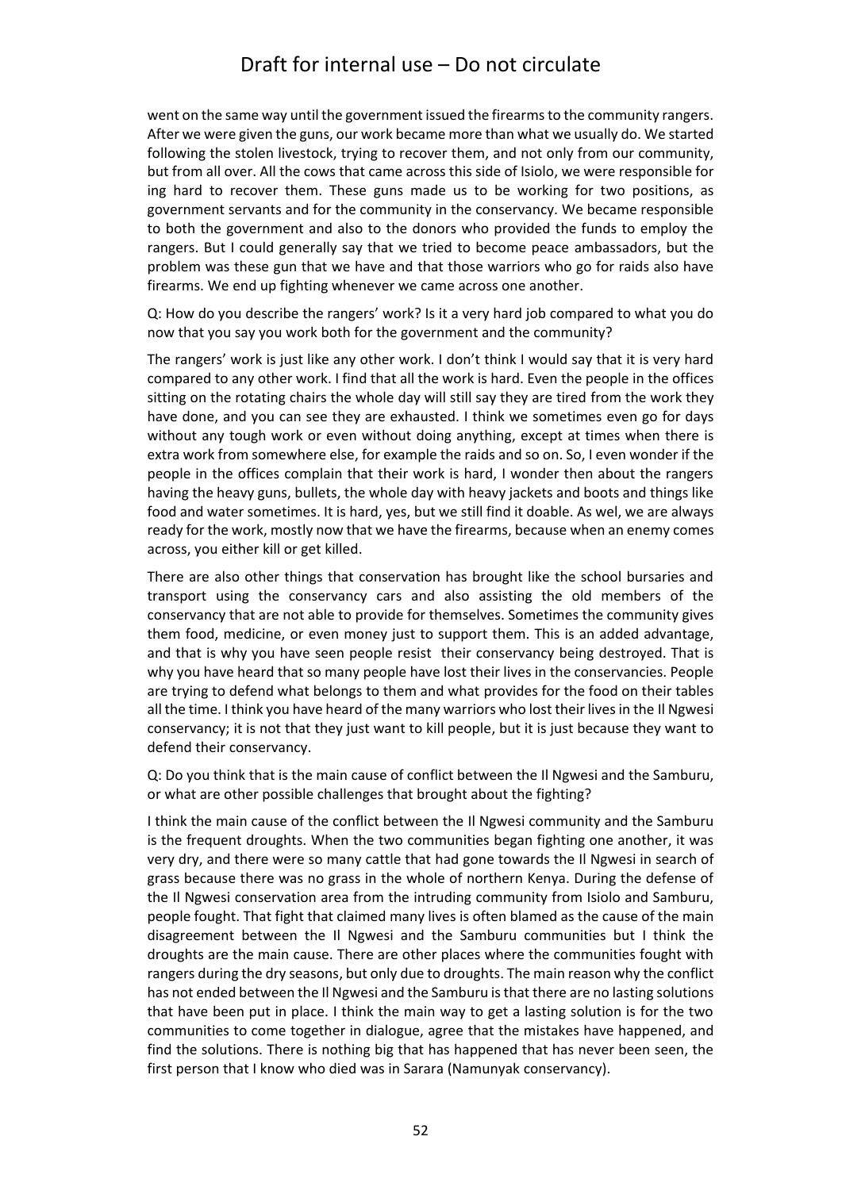The MP does not offer any security. If the government tries to deploy people here, the MP stops that from happening. Once they tried to bring the security here but the MP came to take them back from Loiragai, so the security didn't even follow the cows. (D4)

Eventually, the government plans to distribute weapons to facilitate the organization of selfdefence, rather than provide more direct support:

The government promised that it is going to employ people as guards. They will employ about 100 people as home guards, to work around the forest. Right now, these home guards are going around to check what is going on. They don't have the guns yet but they have the uniforms. They have not been paid yet but they expect to be paid at the end of July. (I5)

<span id="page-32-0"></span>3.1.4.4.2. Support from conservancies and conservation NGOs

On the other hand, private conservancies provide security support. They substitute the role of the government:

The conservancies help us a lot because in cases of insecurity they provide soldiers, and in times of drought they provide grass. We don't have any problems with them; they even employ our people. (…) Borana and Lewa provide airplanes and the Samburu even shoot at the planes. (D4)

We see [Lewa and Borana] conservancies as our government, as they provide aerial surveillance when livestock is stolen. They provide security. (D7)

Lewa has been helping, bringing teachers and building classes for the kids and trying to provide security for them. They have been helping in case of any problems in the community. They even educate kids and helped us with the school for about half a term. (D10)

The conservancies even directly help the police logistically:

They [Lewa and Borana] have helped the communities a lot. They help the police. They help with transportation. Here, we don't have any vehicles. They give support to transport [as well as] personnel. Last year we had a vehicle, but it broke down. It is at the garage and we may have it [back] any time now. I have also been promised more personnel, maybe later this month (I19).

Conservation NGOs are also involved to facilitate peacemaking:

The elders here go to Samburu to meet the elders from over there, and it has been like a song: they have been discussing these things for a long time. NRT has been facilitating so much. They have 6 elders and 6 warriors from each community that go together to talk to Samburu and other communities to try to resolve the conflict, but nothing has come of it. (D7)

The CFA, on the other hand, does not seem to play a significant role in resolving the conflict:

The CFA has not yet been involved in the conflict in any way. The 4 Group Ranches have an equal share of the forest. (I11)

The CFA is helping in a way, because they are getting a few rangers that are now coming to support the other rangers that are here. But in terms of dialogue to solve the conflict, they are not helping. Not because they don't want to, but because they have no connections with the Samburu, so they don't start any dialogue with them. (D7)

#### <span id="page-32-1"></span>3.1.4.4.3. Failed peacemaking efforts

Beyond these attempts to ensure security, multiple stakeholders collaborated to facilitate peacemaking negotiations. A "peace caravan" has been created:

Yes, we have had four meetings that were supported by "the Peace Caravan" led by Doctor Leleruk. Those are just the meetings supported by the Peace Caravan, without counting the meetings that have been conducted by the elders from both Il Ngwesi and Samburu communities. (R7)

Force cannot help anything. Only negotiation can help. (I19)

These initiatives are generally launched by local leaders and elders. They sometimes improved the situation but never for a long time.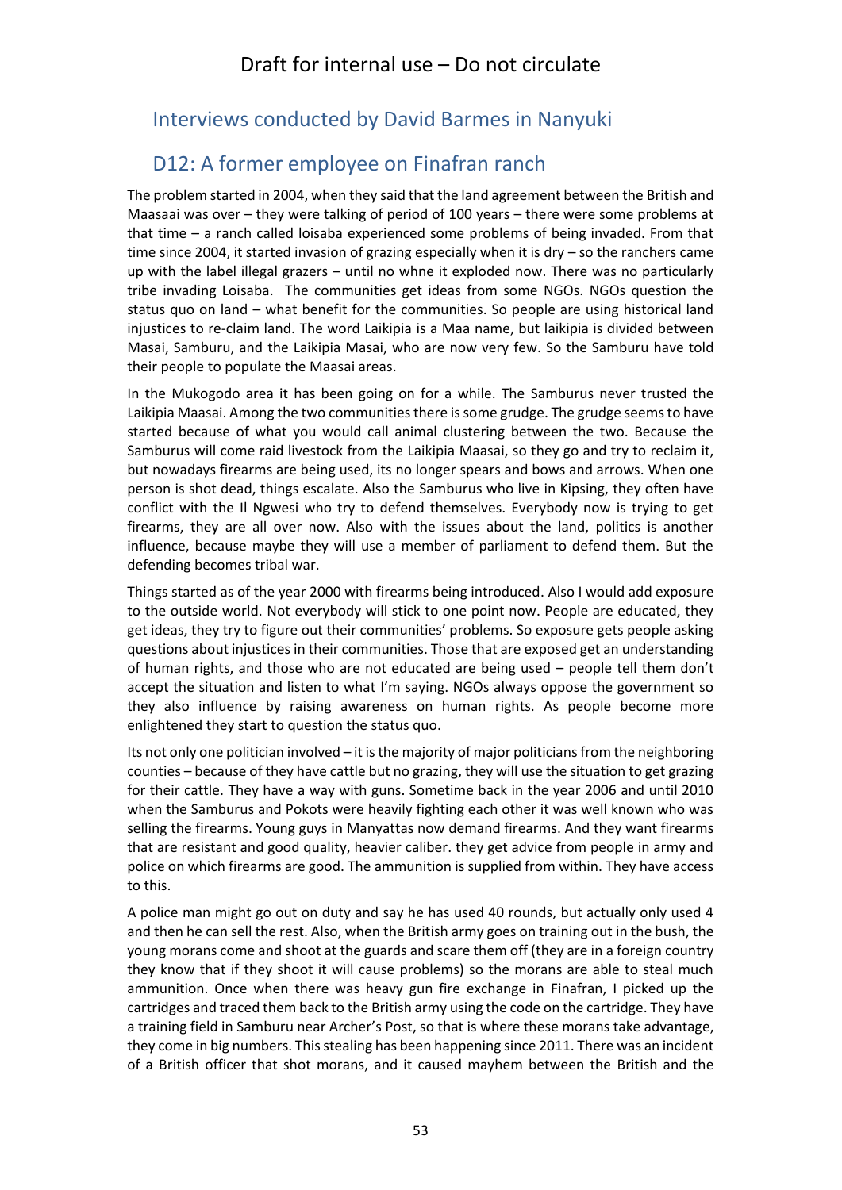We have had a lot of peace meetings and every time we go to meetings, the conflict stops for 2 or 3 days but then it starts all over again. (I17)

The livestock continued grazing, which resulted in closing the [Tassia] lodge [in Lekurruki conservancy]. They started to raid our livestock. We did not give up. We continued to have meetings and eventually managed to redress the situation, just through dialogues with elders. We brought elders from far away, not only from the communities in conflict. We brought Samburu from Archer's [Post] and from far away as mediators. The Samburu are divided into clans and we dealt with them separately until we managed to stop them. They agreed to remove their livestock from within the conservancy. They removed it from the core conservation area but the livestock is still in the other blocks. They removed it from the core area at the end of 2014 but the issue is still there. They still use force. It is not working well. During the rainy season, when it's raining, we try to conduct a joint meeting to create a task force to remove settlement from within the conservancy. We did this last year, in all places where there is livestock. (I11)

Whenever any people fight, they can always come together for dialogue and solve their problems. For the Samburu community, I think it is beyond all our efforts. There is no kind of meeting that we have not tried to solve this conflict but they failed. The Samburu always graze against our grazing laws, which causes the conflicts. We made some committees that made things flow for awhile, until our people were killed when they followed the cows stolen by the Samburu. This forced us to stop following our cows when they were stolen. We think that these people want to kill us. The leaders said that the thing that can stop this is the army operation. We thought that this too will affect us more, as it will affect the good and bad people all together (R7).

The low impact of these meetings may result from the fact that those who agree to attend are not those causing the most trouble:

There are people who come to peace meetings in attempts to solve the insecurity issues. But I don't believe these people will solve the issue. I think whenever people meet for peace, others meet to make plans to raid or kill people. (R6)

We have had many meetings in the community. The latest one was the Nesoit meeting at the boundary of Il Ngwesi and Lekurruki conservancies. The meeting was very successful, and we thought that we had solved the conflict. We even elected the conflict resolution committee. After we came back home, the rangers went to talk to some warriors who lived close to the lodge so that they would stop bringing cattle close to the lodge. The warriors were shown the grazing boundary. The warriors responded to the rangers that they are never going to stop bringing their cows close to the lodge. They said that as they did not come to the meeting, it was not their plan. We also met with some herders who were grazing their cows at Ormaroroi. They said that the meeting was very successful, but that it was done with good people, which is wrong. They suggested to us that we should have looked for the people who are causing the problem, do the meeting with them, and agree or disagree together. These bad people live in a place called Kipsing, in Isiolo County. These are the people who are forcefully grazing their livestock where they are told not to. They are also conducting raids on the Il Ngwesi livestock. (R1)

One informant made a clear distinction between Samburu people in general, and raiders, who are committing crimes and delicts even inside their own community:

The Samburu said to us that the people who are disturbing us are thieves who are also causing a lot of trouble in their county. They said that the same guys who are coming to raid the Il Ngwesi community also hijack cars on their roads [in Samburu County] and even kill people they steal from. (R7)

It seems that some good-will morans from both sides agree to attend peacemaking meetings. But in the Samburu case, these morans are considered traitors and their lives are threatened, which sabotages these peacemaking attempts:

We have had a lot of meetings with morans from both sides. We created committees involving morans. These committees tried to coordinate the peace and bring livestock back but in all cases the livestock was lost. It is only the guys from the Il Ngwesi side that brought the livestock back. It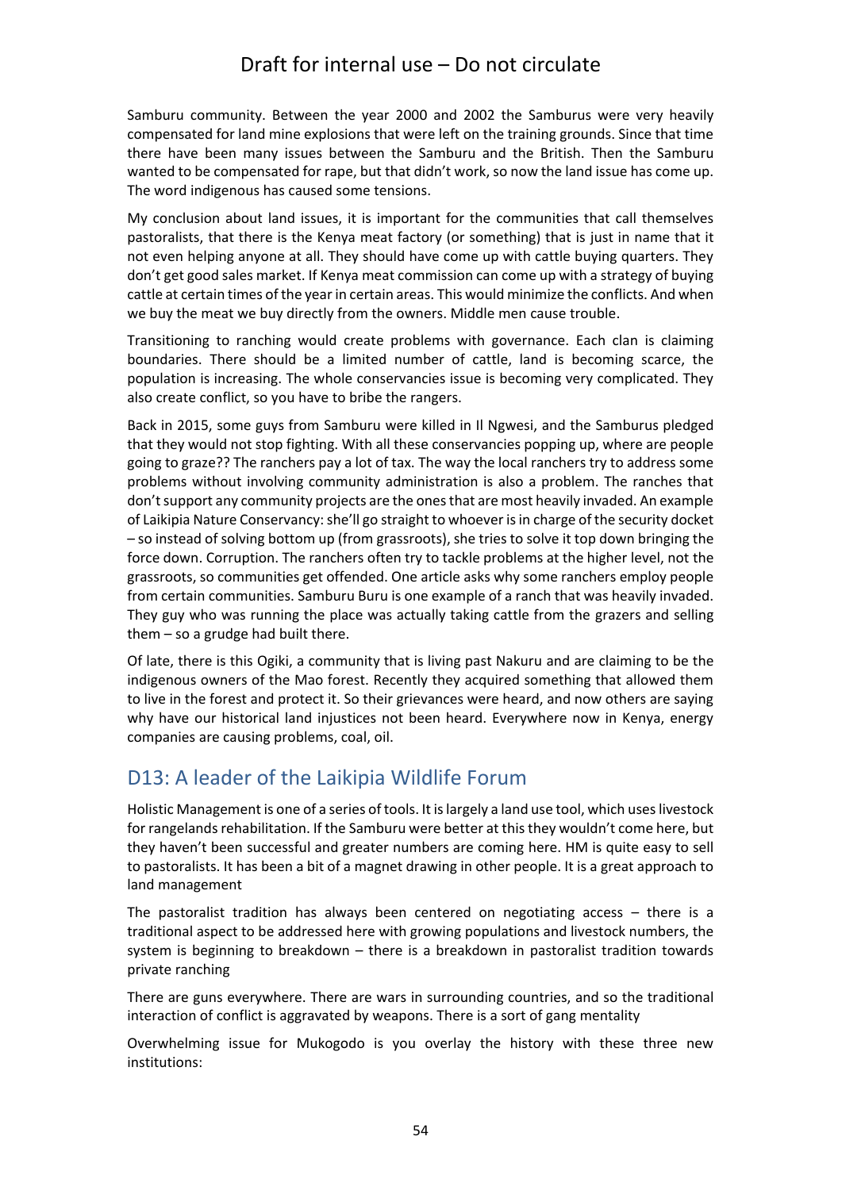came to a point where the Samburu morans fought with other morans who were in the committee, from their own group. Yes, the Samburu fought against other Samburu. They have tried to look for them. If someone looks for you, you run away and disappear. [Because of that], the committee is paralyzed. This committee was started in March of this year. Maybe it just worked for 2 months.  $(117)$ 

In a few cases, the peacemaking meetings have involved high profile people from the county and even national government, in which case they may have had some impact:

We had meetings in the past but they did not bear any fruit. We talked to the Samburu and they still come and fight. But we need to keep on talking. We had around 10 meetings with different people, with elders coming from as far as Wamba, Maralal, Kipsing, and Isiolo. At the last meeting we had the interior minister: the Cabinet Secretary, Nigisery. He is a Maasai. It was last year. It was an emergency meeting for security. It was held on the Laikipia-Isiolo border, in a place called Darasha. It was attended by a former speaker of the National Assembly who is now chairman of one commission on reconciliation. His name is Ole Kaparo. He comes from Doldol. There was also the Governor of Isiolo and the Laikipia Governor. There were also morans and elders from the Laikipia side. They formed a peace committee on both sides, and a peace caravan. They went from one place to the other, talking to people. They were recently involved in peace meetings around this area. At least they had some impact to some extent, like bringing the morans together. They had been talking from some time now. At least there are some results because we have seen some people going back to their homes. But recently some Samburu morans came to steal in Nadung'Oro. Since the peace committee was formed, it's the only case I have seen of cattle thief. (I19)

In spite of these failed peacemaking and security interventions, there is still an expectation that only the government can solve the conflict. There is hope that some charismatic figure will emerge. The results of the election are awaited with worry and hope:

Nothing can stop the Samburu except the government, if they want. (D7)

We ask the government to make peace and to move the Samburu and Il Ngwesi back where they come from because the land will never be peaceful otherwise. (I12)

[The Samburu] need to have a leader like Sara Lekorere, who is an aspiring MP. She is Samburu but is not biased. Nkaiseri, who is the Minister of Security, comes from Narok and knows all about the conflict. He is a Maasai. Kaparo, the former speaker of the national assembly, is now a chairman in Ndikiri community. (…) These are the people we want to speak to. (I8)

#### <span id="page-34-0"></span>3.1.4.4.4. End of drought

Independent of these efforts to achieve peace, natural factors may also influence the outcomes. Whether peace will be achieved in the end also depends on how much it will rain. For some, the conflict will cease when rain returns because all herders will be able to move back to their home then.

Yes, people will go back to their place when the rain will be there. (I19)

Maybe the rains [will stop the conflict] if these people are really looking for grass, because enough rain all over will bring them back to their lands or homes, far away from us. If they don't migrate to their areas and it rained, then they should be forced by government operations to migrate to their land. (R6)

The only option that I am left with is the rains. I think that the rain can stop all the fights more than anything else, if all this is caused by lack of grass (R7).

On the contrary, for others, the conflict will increase when it will rain, because herders will be less occupied with finding grass for their livestock. Encroachers will attempt to settle permanently on the land they invaded, and locals will be more committed to defending their land since they will understand the Samburu intend to settle permanently: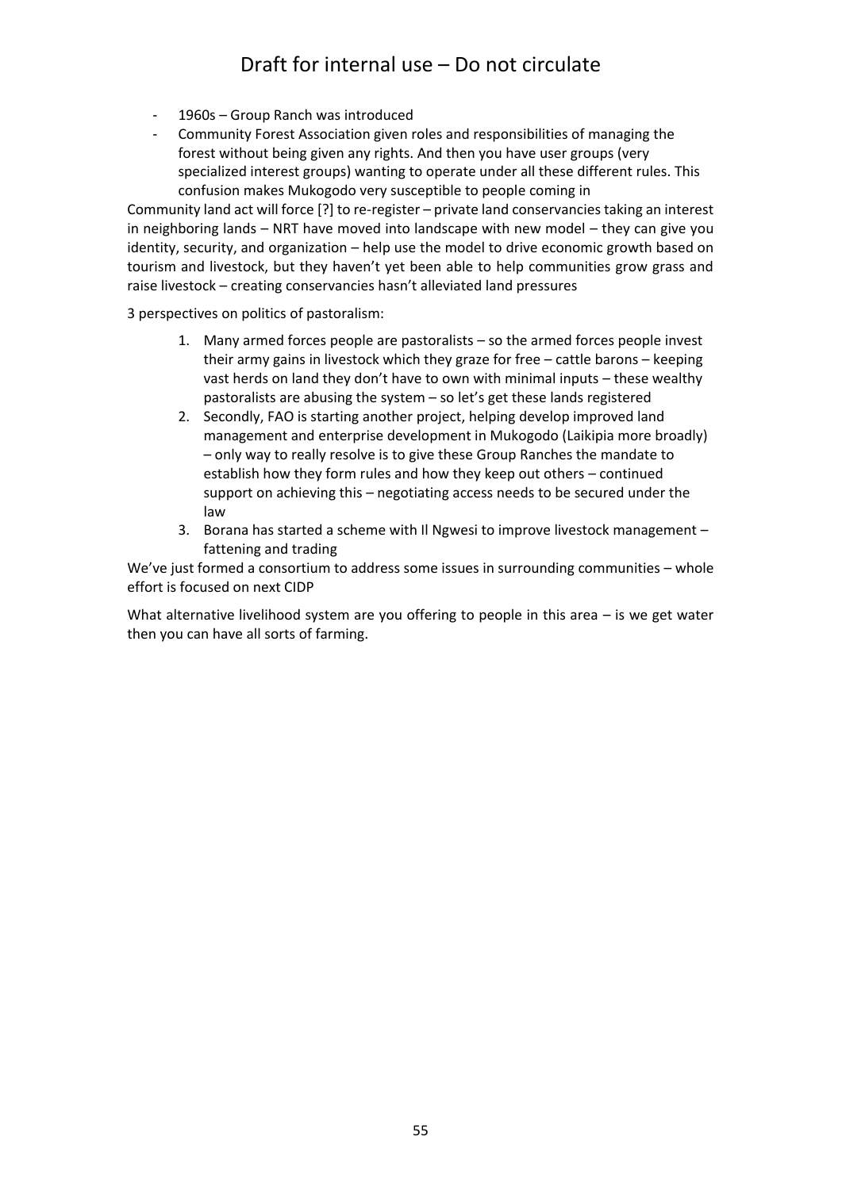When it will rain, it will become worse. Right now, everyone is running to have livestock get something to eat, but when it will rain, people will come back and there will be raiding. We will be more insecure. (I17)

#### <span id="page-35-0"></span>*3.1.4.5. Looking ahead*

It seemed that the conflict was not about to end when we visited Il Ngwesi. Given the political dimension of the situation, people were waiting for the results of the next elections. Depending on whether MP Lempurkel and other Samburu leaders would be elected, Il Ngwesi people could feel confident or not about receiving government support and being able to stay on their land. Until the election was completed, or until the rain returned, the situation would remain the status quo:

The Il Ngwesi sat down and asked themselves what they could do. They decided they should wait until the election is over. If they get a good leader, the leader will help them to fight the Samburu. (I8)

When it rains, the government should come and check I.D., and tell people to go to where they come from. [The Samburu] will go but will still come back because they want to create conflict. They look down on us. We have lodges and they don't, and the environment here is nice. (I14)

Given the uncertainty about whether the Samburu will eventually leave, some Il Ngwesi people are ready to use weapons themselves unless the elections elect a new MP that will bring government support:

Right now, the Laikipians are trying to look for something to fight the Samburu back with, because we have tried to make peace and to ask politely. But it has not worked so now we are arranging ourselves, looking for weapons to fight them back. We are preparing ourselves. We are still preparing but we want to fight back after the election. The team that is organizing all this will go to the government and tell them they have not removed the Samburu people from our area. They will ask the government to remove the Samburu. If it will not, then the Laikipians will take action. The people leading them are the elders and the chiefs. They are the ones telling us that we should wait until we elect someone that will help us. Then they will go and ask this new MP if he has a solution and if he doesn't help, they will have to take matters into their own hands. (D3)

I will very quickly go back to Nadung'oro, but I don't think security will be restored [by the government] in this area. People are saying that after the elections the security will be restored but I know they are just lying to themselves. (…) It is when people start defending themselves against the Samburu that they will get the solution. It is not by running away. (R2)

Efforts by the morans to ensure security are expected to increase when the Il Ngwesi people will return to Nadung'Oro, when the rain will return:

People will migrate back to Nadung'oro. What will bring them back is the rain. When it will rain properly in the forest, there will be no good grass in other areas. People will definitively migrate back. I believe that people have migrated out of Nadung'oro because they had options. They had an option of migrating to Mount Kenya, and others migrated to Lenaisho, where everyone else is migrating too because it received good rains. When they will have no options left and if it rains properly in the Mukogodo Forest, they will migrate their livestock back into the Mukogodo Forest. They will make one big 'boma' and live there, providing security to their cows and to the area. Security will be restored in the area as the warriors [who will come back with the cows] will provide security. So [all] the people will migrate back. (R1)

### <span id="page-35-1"></span>4. Conclusion

The Mukogodo forest is a hotspot in Laikipia County given its forest cover and its cool and relatively rainy climate. Rainfed agriculture can be practiced there and the forest provides grazing resources to livestock year around, although not in great quantities. Long distance migration to Mount Kenya or the Aberdare range provides additional grazing resources during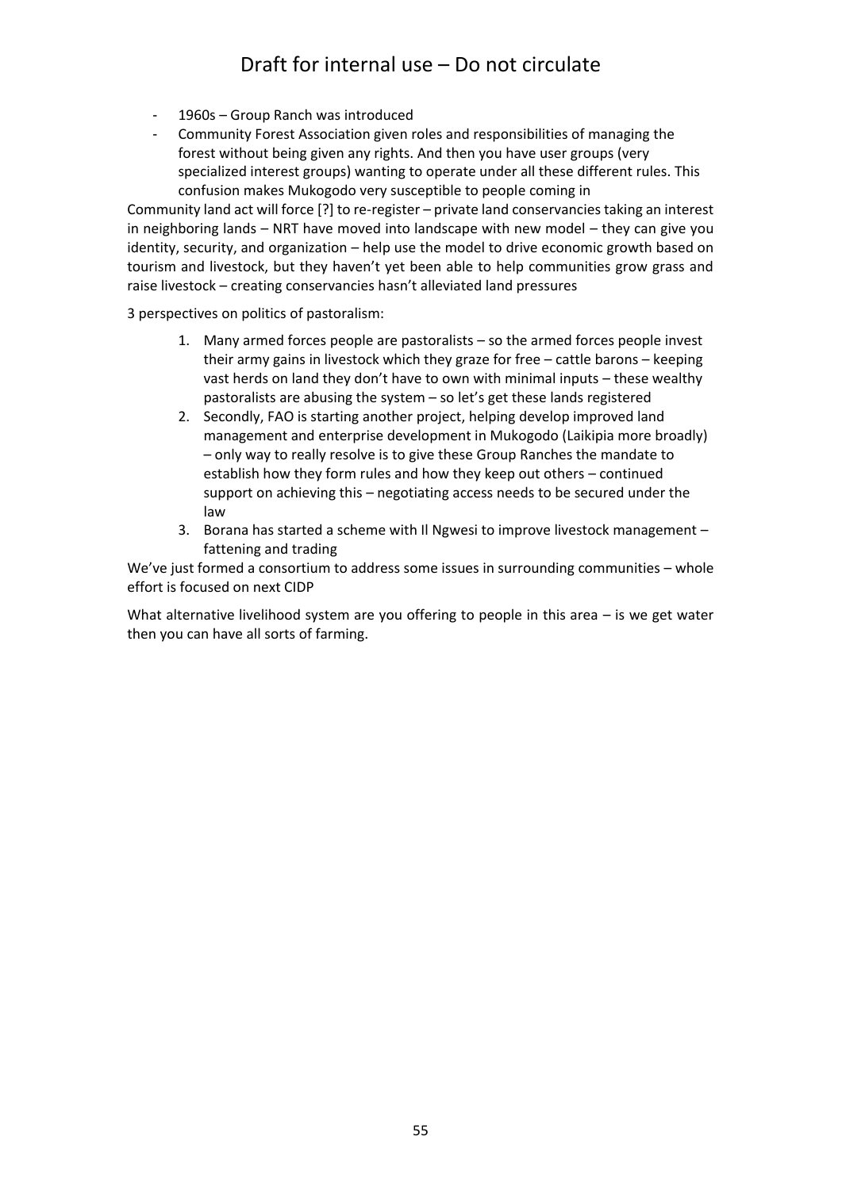severe droughts. Il Ngwesi Group Ranch, and the neighbouring Lekurruki Group Ranch which we briefly visited, show an extremely complex situation with a severe conflict driven by multiple causes.

Hunting gathering groups, the Yaaku and possibly some Il Ngwesi, inhabited the area a long time ago but now seem to have adopted the livelihood strategies of their neighbours, combining farming and pastoralism, although some Yaaku still practice honey harvesting. The Yaaku seem to have been the first occupants but they were joined by Il Ngwesi who had to move away from their initial home in Meru County, apparently following white settlement there.

Today, Yaaku and Il Ngwesi communities share the Mukogodo landscape, each having its own Group Ranch. Both are under strong pressure from Samburu herders who invade the land to find grazing resources for their livestock. The invasion is motivated by the search for dry season grazing land and is backed by political elites, mainly Samburu Member of Parliament Thomas Lempurkel, who seems to provide weapons, protection and information. Beyond the search for grazing land, the political agenda of these elites and Samburu herders may be to appropriate land in community and private conservancies and settler ranches in order to establish permanent homes there.

The Yaaku Group Ranch, Lekurruki, was invaded first, and the Yaaku have already surrendered to the Samburu, although not all of them. Some Yaaku collaborate with the Samburu, providing them with a base from which they invaded Il Ngwesi Group Ranch. The Il Ngwesi people are still resisting, even though they had to abandon their main settlement on the plateau surrounded by the Mukogodo forest. The Yaaku are still present in this area and now share the pastures with the Samburu. The Il Ngwesi have an exit strategy which they developed before the Samburu invasion. Their Group Ranch may not be large enough to sustain their livelihood so they acquired some land elsewhere. Many have a relatively high level of education which gives them access to a variety of jobs in neighbouring ranches or in towns. Some buy private land which they farm in neighbouring localities, which may have been the cause of a deadly conflict that took place with Kikuyu farmers about 20 years ago. But the Il Ngwesi will defend their land. They manage a community conservancy that provides them with significant income, in part invested to buy land. They will not easily abandon this asset to Samburu invaders and some plan to organize themselves to resist the invasion militarily.

The government sent a police team that is still present but lacks personnel and resources to act appropriately. Neighbouring private conservancies, Lewa and Borana, also provide important support in resisting the invasion. Their rangers are involved on the ground and track cattle raiders. They also support the police logistically by providing vehicles and occasionally conducting aerial survey. Their rangers are well organized and equipped, which dissuades the invaders. On the other hand, Olenaisho, a private ranch that has no conservancy, has already been invaded by Samburu people, which opened the way to other groups that followed.

There is discussion about whether the conflict will stop when the rains return, and after the next election, if Thomas Lempurkel is not re-elected. While not making a prediction, we believe that this conflict will continue in the very long term and will not find solution as long as the stark contrast between large estates well endowed in grass and owned by rich settlers and pastoralist communities impoverished by population growth, climate change, and land dispossession continues to exist. We plan to conduct more research to investigate what alternatives are available to Samburu communities apart from invading land in Laikipia plateau. More research is needed also to investigate possible linkages between the conflict, the creation of conservancies in Samburu County, and the infrastructure megaprojects of Northern Kenya.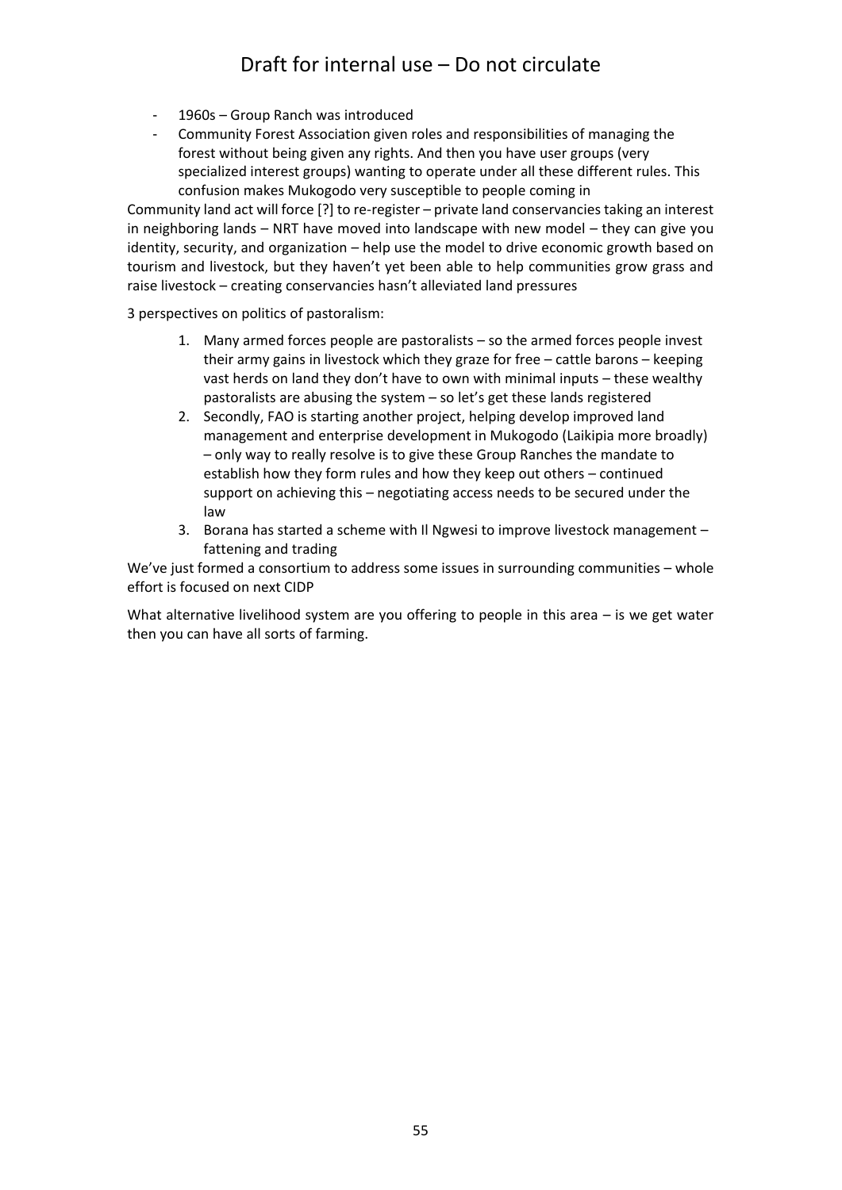# <span id="page-38-0"></span>Appendix 1: Future research

In the future, we plan to conduct research in the localities from which the Samburu that invaded Il Ngwesi originate, to have their view of the conflict. These localities seem to be mainly Oldonyiro and Sirkong in Isiolo County, and Wamba and Maralal in Samburu County. Below are a set of questions for these future interviews.

- 1. On Laikipia plateau, people talk a lot about the migration of livestock coming from Samburu land to graze on private ranches, conservancies, and even on community land in Mukogodo for instance. We came here to have the Samburu perspective on these events. Could you tell us the story of these migrations? More specifically, you can tell us:
	- a. When did the migration to Laikipia start? When did it happen for the first time?
	- b. Why did people migrate? Did the reason change over time? Was it the same at the beginning?
	- c. In previous years when they did not go to Laikipia, where did the livestock migrate to?
	- d. Why did it change? Why did livestock start to move to Laikipia?
	- e. What are the various options that herders consider before making their decision to migrate when there is a big drought?
	- f. What are the respective advantages and disadvantages of these options?
	- g. What else? What else? What else…
	- h. What type of herder migrates to Laikipia? Those with little or lots of livestock? Where do the others go?
	- i. Do the herders that migrate to Laikipia have a particular profile? Do they have political connections? Are they rich? Are they more educated? Why? Is it an advantage to be rich, politically connected, or educated, to migrate to Laikipia? Explain why.
	- j. How do herders arrange to migrate?
		- i. Do they group their herds?
		- ii. Do they each go their own way?
		- iii. Do they scout before going?
	- k. What is your view on the conflict? What good and bad will it bring? What else? What else? What else…
	- l. Would you say it's a conflict over grass or a conflict over land? Or over something else? Explain.
	- m. When it rains, will the conflict cease? Why? Explain.
	- n. Could you give us details about the loss of life during this conflict?
		- i. How many people died?
		- ii. Who are they?
		- iii. Under which circumstance did they die?
		- iv. How could the death have been avoided?
		- v. What did the government do about this?
		- vi. What did the community of the victim do about this?
		- vii. What did the community of the offender do about this?
		- viii. Did any other organizations do anything about this?
	- o. Could you give us details about peace negotiations taking place in relation to this conflict?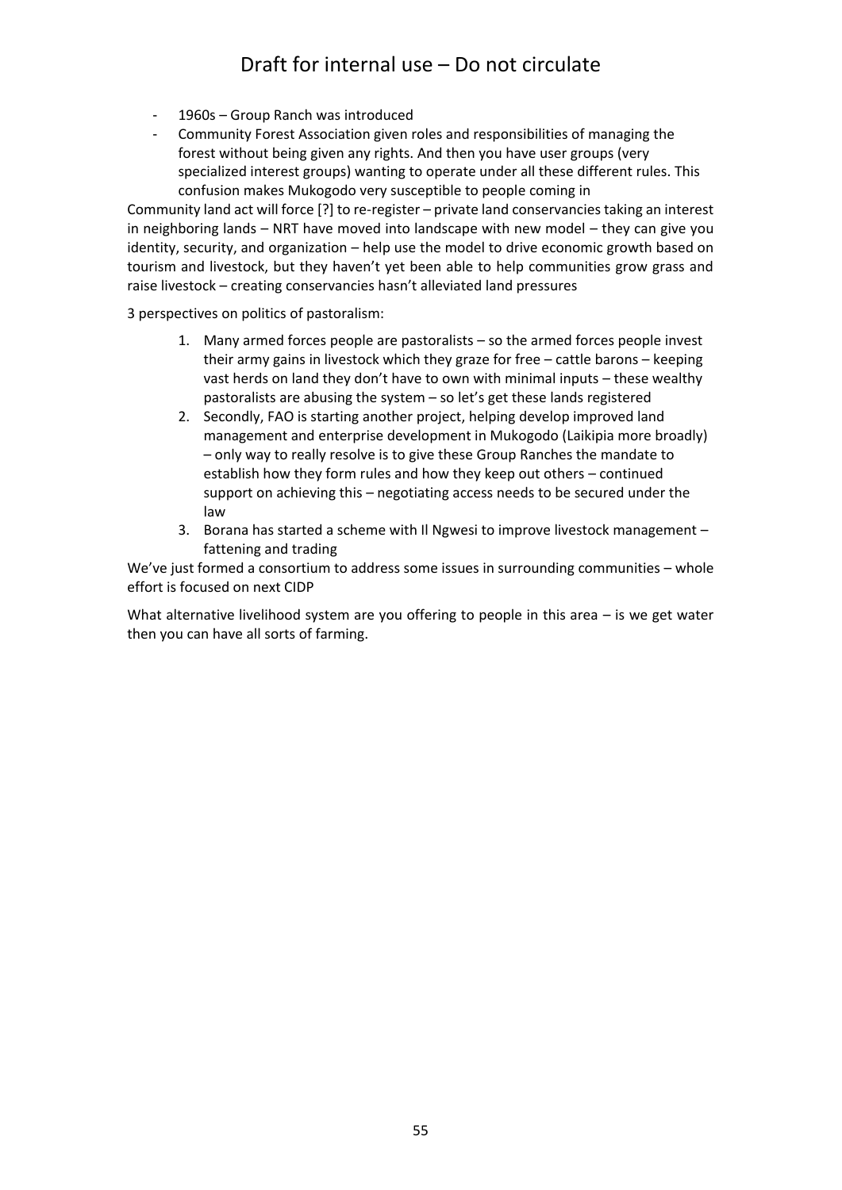- i. Who was involved? What organizations? What key persons?
- ii. Who had the most influence in the negotiation? Why?
- iii. What were the arguments discussed by the various parties?
- iv. What decisions were taken?
- v. Where the decisions implemented? Why or why not?
- vi. Did it get any better after that? Why?
- p. What role do private ranches and private conservancies play in the conflict? What is their position? What do you think of that position?
- q. What role do community conservancies play in the conflict? What is their position? What do you think of that position?
- r. What role does NRT play in the conflict? What is their position? What do you think of that position?
- s. Do you think that all Samburu herders that go to Laikipia go there with the same motivation? Explain the different motivations.
- t. Are there divisions or disagreement between Samburu people regarding whether they should migrate to Laikipia? What are the arguments of those who say yes or no to this migration? What else? What else? What else...
- u. Some people say that the conflict is political. Do you agree? Explain your position.
- v. How do you think the conflict will evolve? What are the possible scenario? Explain.
- w. What should be done, overall, to stop the conflict? What is the key thing that should be done?
- 2. What are the rules regarding grazing in conservancies?
	- a. What are the conservancies where people from your community can send their livestock?
	- b. What are the rules for accessing pastures in that conservancy?
		- i. When can pastures be accessed?
		- ii. By whom?
		- iii. Are there limits to the number of livestock?
		- iv. Can cattle and shoat and camels go?
		- v. Are there any conflicts between herders in the conservancy?
		- vi. Do some herders violate the rules?
		- vii. Were pastures in that place accessible before the conservancy was created?
		- viii. During what period?
		- ix. By whom?
		- x. Why did the access period and rules about who can access change since the conservancy was created?
		- xi. Who established the old rules?
		- xii. Who established the new rules?
		- xiii. Who was involved in discussing the new rules at the time they were established?
		- xiv. What were the different approaches discussed? Did some stakeholders propose different new rules? Why?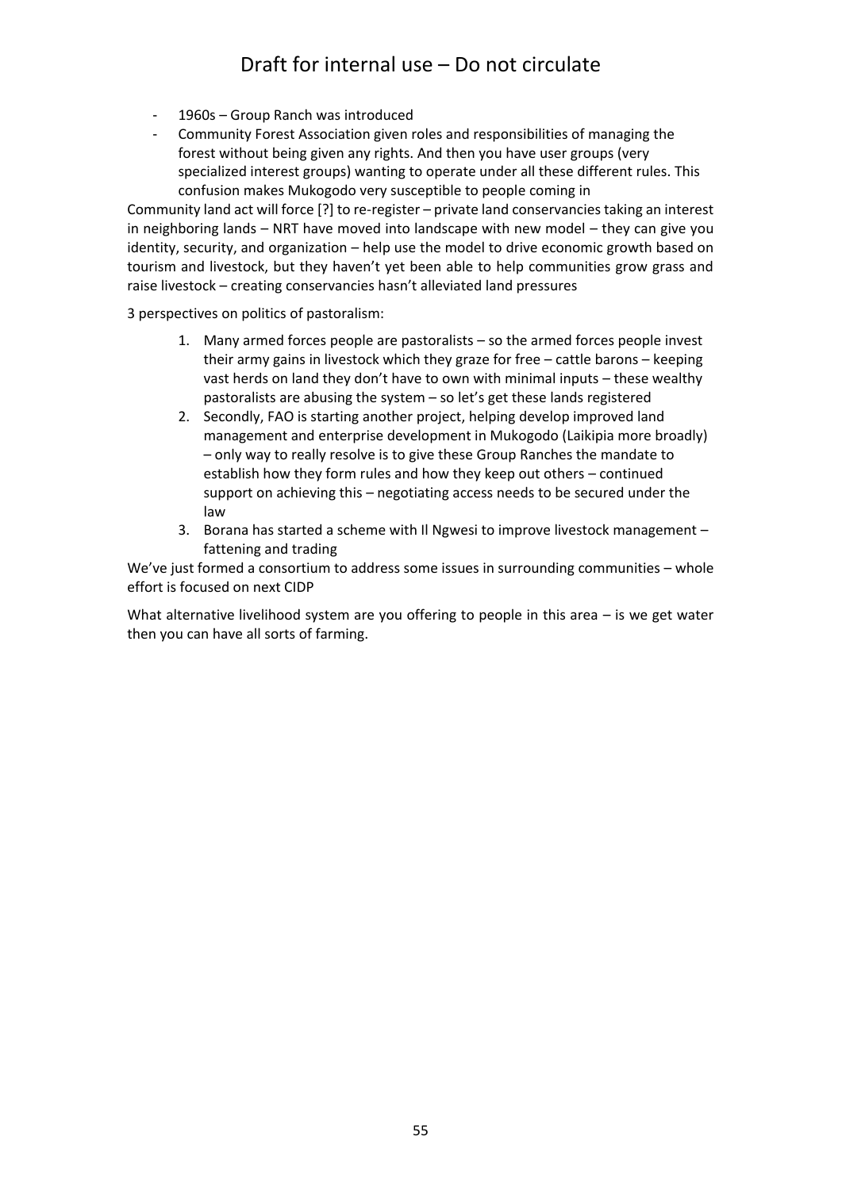- xv. Would migration to Laikipia still take place if the rules for accessing these pastures in what are now conservancies in Samburu land were the same as they were before?
- xvi. Do you think that if the current rules were changed, conflicts would decrease and migration to Laikipia could diminish? What should be the new rules?
- c. Did the creation of Group Ranches and conservancies impact the relationship between Samburu and other tribes? Or between different Samburu groups? Explain.
- 3. We are going to ask a few questions about holistic management.
	- a. Do you practice holistic management in your community?
	- b. Since when have you been practicing it?
	- c. Where do you practice it?
	- d. Why do you practice it?
	- e. Who brought that idea here?
	- f. Was the idea easily adopted? What kind of people embraced it? What kind of people rejected it?
	- g. Why did some people embrace the idea?
	- h. Why did some people reject the idea?
	- i. What are the advantages of holistic management? List all advantages and explain. What else? What else…
	- j. What are the disadvantages of holistic management? List all disadvantages and explain. What else? What else…
	- k. Has the pasture improved since holistic management is practiced?
	- l. Is holistic management spreading to other communities? Why?
	- m. Do you receive financial and technical support to implement holistic management?
	- n. Who provides this support?
	- o. How is your relationship with that organization?
	- p. Are you satisfied with their approach? Why?
	- q. If there was no holistic management, would there be less or more conflict for grazing? Less or more migration to Laikipia? Explain why.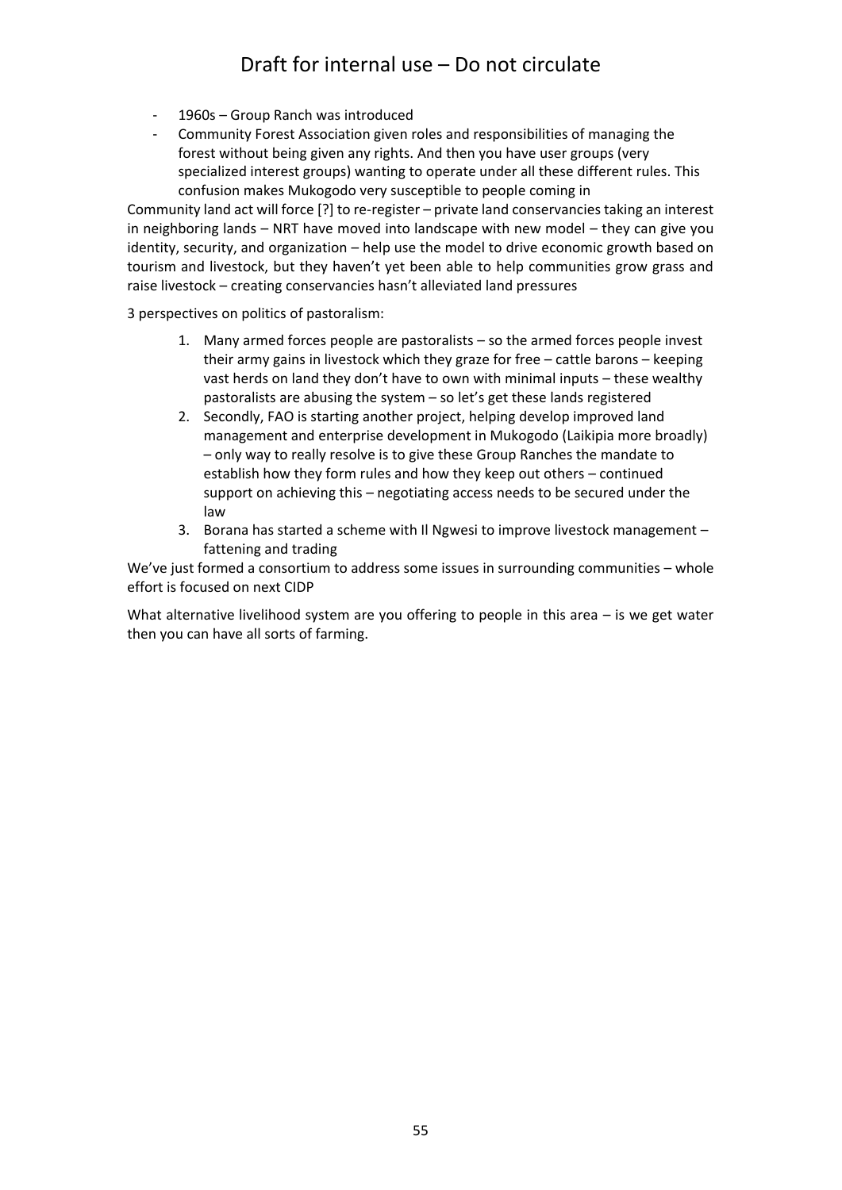<span id="page-41-0"></span>Appendix 2: Figures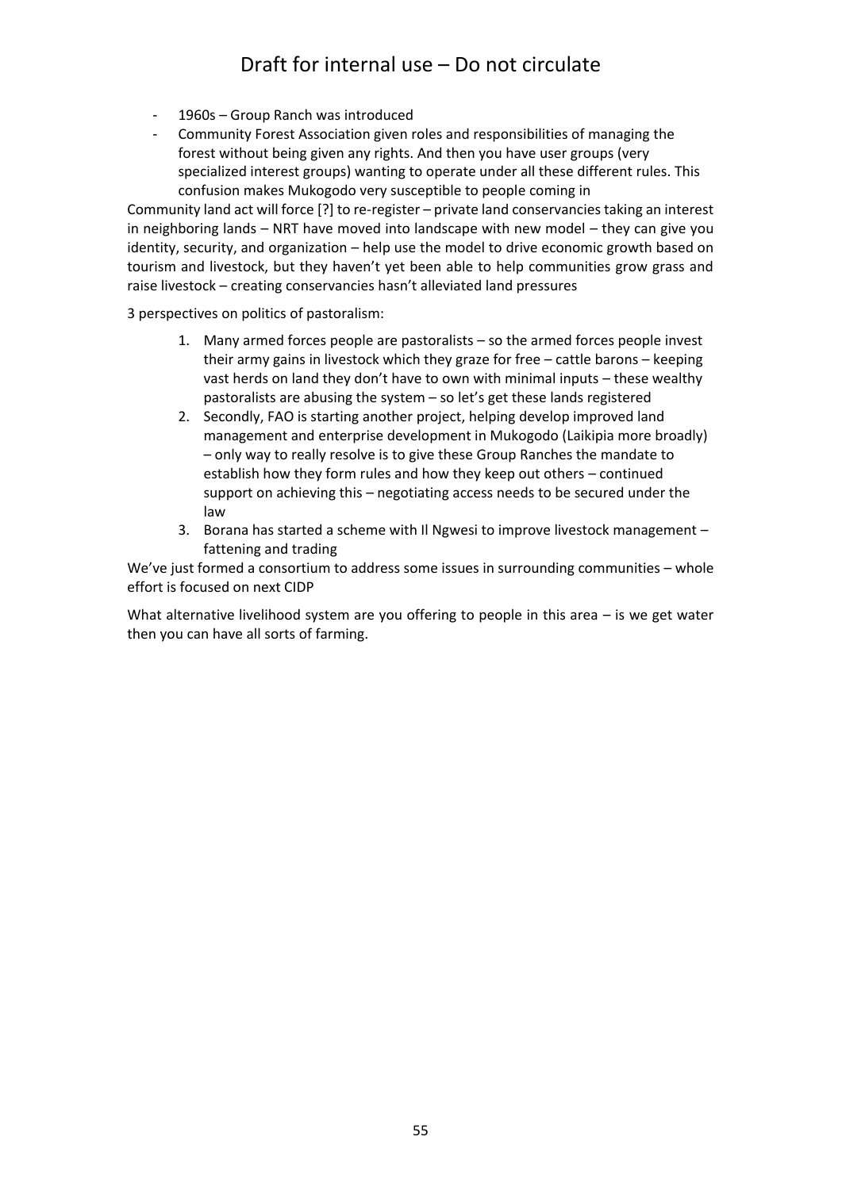### <span id="page-42-0"></span>Appendix 3: List of interviews

### <span id="page-42-1"></span>Interviews conducted by Jacques Pollini in 2016

Ia19: Leader from a Community Based Organization in Il Ngwesi, in Nadung'Oro (Il Ngwesi community).

Ia20: Rangeland manager from Il Ngwesi, in Nadung'Oro (Il Ngwesi community).

<span id="page-42-2"></span>Ia21: IMPACT team.

### Interview conducted by the IMPACT team

<span id="page-42-3"></span>Ia22: Group of men in Il Ngwesi Group ranch

### Interviews conducted by Jacques Pollini in 2017

I1: Information collected by the IMPACT team from various sources.

I2: Man involved in the hay project, in Nadung'Oro (Il Ngwesi community).

I3: Member of the Group Ranch Committee plus same man as in I1, in Nadung'Oro (Il Ngwesi community).

I4: Man working for the Mukogodo forest CFA, in Nadung'Oro (Il Ngwesi community).

I5: Old man who moved from Nadung'Oro to Lokusero B following the Samburu invasion (Il Ngwesi community).

I7: Woman in Emurua, wife of a local leader (Il Ngwesi community).

I8: Old man in Emurua (Il Ngwesi community).

I9: Old man in Upper Sang'a (Il Ngwesi community).

I10: Woman in Lowe Sang'a (Il Ngwesi community), and a man who sometimes intervenes.

- I11: Member of the Grazing Committee in Sieku (Yaaku community).
- I12: Elder in Sieku (Yaaku community).
- I13: Man injured by the Samburu, in Sieku (Yaaku community).
- I14: Man in Sieku (Yaaku community).

I15: Leader of a women's association in Sieku (Yaaku community).

I16: Group of people in a cultural boma from the Il Ngwesi community, in Orpurkel, on the border between Isiolo County and Il Ngwesi conservancy (Il Ngwesi community).

I17: Young man from the Il Ngwesi community in Leparua (Isiolo County).

I18: Employee of the school in Enkare Oo Sirkon (Isiolo County).

I19: Policeman at the police post, on the gate between Il Ngwesi group Ranch and Borana conservancy.

### <span id="page-42-4"></span>Interviews conducted by David Barmes in 2017.

D1: Middle aged to elderly man, previously member of the [Group ranch?] management committee (Il Ngwesi community).

D2: Middle aged man from Lokusero B (Il Ngwesi community).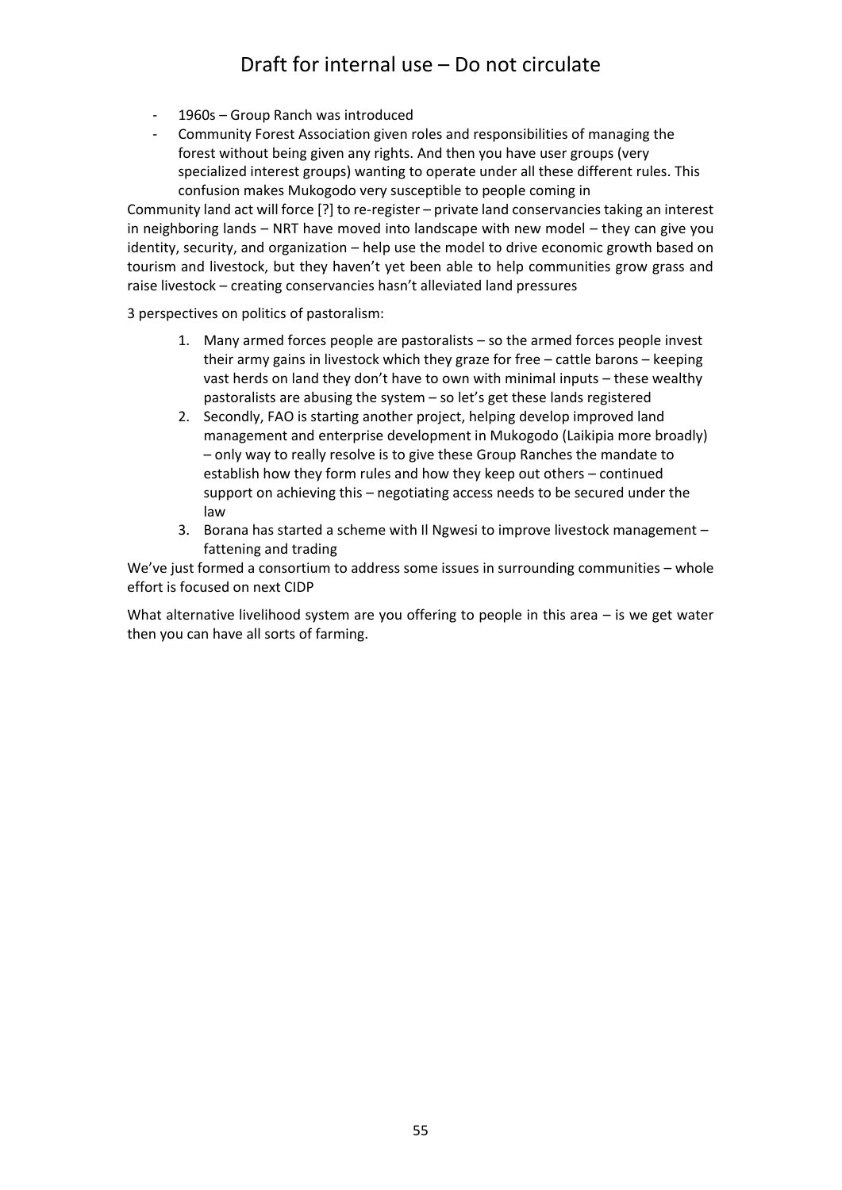- D3: Elderly man from Emurua (Il Ngwesi community).
- D4: Group of women with one man in Upper Sang'a (Il Ngwesi community).
- D5: Young to middle aged women in Lower Sang'a (Il Ngwesi community).
- D6: Elderly man in Lower Sang'a, in the same boma as for D5 (Il Ngwesi community).
- D7: Middle aged man in Sieku (Yaaku community).
- D8: Middle aged woman in Sieku (Yaaku community).

D9: Young man in cultural boma close to Il Ngwesi conservancy, in Orpurkel (Il Ngwesi community).

D10: Two women in Enkare Oo Sirkon (Isiolo County).

<span id="page-43-0"></span>D11: Teacher in the Enkare Oo Sirkon primary school (Isiolo County).

#### Interviews conducted by Ramson Karmushu in 2017

- R1: Man from the Il Ngwesi community.
- R2: People from Lokusero B (Il Ngwesi community).
- R3: Old man in Emurua (Il Ngwesi community).
- R4: Old woman in Upper Sang'a (Il Ngwesi community).
- R5: Old woman in Sang'a (Il Ngwesi community).

R6: Woman in the cultural boma in Orpurkel, close to the Il Ngwesi conservancy (Il Ngwesi community).

R7: People in Enkare Oo Sirkon (Isiolo County).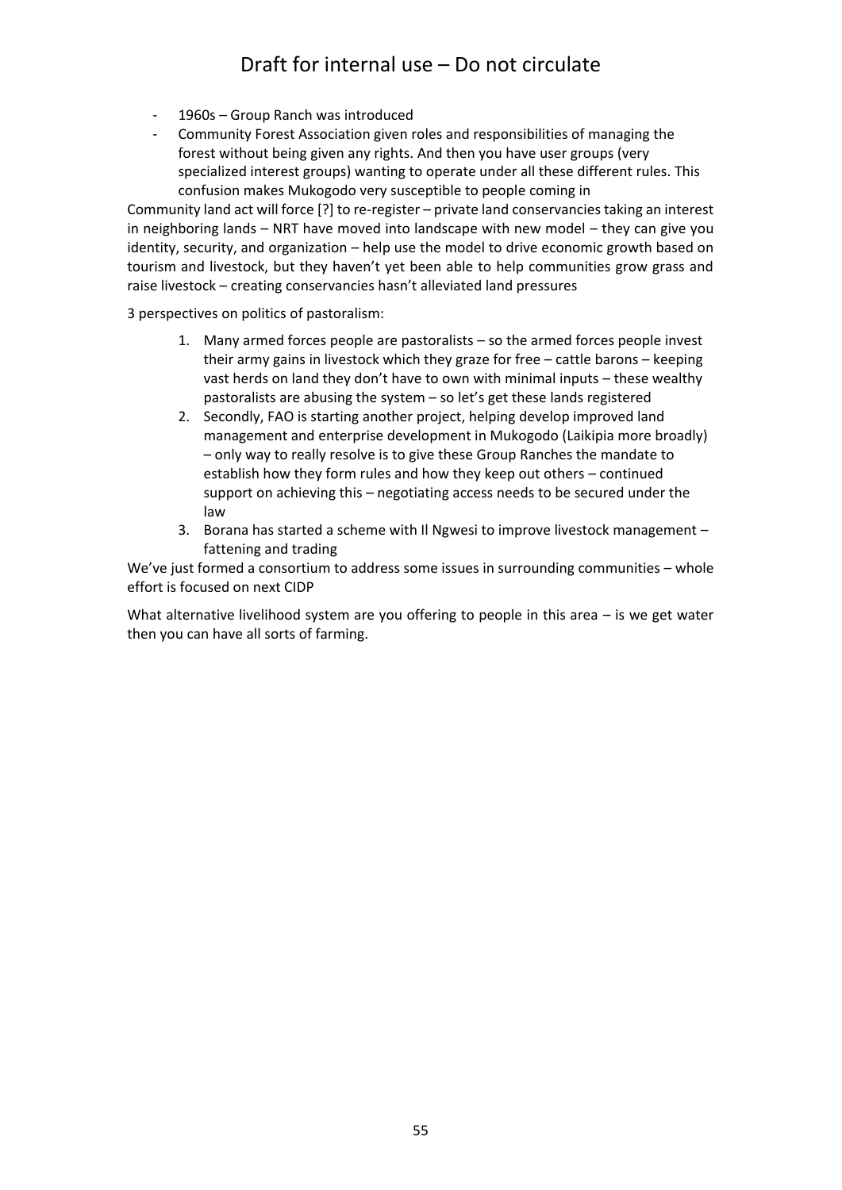# <span id="page-44-0"></span>Appendix 4: Additional interviews conducted in Samburu communities and in Nanyuki

After completion of field work in Mukogodo Forest, one team member (Ramson Karmushu from IMPACT) conducted additional field work in Samburu County, in areas from where some of the Samburu intruders may come from, to understand the logic of these intrusions from the perspective of Samburu people. Another team member (David Barmes) interviewed higher profile informants in Nanyuki to obtain a broader and more external perspective on the conflict. We present here the results from these interviews. We did not integrate this information to this body of the report because it is quite scant (only 6 interviews). More investigation is required to draft the "view of the Samburu" and more high profile informants need to be interviewed to draw a broader picture of the conflict. We plan to conduct more research scoping trips in the Samburu communities from where invaders originate and will use the field note below to prepare these trips.

### Interviews conducted by Ramson Karmushu in Samburu communities.

### R8 - Interview of a middle-aged man in Kipsing

I migrated here a very long time ago. When the age-set called Rmeoli were being circumcised, I was just living at the foot of that small hill that you can see from here. At that time I only had one child. That is when father Riwa came to Kipsing to do some projects; I was living in this place. I even worked with Father Riwa when he was building the boarding school for the ladies. At that time I could hold the compressor to drill the blocks using one hand. At that time I had a lot of energy and very strong muscles, not like how I am today. That was around the 1980s. That was even when that Kipsing bridge was constructed.

#### Q: What are the sources of livelihoods for the community in Kipsing'?

People here depend on keeping livestock. We have been livestock keepers since the past until now. We have entirely depended of them. We have also depended on some manual work that we used to get from the projects that Father Riwa use to do in the community. Those are some of the activities that we use to do to win the bread for the day. That was also the same time that Father Riwa gave poor members of the community here 40 goats (39 goats and a buck), a donkey, a rope and a sack to be used as a bag. He also gave out a 20-litre water container; the donkey and the rope were also given to everyone together with the livestock to prevent one from selling the livestock. The donkey would be used to fetch water from the river and to carry the commodities during migration as well as from the shopping centers. He also provided medicine for the livestock. All these items were given at the same time, together with the livestock, even the medicine, all at once, just given once and for all. That is how many people improved their living standards and lived a better life in the community. Those who did not succeed in becoming rich from those goats were maybe not meant by God to live a better living. Those who succeeded in becoming rich still have livestock today, those that were given out by Father Riwa. By then, this dry bed Kipsing' was a permanent river. It flowed all the time. Some distance from here to close to the center, there used to be a spring where water used to flow out and run down the river. Father Riwa blocked the water from the spring from both sides (up the spring and below). He protected it, and when Riwa went away, we cried. People were also living close to the Lengala Hill and he also constructed the same one like the one upstream there.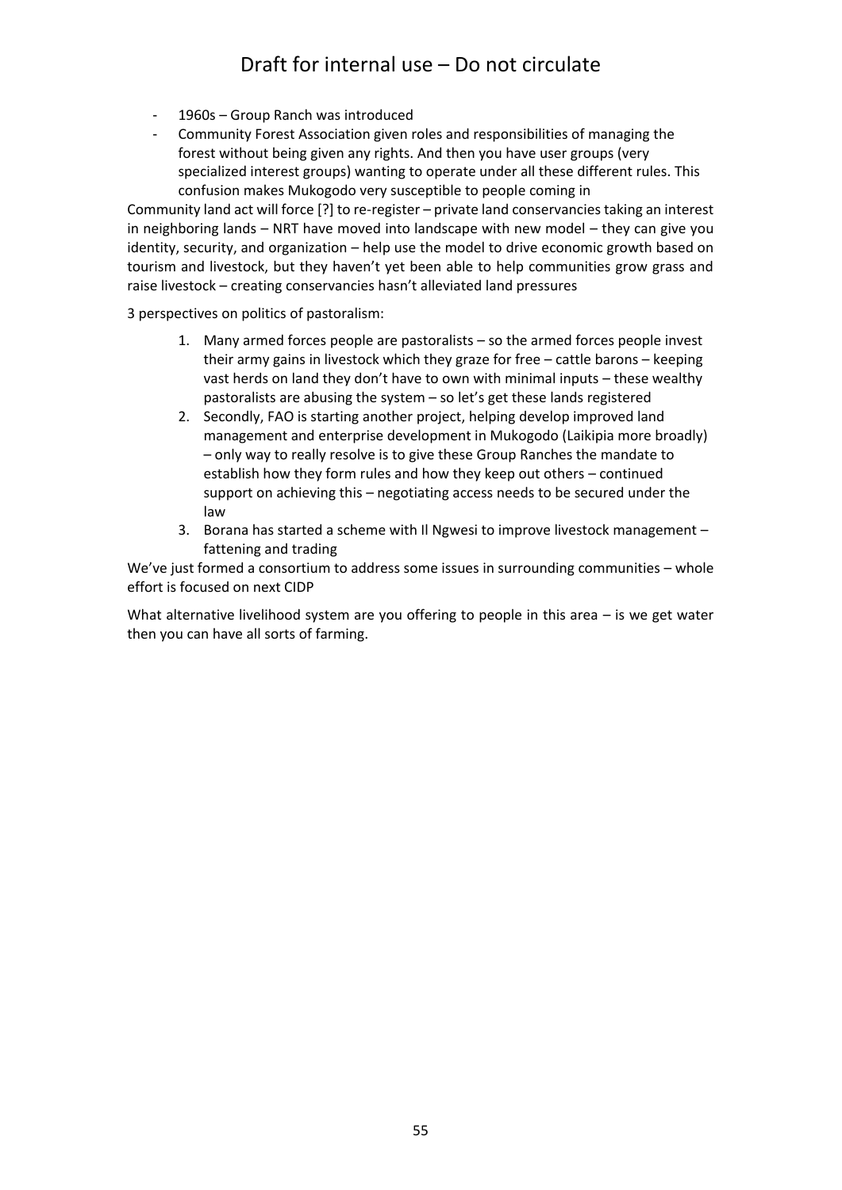Q: Were there any conservation projects and/or the conservancies at that time? When did they start?

There was nothing like conservation and the conservancies at that time. People used to live freely everywhere in this land. One thing that I can say, people used to stay united everywhere. We all practiced livestock rearing and nothing more. But we really stayed united and at peace with everyone. Like I can tell you that there was a day one man was shot dead and the other one from Leparua was injured. We all left from here and we went all the way to Leparua across the whole of this land eating goats provided by the communities along the way. We were all united, we stayed together as one without having any issues. The hatred that brought the insecurity was just recent. So recent, and I still believe that the thing that brought about fighting is the gun. When the community started owning illegal guns, these young warriors started killing people, saying that there are no taboos when one kills a person using a gun. They think that it is not the person using the gun that killed the person but the gun and the bullet. This is because one needs to fire and kill the other person at a distance.

See that we as Samburu are spread to all that area, for example, the Letimorit family is found at Leparua, and that family and many others are Samburu. I think I can dare say that the last age-set, Rmepuakiti, are the ones that brought all this insecurity. Our age-set, Rkuroro, and the one that followed us, Rmeoli, never fought; we stayed together grazing all over this land without any issues. For example, I am known in this area as a Dorobo from Lanat, and the people from Laikipia are known to be Dorobo; we are all one Maa community. How can we again fight? How can one dare tear his brother's stomach to spread his intestines out and leave him there to feed the hyenas? That never happened and that is why I can say that it is this last age-set, Rmepuakiti, that made this happen. We did not even fight the other tribes, then how can we, as the people who speak the same language and who have the same mark as the Maa, fight with them? It is this generation that made this happen. I can repeat saying that you just believed that this gun has no taboos when one kills a person using it. Traditionally, there is no way for one person to just kill another person. You will remain unclean and unwanted in the community. One therefore has to be cleansed for him or her to fit into any other activity in the community. It is so different and difficult since the community got access to the illegal guns. People are just killing others anyhow and nothing is taken seriously.

The Maa also said, assist one that is being drunked but not one that is being affected by the sweet fruits of life (his/her wealth). Listen, we came to believe that education is the best thing that one can ever have and that is all are up for. Everyone one wants his or her kids to learn. People also say that people from town or who wear urban clothing know nothing about the community or the culture, but I can see that it is the education that we are running into that is bringing all these problems. Most of the local community members now blame the education as a bad disease that is coming to affect all. It is a disease because these civilized people just hate one another. This is because of politics and political positions that everyone wants to hold. People in the past used to share resources like food together, for example you and I go to town to buy food, and we live in a big family with many households, the men that went to buy food for their families asks their wives to share the food among the other households in that home (the households that have not gone shopping). That is what they also do when they go shopping and we do not.

Q: Where does the livestock in this community migrate to during dry periods? Are there any challenges that they face during the migration?

First, the community here faces a big challenge of longer droughts than before. We migrate to different places like towards the Borana community at the other end of Isiolo County,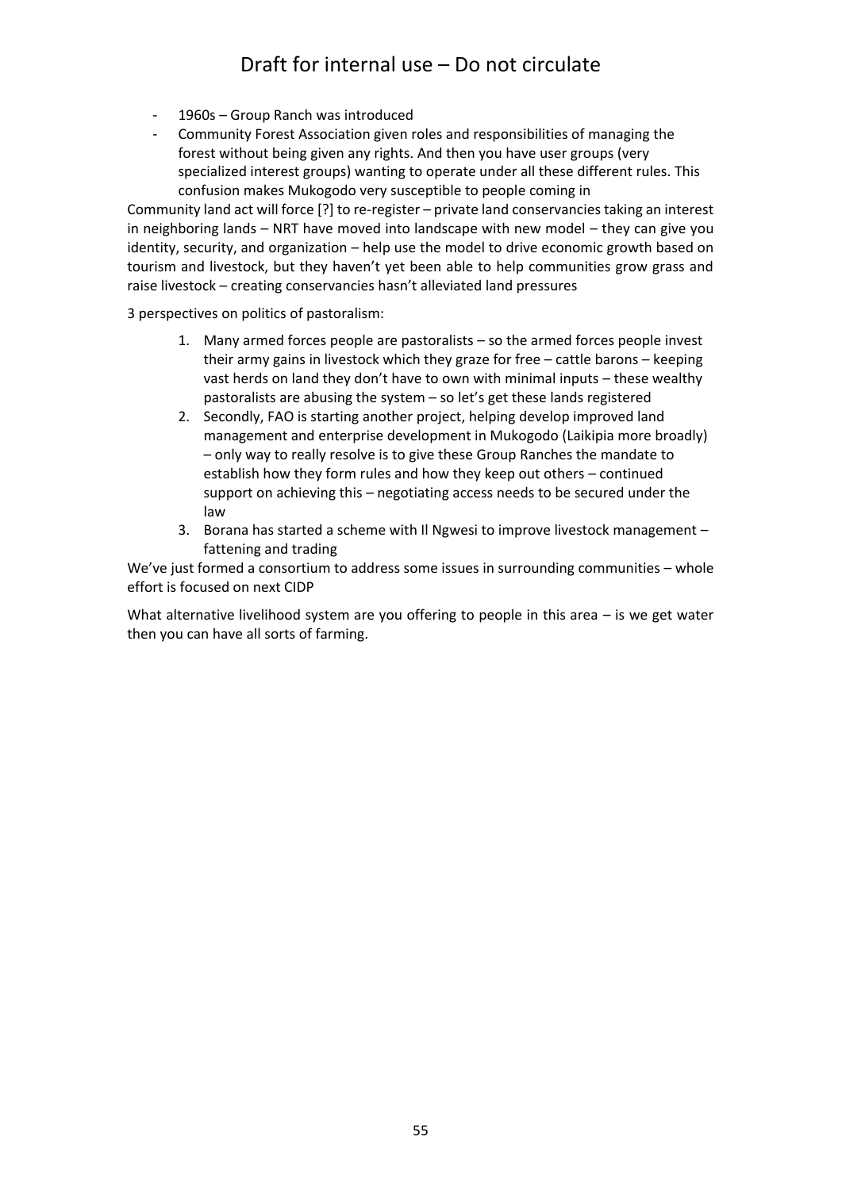we also migrate to the Wamba and Kirisia hills near Maralal in Samburu County, and nowadays, we do often migrate to Laikipia. We do face many challenges while migrating to those places, and the biggest challenge that we have been facing recently is the tribal clashes with the other communities such as the Borana, Turkana, and the Il Ngwesi community in Laikipia (Ltorobo)

Q: I have heard that there are places that people are practicing holistic grazing management; are you doing holistic grazing here?

We are not practicing holistic grazing here. Do you know why? I will tell you now. The reason is, we were not able to come together as a community and set the grazing rules. No one controls the herds and they just graze on the land in any way. Everyone can then migrate and live where they want and graze the livestock wherever they want; there is a lot of individualism. We end up not utilizing the grass but destroying it with the livestock stepping on it. As well, we do not have a good settlement pattern; if, for example, I migrate to that hill, someone else will just come, go past me and settle ahead of me so that he can cover a large grazing area than me. We should have a plan for settlement so that we can be able to control the grazing of the livestock. The other thing, "when have you ever heard of shoats living on that hill? Lekurruki?" (pointing at Lekurruki hill/mountain). Those hills were known to be best for the cows. Now, the shoats live there permanently, and the cows are left out. The cows used to migrate to that hill during the dry periods only and not even all the time. Today it is the camel and the shoats that live there, and the cows that are meant to graze on those hills during the droughts are left out. What about the cows? The cows are forced to go graze by force in someone's grazing area who knows how to practice holistic grazing in his land. The illegal grazing, that is where you will be fought, and you will be told that we do not need this. So, the way forward with the community here is to teach them on their unity and their settlement and to empower them on holistic grazing. They should be taught to leave some areas as grazing banks for the dry periods. They should be taught to control the grazing because of the cows. It is the cows that will migrate to such far distances and will meet with other communities which will cause fighting, as people will be grazing by force on other people's lands, which is not right.

Q: Do you try to graze your livestock in other conservancies that practice holistic grazing management? If yes, which ones and what is their response?

When they graze there, they also allow us to. The first one is the Samburu National Reserve. That is a very old conservancy; when the droughts come, the conservancy management makes a deal with the community and allows them to graze. There are a lot of carnivores like lions that can kill the livestock and even the people. You are not allowed to kill those carnivores and you will also graze in style. Remember that it is a conservancy and there are a lot of tourists. Therefore no one is allowed to graze close to the road; you hide your livestock from being seen by the tourists. This is because the tourists bring benefits to the park and the community as well. You are also not allowed to disturb or kill the wild animals in the park. The community will also be told that they will steal the grass and not to graze by force. It is never good to do something forcefully; dialogue is good and the best way to go. We also have been migrating to Laikipia, even a very long time ago, and they were allowing us to graze until recently, when these young warriors started going to Laikipia with another intention of chasing the Laikipia communities away so that they can settle on their land. They are just trying to hide that they want a place to graze, but the fact remains that they want to settleon their land. We migrated to Laikipia in our ageset too, Rkiroro and Rmeoli; it is the last age-set, Rmepuakiti, that started fighting with our brothers with whom we had been staying together.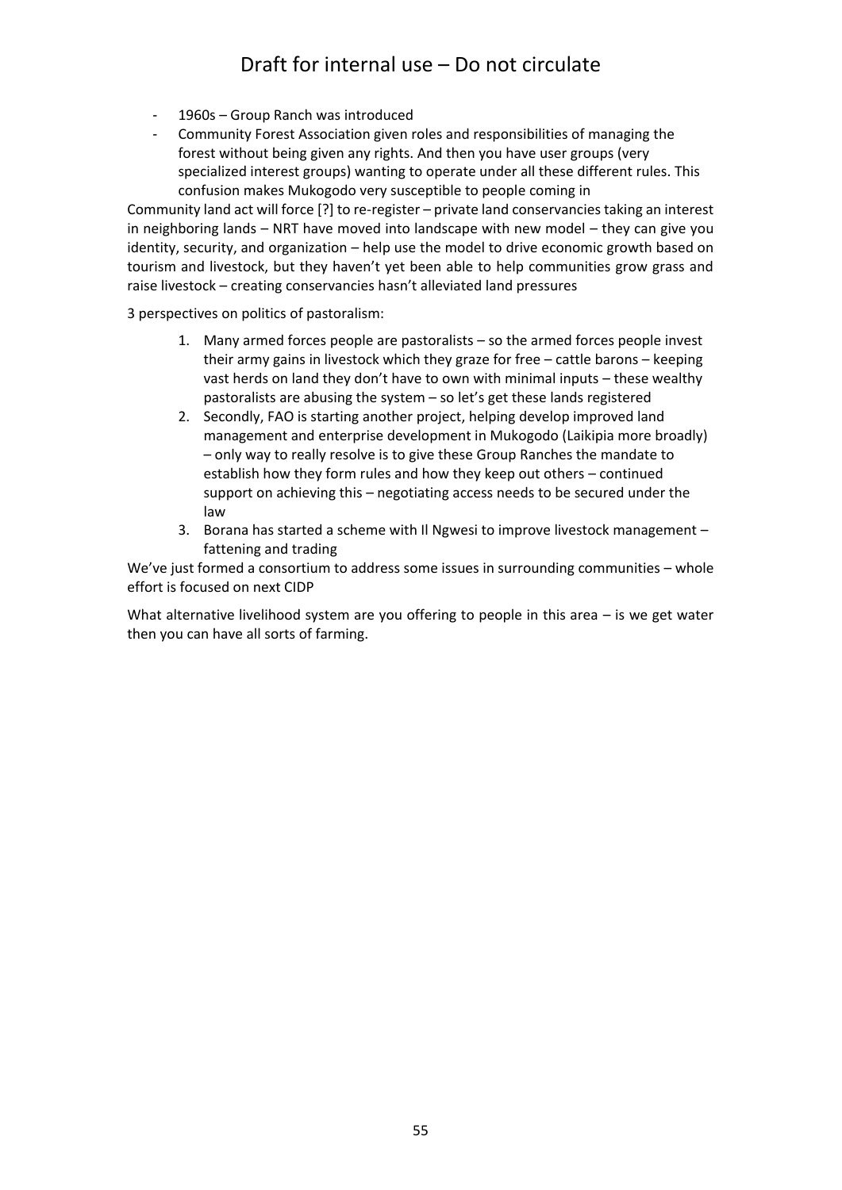### R9 - Warrior's interview in Kipsing

Q: What is the history of Kipsing' and how do you make your livelihood? What are the roles of the warriors in the community?

We were born here and have lived the whole of our lives here, although we have migrated out of the community with the livestock at different times. The community here depends entirely on livestock. There are a few people in this area who are employed and that is where they get their livelihoods from, but everyone in this community, whether employed or not, has livestock. We all then depend on livestock. No one is practicing farming here. While we were growing up, we were told that schools are good, but we did not go to school. In our family, some of my brothers and sisters have gone to school while some of us were left to take care of the livestock. People were taking more girls to school while we were young, although nowadays, both boys and girls are going to school. We could not all go to school because no one would take care of the livestock.

I went to school myself, but at some point, when my family migrated away and no one could take care of our livestock, I just decided to drop out. Some of the people I was with in the school are now working in different places.

We migrated the livestock to different places while growing up. We have even gone all the way to Kirisia Hills near Maralal, we have migrated to Sarara (Namunyak) Hills, (Wamba Hills) and towards Koom, near Merti and Laikipia as well.

Every person in the community has a different role. The old and middle-aged men in the community guide the community and handle any matters relating to other communities. They also discipline any wrong-doers in the community. For the women, they always stay at home and take care of the children at home. They are also responsible for building housing for the family, but the faces are constructed by the men, both warriors and the middle-aged men. The work of the warriors is to protect the community and also go ahead of the herds while grazing. The work of grazing is for the boys. But the shoats can be taken care off by young boys and girls in the community, together with women at home when the warriors are away with the cattle.

Q: What is concentrating people in Laikipia? Is that what has caused fighting with the communities in Laikipia?

There was a lot of grass in the past, unlike today. Even though there was nothing to do with the conservancies in the past, people used to migrate to Laikipia even before. In the beginning of conservancies, people in Laikipia started restricting the herds from Isiolo and Samburu from grazing in the conservancies in Laikipia. That then caused fighting because we saw it was impossible to block our cattle and allow the cattle in Laikipia to graze. We grew up knowing that the grass belongs to the cows and anyone blocking the cows from grazing should be dealt with. There are also other conservancies in Isiolo and Samburu which are still protected by the rangers, and when it gets dry and there is nothing more to graze on outside the ranch, they always allow us to access the conservancies and the parks for grass. But there is no grass in these conservancies in Samburu. The communities here in Isiolo and Samburu are not practicing holistic grazing. One can migrate and live anywhere during the rainy season as well as the dry periods. What caused the fighting more is the NRT and the conservancy rangers who killed a lot of warriors in Il Ngwesi conservancy. Nothing was done about that, and other people from the Samburu community, especially the warriors, who were pained by this started to revenge it by raiding their livestock and killing people.

Q: Why are the people fighting in Laikipia? What do you think is the cause of the fighting?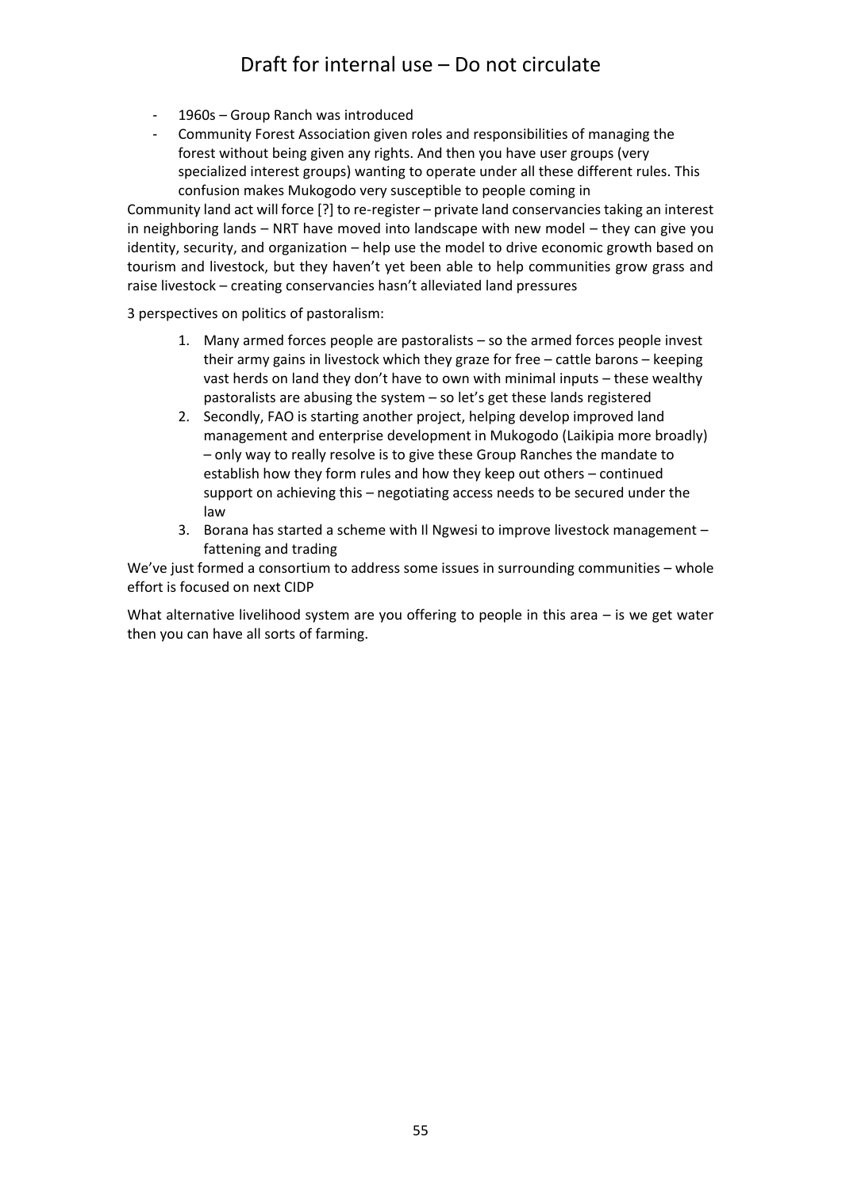The conservancies in Laikipia allow the cattle in Laikipia to graze and block the cattle from the Samburu community, saying that those cows belong to the Samburu. That created a big problem and caused the people to disagree. That created the fighting problem and caused the people to start shooting the people whenever they come across them, like the way we hunt gazelles.

I think the main cause of the fighting in Laikipia is due to the grass. People in Isiolo and Samburu have migrated into Laikipia in search of pasture, and if you try look at it carefully, you will see that all the people fighting are only fighting where there enough grass for the cattle but someone is preventing the cows from grazing. Yes, there are other minor cases where people have different kinds of conflicts. I think if one looks at the conflicts, they are still related to the grass conflict in a way. Just look at the raids in Laikipia; no one had ever done the raids before until after the fighting with the Samburu at Il Ngwesi Lodge. So that is the cause. The grass is the cause of fighting with the people in Laikipia. I just think that for the people to come back together will be when the people come together for dialogue and accept the wrongs that they have done and then agree to move on together using the grass they have together. That is just one way. The other solution is if it rains throughout the whole of these areas until there are no more droughts because that will bring the people back to their homes.

#### R10 - Mpus-kutuk ranger interview

Q: When did conservation start in this area? What are the advantages and disadvantages of conservation in this area?

I am not among the team of people or rangers that started conservation or our conservancy in this area. I came into conservation not long ago. It has been two years since I started working as a conservancy ranger. There are a lot of advantages that came with conservation. One, conservation has been a source of employment to the members of the community. It has brought employment home and both hardworking and lazy people in the community are benefiting from it. The other advantage that conservation has brought is holistic grazing. Since the beginning of conservation, people have been practicing holistic grazing where the community preserves some parts of their lands as grass banks for the dry seasons. That has kept us going for months even after the whole land is dry, unlike in the past where we just grazed everywhere and finished all grass at the same time, and we were left with no options.

Some of the disadvantages that came with conservation are, one, conservation brought about conflicts between the people working in the conservancies and the public outside the conservancy. See, for instance, the grass that we are trying to conserve; we are only doing that for the benefit of the people out there in the community, but they try to graze by force, even fighting with the rangers. They tell us that that grass is not for the wildlife, and we must graze on them because they belong to the cows. They fail to understand that they will still have the grass during the dry periods. The other thing, still on holistic grazing, is that it has brought about conflicts among different communities. For example, the conflict between the Samburu and the people of Laikipia; there is a good practice of holistic grazing in Laikipia, which attracted cattle from Samburu. After the resistance from the community in Laikipia preventing the cows from accessing the grass, it caused the fighting that is now being experienced in some parts of Laikipia.

The other disadvantage that conservation has brought to this area is a really hard time for the rangers. This is due to the raids that are happening in Laikipia; when the cows are brought to cross our conservancies, we are the ones to go and recover them. It becomes very hard to recover them because the warriors that go on the raids have got guns, and we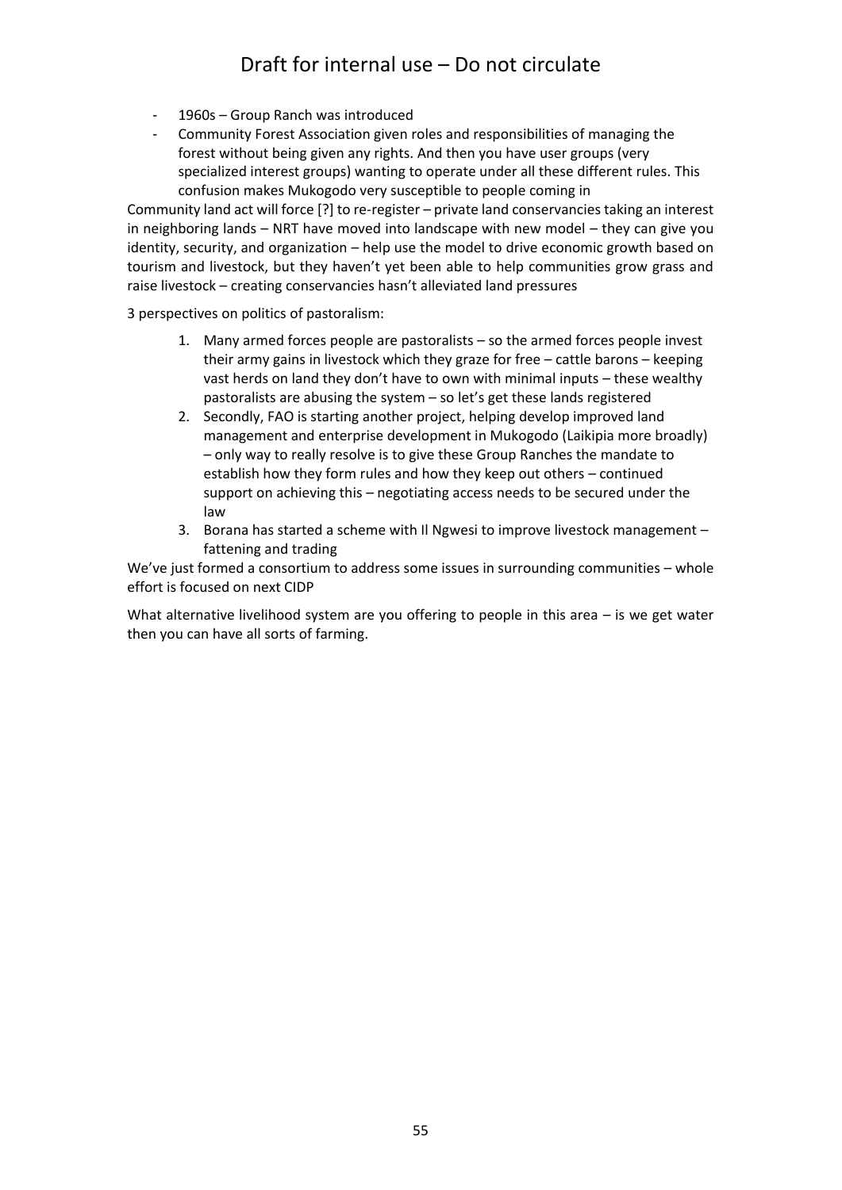do also have guns. This will always cause fighting between the rangers and the warriors, which sometimes causes deaths or injuries. Because we are the people from the same community, you may find that you have even killed your own brother or a close relative in the crossfire of bullets. The work to recover the stolen livestock used to be known to be work for the police, but since we received the guns, the police have withdrawn and leave that work for us. It is even creating a big gap between the community and the workers of the conservancy.

Q: Is conservation contributing to the conflicts in the conservancies here in Isiolo and in Laikipia?

First, you need to understand that it is not the conservancies alone that are causing the conflicts. I can say that the main source of conflicts is the drought. I say that because I have not seen people fighting in the conservancies over the grass when it is green on the land. Warriors don't go for others when the land is green. I would ask you this simple question, whose livestock are invading the ranches in Laikipia? Is it not the cows from all over? The cattle from Laikipia, Isiolo, and Samburu are now invading the ranches in Laikipia because it is a drought. There is no other place that is left with grass except for Laikipia ranches. That is why all the cause [is drought]. What about when it rains, do people always go to invade the ranches? No, because the grass and the rains take everyone back to their homes. No one will even be close to anyone else. The problem is therefore the droughts because people don't fight while it is green. Even here where we are, it is a conservancy. When it has rained and everywhere has grass, no one is allowed to graze here, and it will be against the grazing laws to graze here. If you are found grazing here when the other land has grass and everyone else is outside of this place, you will be fined if found grazing shoats or cows in the conservancy. The fine will be a whole goat taken away, and it will not be any goat, but a big castrated male goat that one treasures. It will just be slaughtered by the people in the community and you will not be able to do anything. That will always happen until no one dares to graze against the laws. In the conservancy, we do have different grazing zones. We have the normal grazing zones and we also have the buffer zone that is accessed last by the community. That way, we also consider the wild animals. When it is also dry in other areas, people can migrate to the areas with grass and request to graze. Our last grass, we grazed by the cattle from Maralal because it was dry in their areas, and there was grass here. That is the same case with the grass in Lekurruki conservancy; when it is dry here in Isiolo, we will go and have their grass. We allow people from other areas to graze in our land because we understand that they migrate to our land because of the drought problem that they are facing in their area, which has caused them to run away. You know grass is like a ready food, and when one is hungry, they just have it. Failure to do that and one can even die. People therefore fight for grass, saying that the grass belongs to the cows without even considering the consequences that one faced to leave that grass for the dry periods. At times, the warriors don't even fight; the people who fight are the conservancy men and the warriors who are looking after the livestock, trying to control the cattle. When it comes to the real fighting, it will be the rangers of the conservancy that is being invaded and the warriors who are looking after the cattle. When it rains, the warriors always have got no problem, and they migrate away to their homes.

In the past when there was nothing like the conservancies, there was nothing like the lodges. All these lodges that you can see around this place were all settlements for the communities, but they migrated away to make room for conservation. When it gets dry and there is no grass where the community migrated to, they will come back to these places and request grass, as they know every part of this land and all the places that the grass will last. It can cause a conflict if they can be told that they cannot graze in this area even when there are lodges and tourist camps. They know they have been grazing in these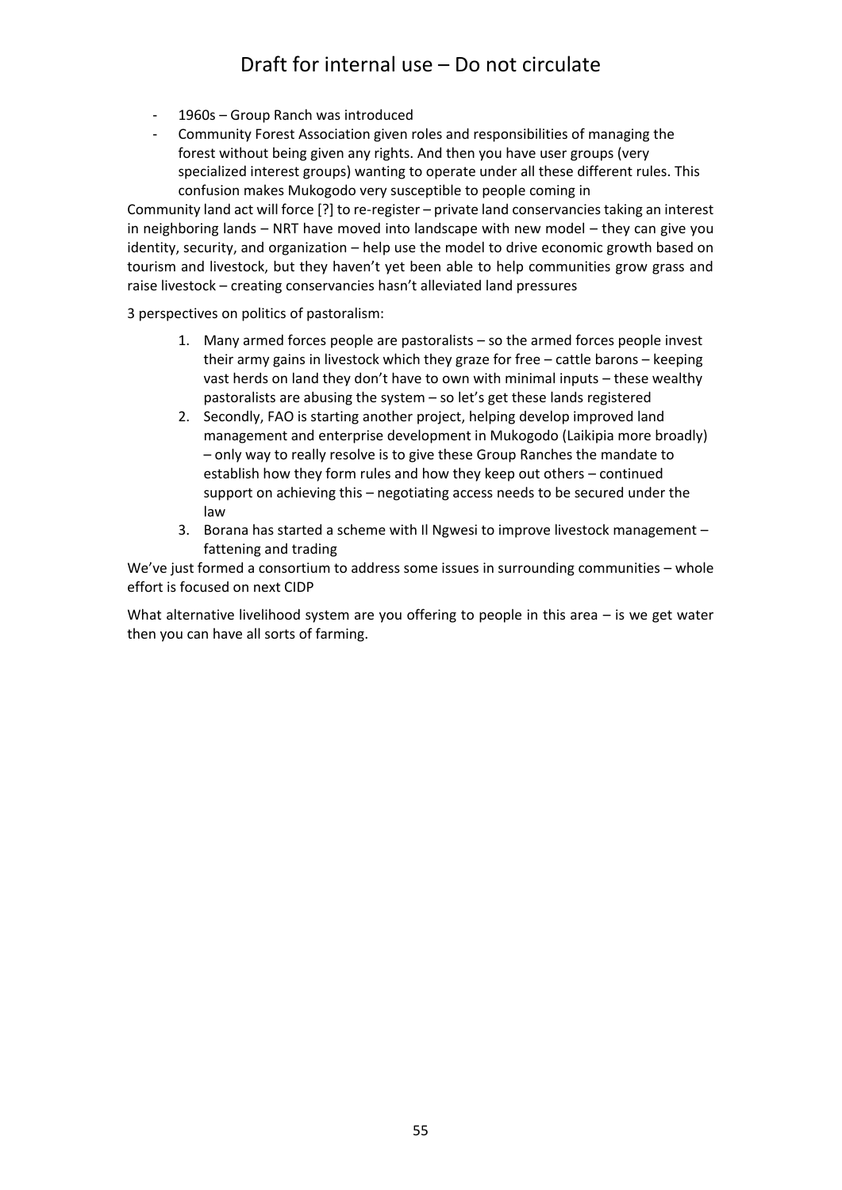areas before, and they think that it should be the same even when the land is being used as a conservancy or a buffer zone for the lodge.

Q: Are there any threats to wildlife that you are facing in conservation in relation to the pastoralists or livestock?

For sure there are not, because the community just comes for grass. They don't disturb the wildlife in any way because they don't kill or even injure them. They are only looking for grass as they pass by to access areas with greener pastures. Cattle from other communities that access grass from other conservancies always follow the grazing rules in the community they migrate to. At some point when they migrate in large numbers, no one can control them, they just graze, and that way they will have disrupted all the grazing plans of the whole community.

#### R11 - Oldonyiro ranger

Q: What is the history of conservation in Oldonyiro and the history of this place?

I was born and raised around this place, although we have been migrating from place to place out to look for pasture and water during the dry seasons. We always migrate to places like, for example, towards Wamba Hills, Maralal Hills, Isiolo most frequently, Laikipia, and one time towards Mount Kenya, where we lost a lot of livestock. During that drought of 2000, some of the people came back without livestock. Since then, we have never migrated back to Mount Kenya. The furthest we therefore migrate nowadays is only to Laikipia and back. We face many challenges during our migration. The biggest challenge nowadays is the tribal conflicts and clashes that are causing a lot of loss of life.

About conservation, I was one of the people who started conservation in this area. I have been working in the conservancy for about ten years now. I started the work when I was still a warrior, when I did not even have a single child. I can therefore say that conservation has brought a lot of advantages in this area. The one thing that we say is that the conservancy has brought back the grass for dry season grazing. Since conservation started, people started controlling the grazing in those areas where there is conservation during the rainy season, and when it gets dry, there will still be a lot of grass in those areas. It also gave a room at the conservancy to the community to manage themselves, and so it opened up opportunities for the community involved. You find that the board chair is one of the local men in the community and any other person in the community. The conservation work doesn't want to know if anyone is educated or not. Anyone can work in conservation. All the board members, the grazing committee, the manager, and the rangers in the conservancy are all from the local community members, whether one is educated or not. Anyone can therefore enjoy the fruits of conservation through working for them. It also does not restrict anyone in terms of age. Whether one is old or not, anyone can enjoy being part of the conservation.

When we first came in as the rangers of the conservancy, we did not have the fire arms that we have today. We only had the 'Rungus', the GPRSs, and the radio. While doing the patrols in the area, one could record the GPRS co-ordinates of anything that has happened and communicate with the NRT headquarters on what has happened; for example, you could find a poached elephant or any other animal. The work was also simple, if I may say, as we just loitered in the community trying to get information on how the community is staying. People were staying in a respectful manner, and there were no raids from the other Maa communities like there are today. There was also no invasion of other conservancies like what has been happening in the Il Ngwesi and Lekurruki conservancies in Laikipia. Even in the private ranches, there were no invasions. No one can tell what has gone wrong, but maybe [it's related to] the droughts that have become so frequent. It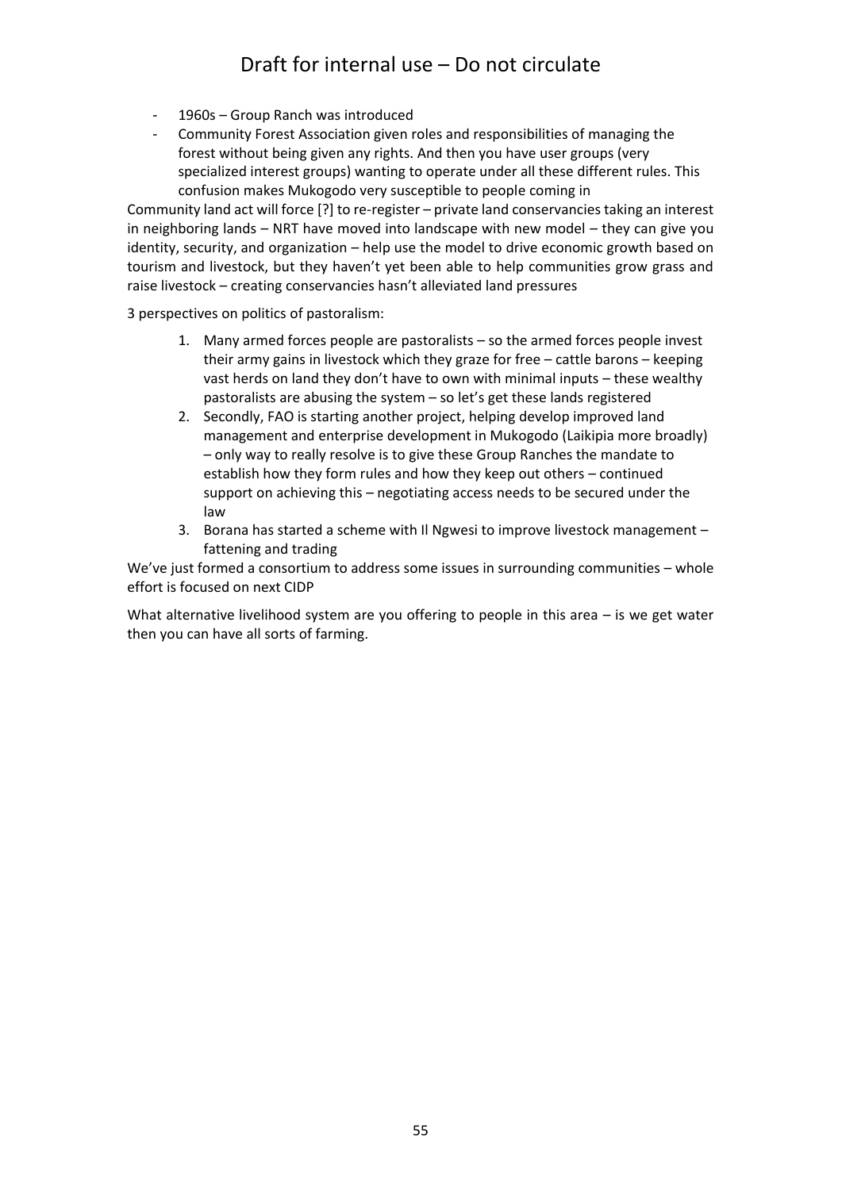went on the same way until the government issued the firearms to the community rangers. After we were given the guns, our work became more than what we usually do. We started following the stolen livestock, trying to recover them, and not only from our community, but from all over. All the cows that came across this side of Isiolo, we were responsible for ing hard to recover them. These guns made us to be working for two positions, as government servants and for the community in the conservancy. We became responsible to both the government and also to the donors who provided the funds to employ the rangers. But I could generally say that we tried to become peace ambassadors, but the problem was these gun that we have and that those warriors who go for raids also have firearms. We end up fighting whenever we came across one another.

Q: How do you describe the rangers' work? Is it a very hard job compared to what you do now that you say you work both for the government and the community?

The rangers' work is just like any other work. I don't think I would say that it is very hard compared to any other work. I find that all the work is hard. Even the people in the offices sitting on the rotating chairs the whole day will still say they are tired from the work they have done, and you can see they are exhausted. I think we sometimes even go for days without any tough work or even without doing anything, except at times when there is extra work from somewhere else, for example the raids and so on. So, I even wonder if the people in the offices complain that their work is hard, I wonder then about the rangers having the heavy guns, bullets, the whole day with heavy jackets and boots and things like food and water sometimes. It is hard, yes, but we still find it doable. As wel, we are always ready for the work, mostly now that we have the firearms, because when an enemy comes across, you either kill or get killed.

There are also other things that conservation has brought like the school bursaries and transport using the conservancy cars and also assisting the old members of the conservancy that are not able to provide for themselves. Sometimes the community gives them food, medicine, or even money just to support them. This is an added advantage, and that is why you have seen people resist their conservancy being destroyed. That is why you have heard that so many people have lost their lives in the conservancies. People are trying to defend what belongs to them and what provides for the food on their tables all the time. I think you have heard of the many warriors who lost their lives in the Il Ngwesi conservancy; it is not that they just want to kill people, but it is just because they want to defend their conservancy.

Q: Do you think that is the main cause of conflict between the Il Ngwesi and the Samburu, or what are other possible challenges that brought about the fighting?

I think the main cause of the conflict between the Il Ngwesi community and the Samburu is the frequent droughts. When the two communities began fighting one another, it was very dry, and there were so many cattle that had gone towards the Il Ngwesi in search of grass because there was no grass in the whole of northern Kenya. During the defense of the Il Ngwesi conservation area from the intruding community from Isiolo and Samburu, people fought. That fight that claimed many lives is often blamed as the cause of the main disagreement between the Il Ngwesi and the Samburu communities but I think the droughts are the main cause. There are other places where the communities fought with rangers during the dry seasons, but only due to droughts. The main reason why the conflict has not ended between the Il Ngwesi and the Samburu is that there are no lasting solutions that have been put in place. I think the main way to get a lasting solution is for the two communities to come together in dialogue, agree that the mistakes have happened, and find the solutions. There is nothing big that has happened that has never been seen, the first person that I know who died was in Sarara (Namunyak conservancy).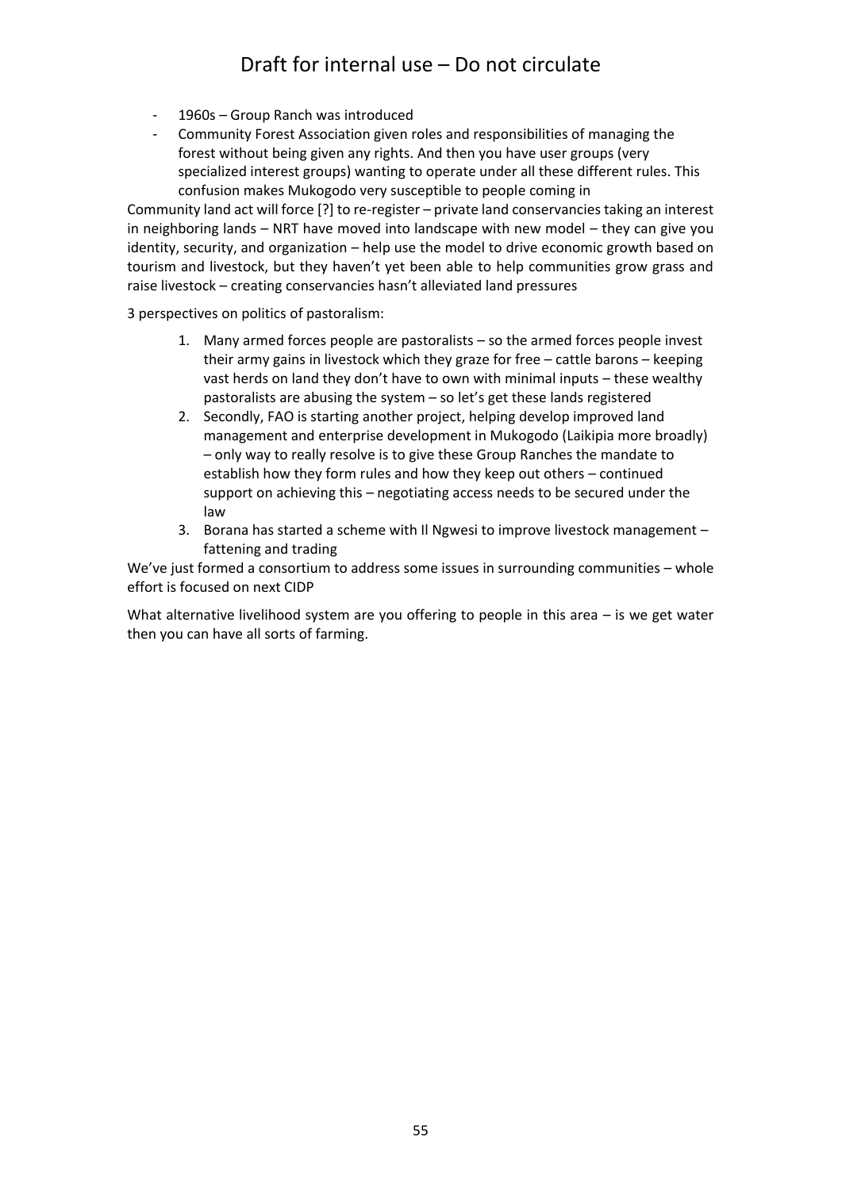# Interviews conducted by David Barmes in Nanyuki

# D12: A former employee on Finafran ranch

The problem started in 2004, when they said that the land agreement between the British and Maasaai was over – they were talking of period of 100 years – there were some problems at that time – a ranch called loisaba experienced some problems of being invaded. From that time since 2004, it started invasion of grazing especially when it is dry – so the ranchers came up with the label illegal grazers – until no whne it exploded now. There was no particularly tribe invading Loisaba. The communities get ideas from some NGOs. NGOs question the status quo on land – what benefit for the communities. So people are using historical land injustices to re-claim land. The word Laikipia is a Maa name, but laikipia is divided between Masai, Samburu, and the Laikipia Masai, who are now very few. So the Samburu have told their people to populate the Maasai areas.

In the Mukogodo area it has been going on for a while. The Samburus never trusted the Laikipia Maasai. Among the two communities there is some grudge. The grudge seems to have started because of what you would call animal clustering between the two. Because the Samburus will come raid livestock from the Laikipia Maasai, so they go and try to reclaim it, but nowadays firearms are being used, its no longer spears and bows and arrows. When one person is shot dead, things escalate. Also the Samburus who live in Kipsing, they often have conflict with the Il Ngwesi who try to defend themselves. Everybody now is trying to get firearms, they are all over now. Also with the issues about the land, politics is another influence, because maybe they will use a member of parliament to defend them. But the defending becomes tribal war.

Things started as of the year 2000 with firearms being introduced. Also I would add exposure to the outside world. Not everybody will stick to one point now. People are educated, they get ideas, they try to figure out their communities' problems. So exposure gets people asking questions about injustices in their communities. Those that are exposed get an understanding of human rights, and those who are not educated are being used – people tell them don't accept the situation and listen to what I'm saying. NGOs always oppose the government so they also influence by raising awareness on human rights. As people become more enlightened they start to question the status quo.

Its not only one politician involved – it is the majority of major politicians from the neighboring counties – because of they have cattle but no grazing, they will use the situation to get grazing for their cattle. They have a way with guns. Sometime back in the year 2006 and until 2010 when the Samburus and Pokots were heavily fighting each other it was well known who was selling the firearms. Young guys in Manyattas now demand firearms. And they want firearms that are resistant and good quality, heavier caliber. they get advice from people in army and police on which firearms are good. The ammunition is supplied from within. They have access to this.

A police man might go out on duty and say he has used 40 rounds, but actually only used 4 and then he can sell the rest. Also, when the British army goes on training out in the bush, the young morans come and shoot at the guards and scare them off (they are in a foreign country they know that if they shoot it will cause problems) so the morans are able to steal much ammunition. Once when there was heavy gun fire exchange in Finafran, I picked up the cartridges and traced them back to the British army using the code on the cartridge. They have a training field in Samburu near Archer's Post, so that is where these morans take advantage, they come in big numbers. This stealing has been happening since 2011. There was an incident of a British officer that shot morans, and it caused mayhem between the British and the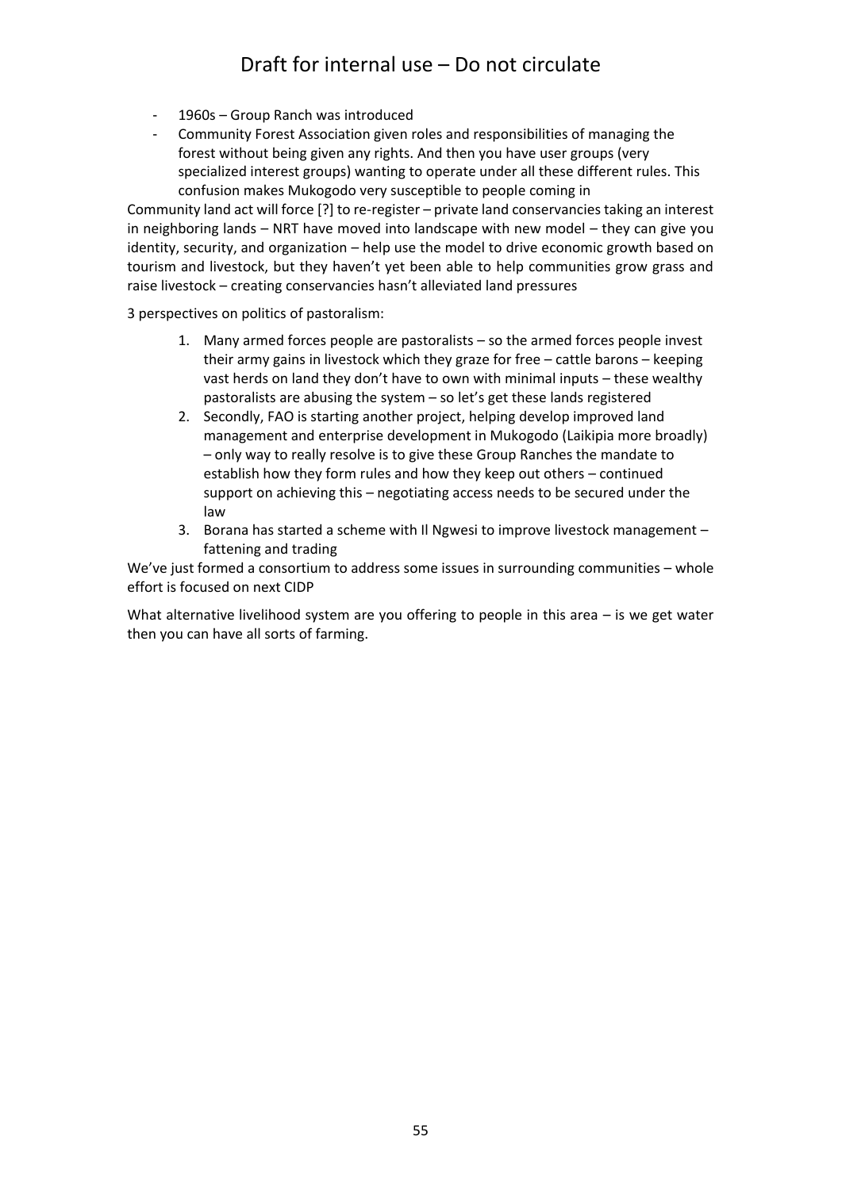Samburu community. Between the year 2000 and 2002 the Samburus were very heavily compensated for land mine explosions that were left on the training grounds. Since that time there have been many issues between the Samburu and the British. Then the Samburu wanted to be compensated for rape, but that didn't work, so now the land issue has come up. The word indigenous has caused some tensions.

My conclusion about land issues, it is important for the communities that call themselves pastoralists, that there is the Kenya meat factory (or something) that is just in name that it not even helping anyone at all. They should have come up with cattle buying quarters. They don't get good sales market. If Kenya meat commission can come up with a strategy of buying cattle at certain times of the year in certain areas. This would minimize the conflicts. And when we buy the meat we buy directly from the owners. Middle men cause trouble.

Transitioning to ranching would create problems with governance. Each clan is claiming boundaries. There should be a limited number of cattle, land is becoming scarce, the population is increasing. The whole conservancies issue is becoming very complicated. They also create conflict, so you have to bribe the rangers.

Back in 2015, some guys from Samburu were killed in Il Ngwesi, and the Samburus pledged that they would not stop fighting. With all these conservancies popping up, where are people going to graze?? The ranchers pay a lot of tax. The way the local ranchers try to address some problems without involving community administration is also a problem. The ranches that don't support any community projects are the ones that are most heavily invaded. An example of Laikipia Nature Conservancy: she'll go straight to whoever is in charge of the security docket – so instead of solving bottom up (from grassroots), she tries to solve it top down bringing the force down. Corruption. The ranchers often try to tackle problems at the higher level, not the grassroots, so communities get offended. One article asks why some ranchers employ people from certain communities. Samburu Buru is one example of a ranch that was heavily invaded. They guy who was running the place was actually taking cattle from the grazers and selling them – so a grudge had built there.

Of late, there is this Ogiki, a community that is living past Nakuru and are claiming to be the indigenous owners of the Mao forest. Recently they acquired something that allowed them to live in the forest and protect it. So their grievances were heard, and now others are saying why have our historical land injustices not been heard. Everywhere now in Kenya, energy companies are causing problems, coal, oil.

# D13: A leader of the Laikipia Wildlife Forum

Holistic Management is one of a series of tools. It is largely a land use tool, which uses livestock for rangelands rehabilitation. If the Samburu were better at this they wouldn't come here, but they haven't been successful and greater numbers are coming here. HM is quite easy to sell to pastoralists. It has been a bit of a magnet drawing in other people. It is a great approach to land management

The pastoralist tradition has always been centered on negotiating access – there is a traditional aspect to be addressed here with growing populations and livestock numbers, the system is beginning to breakdown – there is a breakdown in pastoralist tradition towards private ranching

There are guns everywhere. There are wars in surrounding countries, and so the traditional interaction of conflict is aggravated by weapons. There is a sort of gang mentality

Overwhelming issue for Mukogodo is you overlay the history with these three new institutions: